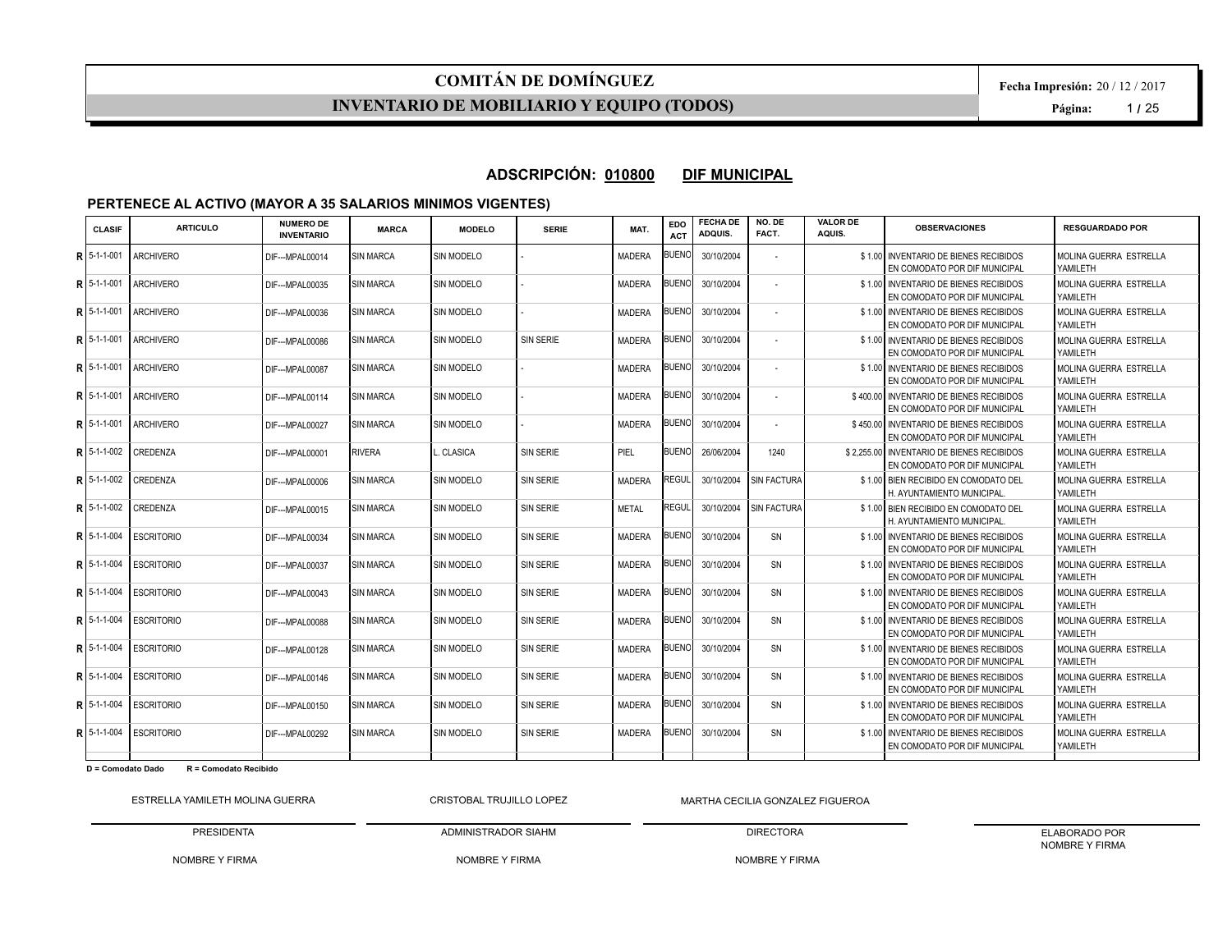#### **INVENTARIO DE MOBILIARIO Y EQUIPO (TODOS)**

#### **ADSCRIPCIÓN: 010800 DIF MUNICIPAL**

#### **PERTENECE AL ACTIVO (MAYOR A 35 SALARIOS MINIMOS VIGENTES)**

| <b>CLASIF</b> | <b>ARTICULO</b>   | <b>NUMERO DE</b><br><b>INVENTARIO</b> | <b>MARCA</b>     | <b>MODELO</b>     | <b>SERIE</b>     | MAT.          | EDO<br><b>ACT</b> | <b>FECHA DE</b><br>ADQUIS. | NO. DE<br>FACT.    | <b>VALOR DE</b><br>AQUIS. | <b>OBSERVACIONES</b>                                                       | <b>RESGUARDADO POR</b>                    |
|---------------|-------------------|---------------------------------------|------------------|-------------------|------------------|---------------|-------------------|----------------------------|--------------------|---------------------------|----------------------------------------------------------------------------|-------------------------------------------|
| $R$ 5-1-1-001 | <b>ARCHIVERO</b>  | DIF---MPAL00014                       | <b>SIN MARCA</b> | SIN MODELO        |                  | <b>MADERA</b> | <b>BUENO</b>      | 30/10/2004                 |                    |                           | \$1.00 INVENTARIO DE BIENES RECIBIDOS<br>EN COMODATO POR DIF MUNICIPAL     | MOLINA GUERRA ESTRELLA<br>YAMILETH        |
| R 5-1-1-001   | <b>ARCHIVERO</b>  | DIF--- MPAL00035                      | <b>SIN MARCA</b> | <b>SIN MODELO</b> |                  | <b>MADERA</b> | <b>BUENO</b>      | 30/10/2004                 |                    |                           | \$1.00 INVENTARIO DE BIENES RECIBIDOS<br>EN COMODATO POR DIF MUNICIPAL     | MOLINA GUERRA ESTRELLA<br>YAMILETH        |
| R 5-1-1-001   | <b>ARCHIVERO</b>  | DIF--- MPAL00036                      | <b>SIN MARCA</b> | SIN MODELO        |                  | <b>MADERA</b> | <b>BUENO</b>      | 30/10/2004                 |                    |                           | \$1.00 INVENTARIO DE BIENES RECIBIDOS<br>EN COMODATO POR DIF MUNICIPAL     | MOLINA GUERRA ESTRELLA<br>YAMILETH        |
| R 5-1-1-001   | <b>ARCHIVERO</b>  | DIF--- MPAL00086                      | <b>SIN MARCA</b> | <b>SIN MODELO</b> | <b>SIN SERIE</b> | <b>MADERA</b> | <b>BUENO</b>      | 30/10/2004                 |                    |                           | \$1.00 INVENTARIO DE BIENES RECIBIDOS<br>EN COMODATO POR DIF MUNICIPAL     | <b>MOLINA GUERRA ESTRELLA</b><br>YAMILETH |
| R 5-1-1-001   | <b>ARCHIVERO</b>  | DIF--- MPAL00087                      | <b>SIN MARCA</b> | <b>SIN MODELO</b> |                  | MADERA        | <b>BUENO</b>      | 30/10/2004                 |                    |                           | \$1.00 INVENTARIO DE BIENES RECIBIDOS<br>EN COMODATO POR DIF MUNICIPAL     | MOLINA GUERRA ESTRELLA<br>YAMILETH        |
| $R$ 5-1-1-001 | <b>ARCHIVERO</b>  | DIF--- MPAL00114                      | SIN MARCA        | <b>SIN MODELO</b> |                  | <b>MADERA</b> | <b>BUENO</b>      | 30/10/2004                 |                    |                           | \$400.00 INVENTARIO DE BIENES RECIBIDOS<br>EN COMODATO POR DIF MUNICIPAL   | MOLINA GUERRA ESTRELLA<br>YAMILETH        |
| $R15-1-1-001$ | <b>ARCHIVERO</b>  | DIF---MPAL00027                       | <b>SIN MARCA</b> | <b>SIN MODELO</b> |                  | <b>MADERA</b> | <b>BUENO</b>      | 30/10/2004                 |                    |                           | \$450.00 INVENTARIO DE BIENES RECIBIDOS<br>EN COMODATO POR DIF MUNICIPAL   | MOLINA GUERRA ESTRELLA<br>YAMILETH        |
| $R$ 5-1-1-002 | <b>CREDENZA</b>   | DIF--- MPAL00001                      | RIVERA           | CLASICA           | <b>SIN SERIE</b> | PIEL          | <b>BUENO</b>      | 26/06/2004                 | 1240               |                           | \$2.255.00 INVENTARIO DE BIENES RECIBIDOS<br>EN COMODATO POR DIF MUNICIPAL | MOLINA GUERRA ESTRELLA<br>YAMILETH        |
| R 5-1-1-002   | CREDENZA          | DIF--- MPAL00006                      | <b>SIN MARCA</b> | <b>SIN MODELO</b> | <b>SIN SERIE</b> | <b>MADERA</b> | REGUL             | 30/10/2004                 | <b>SIN FACTURA</b> |                           | \$1.00 BIEN RECIBIDO EN COMODATO DEL<br>H. AYUNTAMIENTO MUNICIPAL          | MOLINA GUERRA ESTRELLA<br>YAMILETH        |
| R 5-1-1-002   | <b>CREDENZA</b>   | DIF---MPAL00015                       | SIN MARCA        | SIN MODELO        | <b>SIN SERIE</b> | <b>METAL</b>  | REGUL             | 30/10/2004                 | <b>SIN FACTURA</b> |                           | \$1.00 BIEN RECIBIDO EN COMODATO DEL<br>H. AYUNTAMIENTO MUNICIPAL.         | MOLINA GUERRA ESTRELLA<br>YAMILETH        |
| R 5-1-1-004   | <b>ESCRITORIO</b> | DIF--- MPAL00034                      | <b>SIN MARCA</b> | <b>SIN MODELO</b> | <b>SIN SERIE</b> | <b>MADERA</b> | 3UENO             | 30/10/2004                 | SN                 |                           | \$1.00 INVENTARIO DE BIENES RECIBIDOS<br>EN COMODATO POR DIF MUNICIPAL     | MOLINA GUERRA ESTRELLA<br>YAMILETH        |
| R 5-1-1-004   | <b>ESCRITORIO</b> | DIF--- MPAL00037                      | <b>SIN MARCA</b> | <b>SIN MODELO</b> | <b>SIN SERIE</b> | MADERA        | <b>BUENO</b>      | 30/10/2004                 | SN                 |                           | \$1.00 INVENTARIO DE BIENES RECIBIDOS<br>EN COMODATO POR DIF MUNICIPAL     | MOLINA GUERRA ESTRELLA<br>YAMILETH        |
| $R$ 5-1-1-004 | <b>ESCRITORIO</b> | DIF--- MPAL00043                      | <b>SIN MARCA</b> | <b>SIN MODELO</b> | <b>SIN SERIE</b> | <b>MADERA</b> | <b>BUENO</b>      | 30/10/2004                 | SN                 |                           | \$1.00 INVENTARIO DE BIENES RECIBIDOS<br>EN COMODATO POR DIF MUNICIPAL     | MOLINA GUERRA ESTRELLA<br>YAMILETH        |
| R 5-1-1-004   | <b>ESCRITORIO</b> | DIF---MPAL00088                       | <b>SIN MARCA</b> | <b>SIN MODELO</b> | <b>SIN SERIE</b> | <b>MADERA</b> | <b>BUENO</b>      | 30/10/2004                 | SN                 |                           | \$1.00 INVENTARIO DE BIENES RECIBIDOS<br>EN COMODATO POR DIF MUNICIPAL     | MOLINA GUERRA ESTRELLA<br>YAMILETH        |
| R 5-1-1-004   | <b>ESCRITORIO</b> | DIF--- MPAL00128                      | <b>SIN MARCA</b> | <b>SIN MODELO</b> | <b>SIN SERIE</b> | MADERA        | <b>BUENO</b>      | 30/10/2004                 | SN                 |                           | \$1.00 INVENTARIO DE BIENES RECIBIDOS<br>EN COMODATO POR DIF MUNICIPAL     | MOLINA GUERRA ESTRELLA<br>YAMILETH        |
| R 5-1-1-004   | <b>ESCRITORIO</b> | DIF--- MPAL00146                      | <b>SIN MARCA</b> | <b>SIN MODELO</b> | <b>SIN SERIE</b> | <b>MADERA</b> | <b>BUENO</b>      | 30/10/2004                 | SN                 |                           | \$1.00 INVENTARIO DE BIENES RECIBIDOS<br>EN COMODATO POR DIF MUNICIPAL     | MOLINA GUERRA ESTRELLA<br>YAMILETH        |
| R 5-1-1-004   | <b>ESCRITORIO</b> | DIF---MPAL00150                       | SIN MARCA        | <b>SIN MODELO</b> | <b>SIN SERIE</b> | <b>MADERA</b> | <b>BUENO</b>      | 30/10/2004                 | SN                 |                           | \$1.00 INVENTARIO DE BIENES RECIBIDOS<br>EN COMODATO POR DIF MUNICIPAL     | MOLINA GUERRA ESTRELLA<br>YAMILETH        |
| R 5-1-1-004   | <b>ESCRITORIO</b> | DIF--- MPAL00292                      | SIN MARCA        | <b>SIN MODELO</b> | <b>SIN SERIE</b> | <b>MADERA</b> | <b>BUENO</b>      | 30/10/2004                 | SN                 |                           | \$1.00 INVENTARIO DE BIENES RECIBIDOS<br>EN COMODATO POR DIF MUNICIPAL     | MOLINA GUERRA ESTRELLA<br>YAMILETH        |
|               |                   |                                       |                  |                   |                  |               |                   |                            |                    |                           |                                                                            |                                           |

**D = Comodato Dado R = Comodato Recibido**

ESTRELLA YAMILETH MOLINA GUERRA PRESIDENTA CRISTOBAL TRUJILLO LOPEZ

NOMBRE Y FIRMA MARTHA CECILIA GONZALEZ FIGUEROA

NOMBRE Y FIRMA

ADMINISTRADOR SIAHM

DIRECTORA NOMBRE Y FIRMA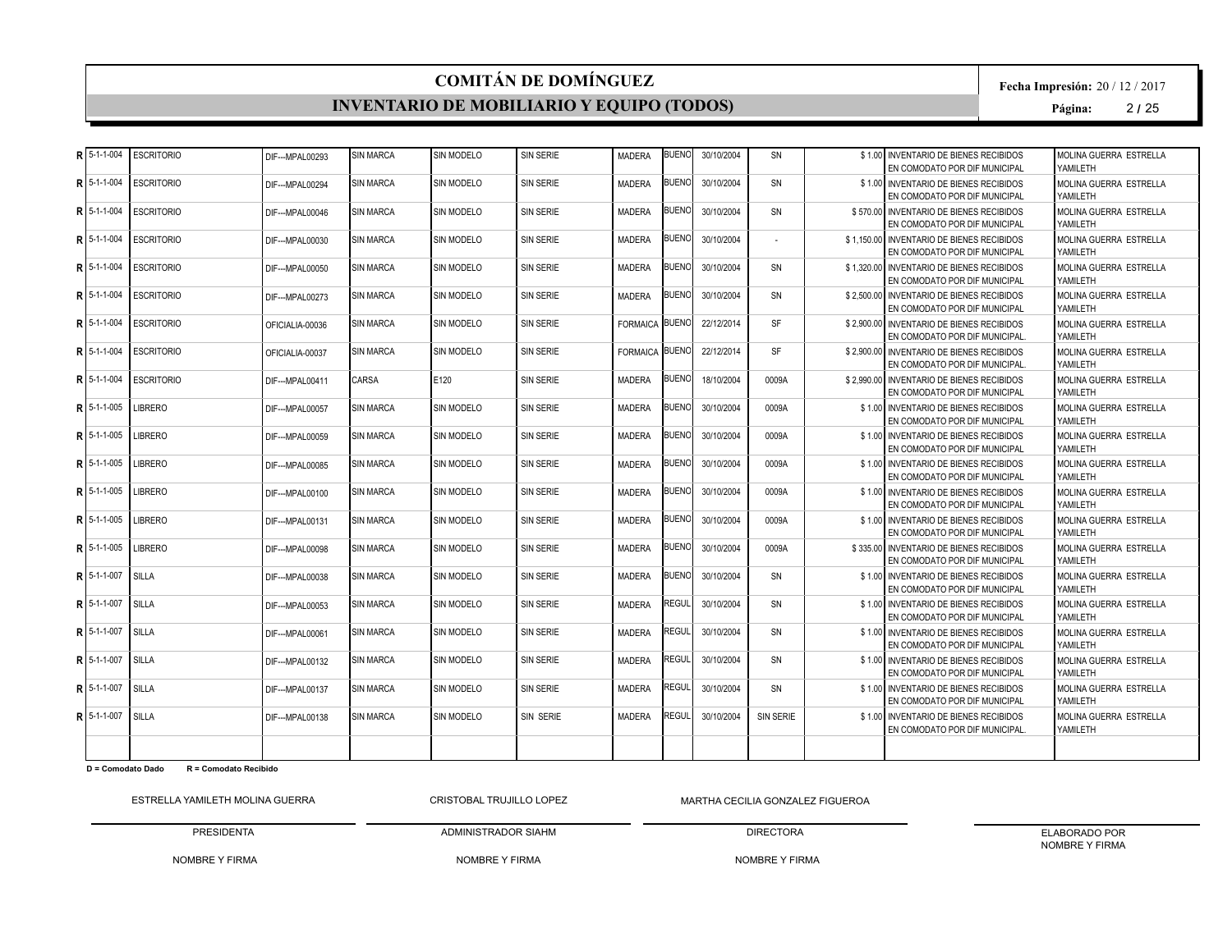#### **INVENTARIO DE MOBILIARIO Y EQUIPO (TODOS)**

**Fecha Impresión:** 20 / 12 / 2017

**Página:** 2 **/** 25

|   | $R$ 5-1-1-004  | <b>ESCRITORIO</b> | DIF--- MPAL00293 | <b>SIN MARCA</b> | SIN MODELO        | <b>SIN SERIE</b> | <b>MADERA</b>         | <b>BUENO</b> | 30/10/2004 | SN        | \$1.00 INVENTARIO DE BIENES RECIBIDOS<br>EN COMODATO POR DIF MUNICIPAL      | MOLINA GUERRA ESTRELLA<br>YAMII FTH       |
|---|----------------|-------------------|------------------|------------------|-------------------|------------------|-----------------------|--------------|------------|-----------|-----------------------------------------------------------------------------|-------------------------------------------|
| R | 5-1-1-004      | <b>ESCRITORIO</b> | DIF--- MPAL00294 | <b>SIN MARCA</b> | <b>SIN MODELO</b> | SIN SERIE        | <b>MADERA</b>         | <b>BUENO</b> | 30/10/2004 | SN        | \$1.00 INVENTARIO DE BIENES RECIBIDOS<br>EN COMODATO POR DIF MUNICIPAL      | MOLINA GUERRA ESTRELLA<br>YAMILETH        |
| R | 5-1-1-004      | <b>ESCRITORIO</b> | DIF--- MPAL00046 | <b>SIN MARCA</b> | <b>SIN MODELO</b> | SIN SERIE        | <b>MADERA</b>         | BUENO        | 30/10/2004 | SN        | \$570,00 INVENTARIO DE BIENES RECIBIDOS<br>EN COMODATO POR DIF MUNICIPAL    | MOLINA GUERRA ESTRELLA<br>YAMII FTH       |
|   | $R$ 15-1-1-004 | <b>ESCRITORIO</b> | DIF--- MPAL00030 | <b>SIN MARCA</b> | <b>SIN MODELO</b> | SIN SERIE        | <b>MADERA</b>         | 3UENOI       | 30/10/2004 |           | \$1.150.00 INVENTARIO DE BIENES RECIBIDOS<br>EN COMODATO POR DIF MUNICIPAL  | MOLINA GUERRA ESTRELLA<br>YAMII FTH       |
|   | $R$ 15-1-1-004 | <b>ESCRITORIO</b> | DIF--- MPAL00050 | <b>SIN MARCA</b> | SIN MODELO        | SIN SERIE        | <b>MADERA</b>         | <b>BUENO</b> | 30/10/2004 | SN        | \$1,320.00 INVENTARIO DE BIENES RECIBIDOS<br>EN COMODATO POR DIF MUNICIPAL  | MOLINA GUERRA ESTRELLA<br>YAMILETH        |
| Þ | 5-1-1-004      | <b>ESCRITORIO</b> | DIF--- MPAL00273 | <b>SIN MARCA</b> | <b>SIN MODELO</b> | <b>SIN SERIE</b> | <b>MADERA</b>         | <b>BUENO</b> | 30/10/2004 | SN        | \$2,500.00 INVENTARIO DE BIENES RECIBIDOS<br>EN COMODATO POR DIF MUNICIPAL  | MOLINA GUERRA ESTRELLA<br>YAMILETH        |
| R | $15-1-1-004$   | <b>ESCRITORIO</b> | OFICIALIA-00036  | <b>SIN MARCA</b> | <b>SIN MODELO</b> | <b>SIN SERIE</b> | <b>FORMAICA BUENO</b> |              | 22/12/2014 | <b>SF</b> | \$2,900.00 INVENTARIO DE BIENES RECIBIDOS<br>EN COMODATO POR DIF MUNICIPAL. | MOLINA GUERRA ESTRELLA<br>YAMILETH        |
| R | 5-1-1-004      | <b>ESCRITORIO</b> | OFICIALIA-00037  | <b>SIN MARCA</b> | SIN MODELO        | <b>SIN SERIE</b> | FORMAICA BUENO        |              | 22/12/2014 | <b>SF</b> | \$2,900.00 INVENTARIO DE BIENES RECIBIDOS<br>EN COMODATO POR DIF MUNICIPAL. | MOLINA GUERRA ESTRELLA<br>YAMII FTH       |
| R | 5-1-1-004      | <b>ESCRITORIO</b> | DIF--- MPAL00411 | <b>CARSA</b>     | E120              | <b>SIN SERIE</b> | <b>MADERA</b>         | <b>BUENO</b> | 18/10/2004 | 0009A     | \$2.990.00 INVENTARIO DE BIENES RECIBIDOS<br>EN COMODATO POR DIF MUNICIPAL  | MOLINA GUERRA ESTRELLA<br>YAMILETH        |
|   | $R$ 5-1-1-005  | <b>LIBRERO</b>    | DIF--- MPAL00057 | <b>SIN MARCA</b> | SIN MODELO        | <b>SIN SERIE</b> | <b>MADERA</b>         | <b>BUENO</b> | 30/10/2004 | 0009A     | \$1.00 INVENTARIO DE BIENES RECIBIDOS<br>EN COMODATO POR DIF MUNICIPAL      | MOLINA GUERRA ESTRELLA<br>YAMILETH        |
| R | 5-1-1-005      | <b>LIBRERO</b>    | DIF--- MPAL00059 | <b>SIN MARCA</b> | <b>SIN MODELO</b> | <b>SIN SERIE</b> | <b>MADERA</b>         | <b>BUENO</b> | 30/10/2004 | 0009A     | \$1.00 INVENTARIO DE BIENES RECIBIDOS<br>EN COMODATO POR DIF MUNICIPAL      | MOLINA GUERRA ESTRELLA<br>YAMILETH        |
|   | R 5-1-1-005    | <b>LIBRERO</b>    | DIF--- MPAL00085 | <b>SIN MARCA</b> | <b>SIN MODELO</b> | <b>SIN SERIE</b> | <b>MADERA</b>         | <b>BUENO</b> | 30/10/2004 | 0009A     | \$1.00 INVENTARIO DE BIENES RECIBIDOS<br>EN COMODATO POR DIF MUNICIPAL      | MOLINA GUERRA ESTRELLA<br>YAMILETH        |
| R | 5-1-1-005      | <b>LIBRERO</b>    | DIF--- MPAL00100 | <b>SIN MARCA</b> | SIN MODELO        | <b>SIN SERIE</b> | <b>MADERA</b>         | <b>BUENO</b> | 30/10/2004 | 0009A     | \$1.00 INVENTARIO DE BIENES RECIBIDOS<br>EN COMODATO POR DIF MUNICIPAL      | MOLINA GUERRA ESTRELLA<br>YAMILETH        |
|   | $R$ 15-1-1-005 | <b>LIBRERO</b>    | DIF--- MPAL00131 | <b>SIN MARCA</b> | SIN MODELO        | <b>SIN SERIE</b> | <b>MADERA</b>         | <b>BUENO</b> | 30/10/2004 | 0009A     | \$1.00 INVENTARIO DE BIENES RECIBIDOS<br>EN COMODATO POR DIF MUNICIPAL      | MOLINA GUERRA ESTRELLA<br>YAMILETH        |
|   | $R$ 5-1-1-005  | <b>LIBRERO</b>    | DIF--- MPAL00098 | <b>SIN MARCA</b> | SIN MODELO        | <b>SIN SERIE</b> | <b>MADERA</b>         | <b>BUENO</b> | 30/10/2004 | 0009A     | \$335.00 INVENTARIO DE BIENES RECIBIDOS<br>EN COMODATO POR DIF MUNICIPAL    | MOLINA GUERRA ESTRELLA<br>YAMILETH        |
| R | 5-1-1-007      | SILLA             | DIF--- MPAL00038 | <b>SIN MARCA</b> | <b>SIN MODELO</b> | SIN SERIE        | <b>MADERA</b>         | BUENO        | 30/10/2004 | SN        | \$1.00 INVENTARIO DE BIENES RECIBIDOS<br>EN COMODATO POR DIF MUNICIPAL      | MOLINA GUERRA ESTRELLA<br>YAMILETH        |
| R | 5-1-1-007      | SILLA             | DIF--- MPAL00053 | <b>SIN MARCA</b> | SIN MODELO        | <b>SIN SERIE</b> | <b>MADERA</b>         | <b>REGUL</b> | 30/10/2004 | SN        | \$1.00 INVENTARIO DE BIENES RECIBIDOS<br>EN COMODATO POR DIF MUNICIPAL      | MOLINA GUERRA ESTRELLA<br>YAMILETH        |
|   | $R$ 5-1-1-007  | SILLA             | DIF--- MPAL00061 | <b>SIN MARCA</b> | SIN MODELO        | SIN SERIE        | <b>MADERA</b>         | REGUL        | 30/10/2004 | SN        | \$1.00 INVENTARIO DE BIENES RECIBIDOS<br>EN COMODATO POR DIF MUNICIPAL      | <b>MOLINA GUERRA ESTRELLA</b><br>YAMILETH |
| R | 5-1-1-007      | SILLA             | DIF---MPAL00132  | <b>SIN MARCA</b> | SIN MODELO        | <b>SIN SERIE</b> | <b>MADERA</b>         | REGUL        | 30/10/2004 | SN        | \$1.00 INVENTARIO DE BIENES RECIBIDOS<br>EN COMODATO POR DIF MUNICIPAL      | MOLINA GUERRA ESTRELLA<br>YAMILETH        |
|   | R 5-1-1-007    | SILLA             | DIF--- MPAL00137 | <b>SIN MARCA</b> | <b>SIN MODELO</b> | SIN SERIE        | <b>MADERA</b>         | REGUL        | 30/10/2004 | SN        | \$1.00 INVENTARIO DE BIENES RECIBIDOS<br>EN COMODATO POR DIF MUNICIPAL      | MOLINA GUERRA ESTRELLA<br>YAMILETH        |
|   | R 5-1-1-007    | SILLA             | DIF---MPAL00138  | <b>SIN MARCA</b> | SIN MODELO        | SIN SERIE        | <b>MADERA</b>         | <b>REGUL</b> | 30/10/2004 | SIN SERIE | \$1.00 INVENTARIO DE BIENES RECIBIDOS<br>EN COMODATO POR DIF MUNICIPAL.     | MOLINA GUERRA ESTRELLA<br>YAMILETH        |
|   |                |                   |                  |                  |                   |                  |                       |              |            |           |                                                                             |                                           |

**D = Comodato Dado R = Comodato Recibido**

ESTRELLA YAMILETH MOLINA GUERRA PRESIDENTA CRISTOBAL TRUJILLO LOPEZ

NOMBRE Y FIRMA MARTHA CECILIA GONZALEZ FIGUEROA

NOMBRE Y FIRMA

ADMINISTRADOR SIAHM

DIRECTORA NOMBRE Y FIRMA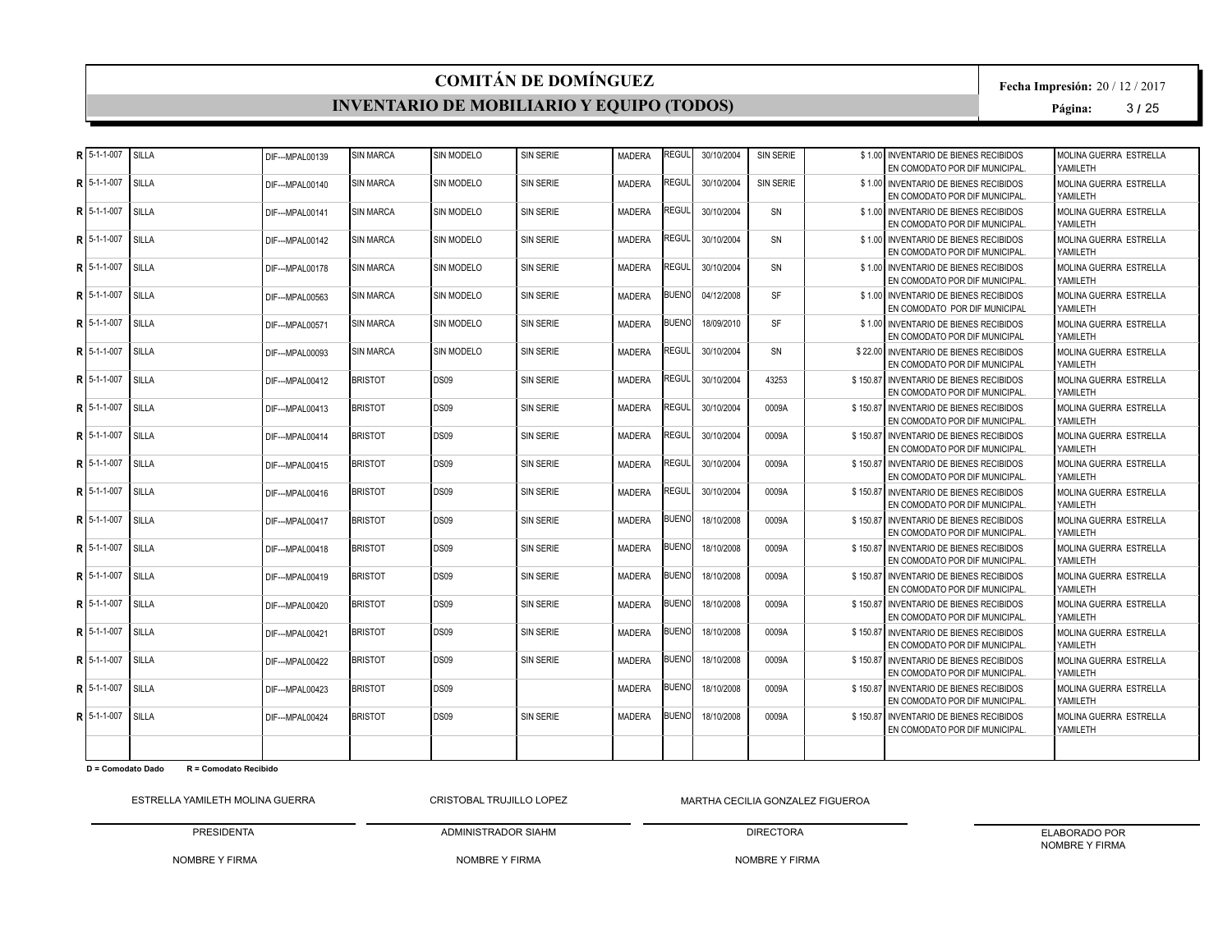#### **INVENTARIO DE MOBILIARIO Y EQUIPO (TODOS)**

**Fecha Impresión:** 20 / 12 / 2017

**Página:** 3 **/** 25

|   | $R$ 5-1-1-007   | SILLA        | DIF--- MPAL00139 | <b>SIN MARCA</b> | SIN MODELO        | <b>SIN SERIE</b> | <b>MADERA</b> | REGUL        | 30/10/2004 | SIN SERIE | \$1.00 INVENTARIO DE BIENES RECIBIDOS<br>EN COMODATO POR DIF MUNICIPAL.   | MOLINA GUERRA ESTRELLA<br>YAMII FTH        |
|---|-----------------|--------------|------------------|------------------|-------------------|------------------|---------------|--------------|------------|-----------|---------------------------------------------------------------------------|--------------------------------------------|
| R | 5-1-1-007       | SILLA        | DIF--- MPAL00140 | <b>SIN MARCA</b> | <b>SIN MODELO</b> | <b>SIN SERIE</b> | <b>MADERA</b> | REGUL        | 30/10/2004 | SIN SERIE | \$1.00 INVENTARIO DE BIENES RECIBIDOS<br>EN COMODATO POR DIF MUNICIPAL.   | MOLINA GUERRA ESTRELLA<br>YAMILETH         |
|   | R 5-1-1-007     | <b>SILLA</b> | DIF--- MPAL00141 | <b>SIN MARCA</b> | <b>SIN MODELO</b> | <b>SIN SERIE</b> | <b>MADERA</b> | REGUL        | 30/10/2004 | <b>SN</b> | \$1.00 INVENTARIO DE BIENES RECIBIDOS<br>EN COMODATO POR DIF MUNICIPAL.   | MOLINA GUERRA ESTRELLA<br>YAMII FTH        |
|   | $R$ 5-1-1-007   | SILLA        | DIF--- MPAL00142 | <b>SIN MARCA</b> | SIN MODELO        | <b>SIN SERIE</b> | <b>MADERA</b> | <b>REGUL</b> | 30/10/2004 | SN        | \$1.00 INVENTARIO DE BIENES RECIBIDOS<br>EN COMODATO POR DIF MUNICIPAL.   | MOLINA GUERRA ESTRELLA<br>YAMILETH         |
|   | R 5-1-1-007     | SILLA        | DIF---MPAL00178  | <b>SIN MARCA</b> | SIN MODELO        | <b>SIN SERIE</b> | <b>MADERA</b> | REGUL        | 30/10/2004 | SN        | \$1.00 INVENTARIO DE BIENES RECIBIDOS<br>EN COMODATO POR DIF MUNICIPAL.   | MOLINA GUERRA ESTRELLA<br>YAMILETH         |
| R | 5-1-1-007       | SILLA        | DIF--- MPAL00563 | <b>SIN MARCA</b> | <b>SIN MODELO</b> | <b>SIN SERIE</b> | <b>MADERA</b> | <b>BUENO</b> | 04/12/2008 | <b>SF</b> | \$1.00 INVENTARIO DE BIENES RECIBIDOS<br>EN COMODATO POR DIF MUNICIPAL    | MOLINA GUERRA ESTRELLA<br>YAMILETH         |
|   | R 5-1-1-007     | SILLA        | DIF--- MPAL00571 | <b>SIN MARCA</b> | <b>SIN MODELO</b> | <b>SIN SERIE</b> | <b>MADERA</b> | <b>BUENO</b> | 18/09/2010 | <b>SF</b> | \$1.00 INVENTARIO DE BIENES RECIBIDOS<br>EN COMODATO POR DIF MUNICIPAL    | MOLINA GUERRA ESTRELLA<br>YAMILETH         |
|   | R 5-1-1-007     | SILLA        | DIF---MPAL00093  | <b>SIN MARCA</b> | <b>SIN MODELO</b> | SIN SERIE        | MADERA        | REGUL        | 30/10/2004 | SN        | \$22.00 INVENTARIO DE BIENES RECIBIDOS<br>EN COMODATO POR DIF MUNICIPAL   | <b>MOLINA GUERRA ESTRELLA</b><br>YAMILETH  |
| R | 5-1-1-007       | SILLA        | DIF---MPAL00412  | <b>BRISTOT</b>   | DS09              | SIN SERIE        | <b>MADERA</b> | REGUL        | 30/10/2004 | 43253     | \$150.87 INVENTARIO DE BIENES RECIBIDOS<br>EN COMODATO POR DIF MUNICIPAL. | MOLINA GUERRA ESTRELLA<br>YAMILETH         |
|   | R 5-1-1-007     | SILLA        | DIF--- MPAL00413 | <b>BRISTOT</b>   | <b>DS09</b>       | <b>SIN SERIE</b> | <b>MADERA</b> | REGUL        | 30/10/2004 | 0009A     | \$150.87 INVENTARIO DE BIENES RECIBIDOS<br>EN COMODATO POR DIF MUNICIPAL. | MOLINA GUERRA ESTRELLA<br>YAMILETH         |
| R | 5-1-1-007       | SILLA        | DIF---MPAL00414  | <b>BRISTOT</b>   | <b>DS09</b>       | <b>SIN SERIE</b> | <b>MADERA</b> | REGUL        | 30/10/2004 | 0009A     | \$150.87 INVENTARIO DE BIENES RECIBIDOS<br>EN COMODATO POR DIF MUNICIPAL. | <b>MOLINA GUERRA ESTRELLA</b><br>YAMII FTH |
|   | R   5-1-1-007   | SILLA        | DIF---MPAL00415  | <b>BRISTOT</b>   | DS09              | <b>SIN SERIE</b> | <b>MADERA</b> | REGUL        | 30/10/2004 | 0009A     | \$150.87 INVENTARIO DE BIENES RECIBIDOS<br>EN COMODATO POR DIF MUNICIPAL. | MOLINA GUERRA ESTRELLA<br>YAMILETH         |
| R | 5-1-1-007       | SILLA        | DIF---MPAL00416  | <b>BRISTOT</b>   | DS09              | SIN SERIE        | <b>MADERA</b> | legul?       | 30/10/2004 | 0009A     | \$150.87 INVENTARIO DE BIENES RECIBIDOS<br>EN COMODATO POR DIF MUNICIPAL. | MOLINA GUERRA ESTRELLA<br>YAMILETH         |
|   | $R$   5-1-1-007 | SILLA        | DIF--- MPAL00417 | <b>BRISTOT</b>   | <b>DS09</b>       | <b>SIN SERIE</b> | <b>MADERA</b> | <b>BUENO</b> | 18/10/2008 | 0009A     | \$150.87 INVENTARIO DE BIENES RECIBIDOS<br>EN COMODATO POR DIF MUNICIPAL. | MOLINA GUERRA ESTRELLA<br>YAMILETH         |
|   | $R$ 5-1-1-007   | SILLA        | DIF---MPAL00418  | <b>BRISTOT</b>   | <b>DS09</b>       | SIN SERIE        | <b>MADERA</b> | <b>BUENO</b> | 18/10/2008 | 0009A     | \$150.87 INVENTARIO DE BIENES RECIBIDOS<br>EN COMODATO POR DIF MUNICIPAL. | <b>MOLINA GUERRA ESTRELLA</b><br>YAMILETH  |
| R | 5-1-1-007       | SILLA        | DIF--- MPAL00419 | <b>BRISTOT</b>   | <b>DS09</b>       | <b>SIN SERIE</b> | <b>MADERA</b> | <b>BUENO</b> | 18/10/2008 | 0009A     | \$150.87 INVENTARIO DE BIENES RECIBIDOS<br>EN COMODATO POR DIF MUNICIPAL. | MOLINA GUERRA ESTRELLA<br>YAMILETH         |
|   | R 5-1-1-007     | SILLA        | DIF--- MPAL00420 | <b>BRISTOT</b>   | <b>DS09</b>       | <b>SIN SERIE</b> | <b>MADERA</b> | <b>BUENO</b> | 18/10/2008 | 0009A     | \$150.87 INVENTARIO DE BIENES RECIBIDOS<br>EN COMODATO POR DIF MUNICIPAL. | MOLINA GUERRA ESTRELLA<br>YAMILETH         |
| R | 5-1-1-007       | SILLA        | DIF--- MPAL00421 | <b>BRISTOT</b>   | <b>DS09</b>       | <b>SIN SERIE</b> | <b>MADERA</b> | <b>BUENO</b> | 18/10/2008 | 0009A     | \$150.87 INVENTARIO DE BIENES RECIBIDOS<br>EN COMODATO POR DIF MUNICIPAL. | MOLINA GUERRA ESTRELLA<br>YAMILETH         |
| R | 5-1-1-007       | SILLA        | DIF--- MPAL00422 | <b>BRISTOT</b>   | <b>DS09</b>       | <b>SIN SERIE</b> | <b>MADERA</b> | <b>BUENO</b> | 18/10/2008 | 0009A     | \$150.87 INVENTARIO DE BIENES RECIBIDOS<br>EN COMODATO POR DIF MUNICIPAL. | MOLINA GUERRA ESTRELLA<br>YAMILETH         |
| R | 5-1-1-007       | SILLA        | DIF--- MPAL00423 | <b>BRISTOT</b>   | <b>DS09</b>       |                  | <b>MADERA</b> | BUENO        | 18/10/2008 | 0009A     | \$150.87 INVENTARIO DE BIENES RECIBIDOS<br>EN COMODATO POR DIF MUNICIPAL. | MOLINA GUERRA ESTRELLA<br>YAMILETH         |
|   | $R$ 15-1-1-007  | SILLA        | DIF---MPAL00424  | <b>BRISTOT</b>   | DS09              | <b>SIN SERIE</b> | <b>MADERA</b> | <b>BUENO</b> | 18/10/2008 | 0009A     | \$150.87 INVENTARIO DE BIENES RECIBIDOS<br>EN COMODATO POR DIF MUNICIPAL. | MOLINA GUERRA ESTRELLA<br>YAMILETH         |
|   |                 |              |                  |                  |                   |                  |               |              |            |           |                                                                           |                                            |

**D = Comodato Dado R = Comodato Recibido**

ESTRELLA YAMILETH MOLINA GUERRA PRESIDENTA CRISTOBAL TRUJILLO LOPEZ

NOMBRE Y FIRMA MARTHA CECILIA GONZALEZ FIGUEROA

NOMBRE Y FIRMA

ADMINISTRADOR SIAHM

DIRECTORA NOMBRE Y FIRMA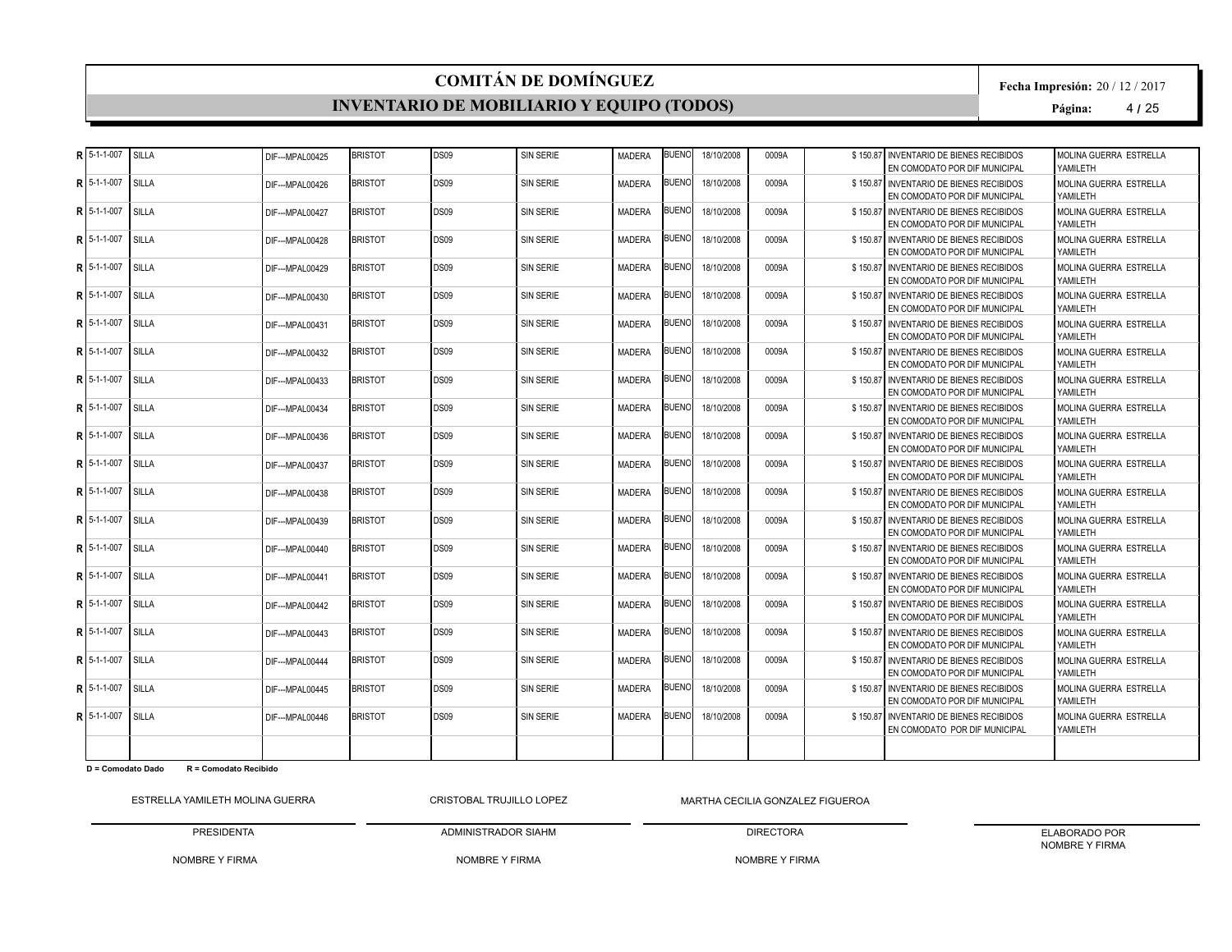#### **INVENTARIO DE MOBILIARIO Y EQUIPO (TODOS)**

**Fecha Impresión:** 20 / 12 / 2017

**Página:** 4 **/** 25

| R 5-1-1-007   | SILLA        | DIF--- MPAL00425  | <b>BRISTOT</b> | DS09        | <b>SIN SERIE</b> | MADERA        | <b>BUENC</b> | 18/10/2008 | 0009A | \$150.87 | INVENTARIO DE BIENES RECIBIDOS<br>EN COMODATO POR DIF MUNICIPAL          | MOLINA GUERRA ESTRELLA<br>YAMILETH        |
|---------------|--------------|-------------------|----------------|-------------|------------------|---------------|--------------|------------|-------|----------|--------------------------------------------------------------------------|-------------------------------------------|
| R 5-1-1-007   | SILLA        | DIF---MPAL00426   | <b>BRISTOT</b> | DS09        | <b>SIN SERIE</b> | MADERA        | <b>BUENC</b> | 18/10/2008 | 0009A |          | \$150.87 INVENTARIO DE BIENES RECIBIDOS<br>EN COMODATO POR DIF MUNICIPAL | MOLINA GUERRA ESTRELLA<br>YAMII FTH       |
| R 5-1-1-007   | <b>SILLA</b> | DIF---MPAL00427   | <b>BRISTOT</b> | <b>DS09</b> | <b>SIN SERIE</b> | <b>MADERA</b> | <b>BUENC</b> | 18/10/2008 | 0009A |          | \$150.87 INVENTARIO DE BIENES RECIBIDOS<br>EN COMODATO POR DIF MUNICIPAL | <b>MOLINA GUERRA ESTRELLA</b><br>YAMILETH |
| R 5-1-1-007   | <b>SILLA</b> | DIF---MPAL00428   | <b>BRISTOT</b> | <b>DS09</b> | <b>SIN SERIE</b> | <b>MADERA</b> | <b>BUENO</b> | 18/10/2008 | 0009A |          | \$150.87 INVENTARIO DE BIENES RECIBIDOS<br>EN COMODATO POR DIF MUNICIPAL | MOLINA GUERRA ESTRELLA<br>YAMILETH        |
| R 5-1-1-007   | SILLA        | DIF---MPAL00429   | <b>BRISTOT</b> | DS09        | SIN SERIE        | <b>MADERA</b> | BUENC        | 18/10/2008 | 0009A |          | \$150.87 INVENTARIO DE BIENES RECIBIDOS<br>EN COMODATO POR DIF MUNICIPAL | MOLINA GUERRA ESTRELLA<br>YAMILETH        |
| R 5-1-1-007   | SILLA        | DIF---MPAL00430   | <b>BRISTOT</b> | DS09        | <b>SIN SERIE</b> | <b>MADERA</b> | BUENC        | 18/10/2008 | 0009A |          | \$150.87 INVENTARIO DE BIENES RECIBIDOS<br>EN COMODATO POR DIF MUNICIPAL | MOLINA GUERRA ESTRELLA<br>YAMILETH        |
| R 5-1-1-007   | <b>SILLA</b> | DIF---MPAL00431   | <b>BRISTOT</b> | DS09        | <b>SIN SERIE</b> | MADERA        | BUENC        | 18/10/2008 | 0009A |          | \$150.87 INVENTARIO DE BIENES RECIBIDOS<br>EN COMODATO POR DIF MUNICIPAL | MOLINA GUERRA ESTRELLA<br>YAMII FTH       |
| R 5-1-1-007   | SILLA        | DIF--- MPAI 00432 | <b>BRISTOT</b> | DS09        | <b>SIN SERIE</b> | <b>MADERA</b> | <b>BUENC</b> | 18/10/2008 | 0009A |          | \$150.87 INVENTARIO DE BIENES RECIBIDOS<br>EN COMODATO POR DIF MUNICIPAL | MOLINA GUERRA ESTRELLA<br>YAMILETH        |
| R 5-1-1-007   | SILLA        | DIF--- MPAL00433  | <b>BRISTOT</b> | DS09        | <b>SIN SERIE</b> | <b>MADERA</b> | <b>BUENO</b> | 18/10/2008 | 0009A |          | \$150.87 INVENTARIO DE BIENES RECIBIDOS<br>EN COMODATO POR DIF MUNICIPAL | MOLINA GUERRA ESTRELLA<br>YAMILETH        |
| R 5-1-1-007   | SILLA        | DIF---MPAL00434   | <b>BRISTOT</b> | <b>DS09</b> | <b>SIN SERIE</b> | <b>MADERA</b> | 3UENC        | 18/10/2008 | 0009A |          | \$150.87 INVENTARIO DE BIENES RECIBIDOS<br>EN COMODATO POR DIF MUNICIPAL | MOLINA GUERRA ESTRELLA<br>YAMILETH        |
| R   5-1-1-007 | <b>SILLA</b> | DIF---MPAL00436   | <b>BRISTOT</b> | <b>DS09</b> | <b>SIN SERIE</b> | <b>MADERA</b> | BUENO        | 18/10/2008 | 0009A |          | \$150.87 INVENTARIO DE BIENES RECIBIDOS<br>EN COMODATO POR DIF MUNICIPAL | MOLINA GUERRA ESTRELLA<br>YAMII FTH       |
| R 5-1-1-007   | SILLA        | DIF--- MPAL00437  | <b>BRISTOT</b> | DS09        | <b>SIN SERIE</b> | MADERA        | BUENC        | 18/10/2008 | 0009A |          | \$150.87 INVENTARIO DE BIENES RECIBIDOS<br>EN COMODATO POR DIF MUNICIPAL | MOLINA GUERRA ESTRELLA<br>YAMILETH        |
| R 5-1-1-007   | SILLA        | DIF---MPAL00438   | <b>BRISTOT</b> | DS09        | <b>SIN SERIE</b> | MADERA        | <b>BUENC</b> | 18/10/2008 | 0009A |          | \$150.87 INVENTARIO DE BIENES RECIBIDOS<br>EN COMODATO POR DIF MUNICIPAL | MOLINA GUERRA ESTRELLA<br>YAMILETH        |
| R 5-1-1-007   | SILLA        | DIF---MPAL00439   | <b>BRISTOT</b> | DS09        | <b>SIN SERIE</b> | MADERA        | <b>BUENC</b> | 18/10/2008 | 0009A |          | \$150.87 INVENTARIO DE BIENES RECIBIDOS<br>EN COMODATO POR DIF MUNICIPAL | MOLINA GUERRA ESTRELLA<br>YAMII FTH       |
| R 5-1-1-007   | SILLA        | DIF---MPAL00440   | <b>BRISTOT</b> | DS09        | <b>SIN SERIE</b> | <b>MADERA</b> | BUENC        | 18/10/2008 | 0009A |          | \$150.87 INVENTARIO DE BIENES RECIBIDOS<br>EN COMODATO POR DIF MUNICIPAL | MOLINA GUERRA ESTRELLA<br>YAMILETH        |
| R 5-1-1-007   | SILLA        | DIF---MPAL00441   | <b>BRISTOT</b> | DS09        | <b>SIN SERIE</b> | <b>MADERA</b> | <b>BUENO</b> | 18/10/2008 | 0009A |          | \$150.87 INVENTARIO DE BIENES RECIBIDOS<br>EN COMODATO POR DIF MUNICIPAL | MOLINA GUERRA ESTRELLA<br>YAMILETH        |
| R 5-1-1-007   | SILLA        | DIF---MPAL00442   | <b>BRISTOT</b> | DS09        | <b>SIN SERIE</b> | <b>MADERA</b> | <b>BUENC</b> | 18/10/2008 | 0009A |          | \$150.87 INVENTARIO DE BIENES RECIBIDOS<br>EN COMODATO POR DIF MUNICIPAL | MOLINA GUERRA ESTRELLA<br>YAMILETH        |
| R 5-1-1-007   | SILLA        | DIF---MPAL00443   | <b>BRISTOT</b> | DS09        | <b>SIN SERIE</b> | MADERA        | <b>BUENC</b> | 18/10/2008 | 0009A |          | \$150.87 INVENTARIO DE BIENES RECIBIDOS<br>EN COMODATO POR DIF MUNICIPAL | MOLINA GUERRA ESTRELLA<br>YAMILETH        |
| R 5-1-1-007   | SILLA        | DIF--- MPAL00444  | <b>BRISTOT</b> | DS09        | <b>SIN SERIE</b> | <b>MADERA</b> | BUENO        | 18/10/2008 | 0009A |          | \$150.87 INVENTARIO DE BIENES RECIBIDOS<br>EN COMODATO POR DIF MUNICIPAL | MOLINA GUERRA ESTRELLA<br>YAMII FTH       |
| R 5-1-1-007   | SILLA        | DIF---MPAL00445   | <b>BRISTOT</b> | DS09        | SIN SERIE        | <b>MADERA</b> | <b>BUENC</b> | 18/10/2008 | 0009A |          | \$150.87 INVENTARIO DE BIENES RECIBIDOS<br>EN COMODATO POR DIF MUNICIPAL | MOLINA GUERRA ESTRELLA<br>YAMILETH        |
| R 5-1-1-007   | SILLA        | DIF--- MPAL00446  | <b>BRISTOT</b> | DS09        | <b>SIN SERIE</b> | <b>MADERA</b> | <b>BUENO</b> | 18/10/2008 | 0009A |          | \$150.87 INVENTARIO DE BIENES RECIBIDOS<br>EN COMODATO POR DIF MUNICIPAL | MOLINA GUERRA ESTRELLA<br>YAMILETH        |
|               |              |                   |                |             |                  |               |              |            |       |          |                                                                          |                                           |

**D = Comodato Dado R = Comodato Recibido**

ESTRELLA YAMILETH MOLINA GUERRA PRESIDENTA CRISTOBAL TRUJILLO LOPEZ

NOMBRE Y FIRMA MARTHA CECILIA GONZALEZ FIGUEROA

NOMBRE Y FIRMA

ADMINISTRADOR SIAHM

DIRECTORA

ELABORADO POR NOMBRE Y FIRMA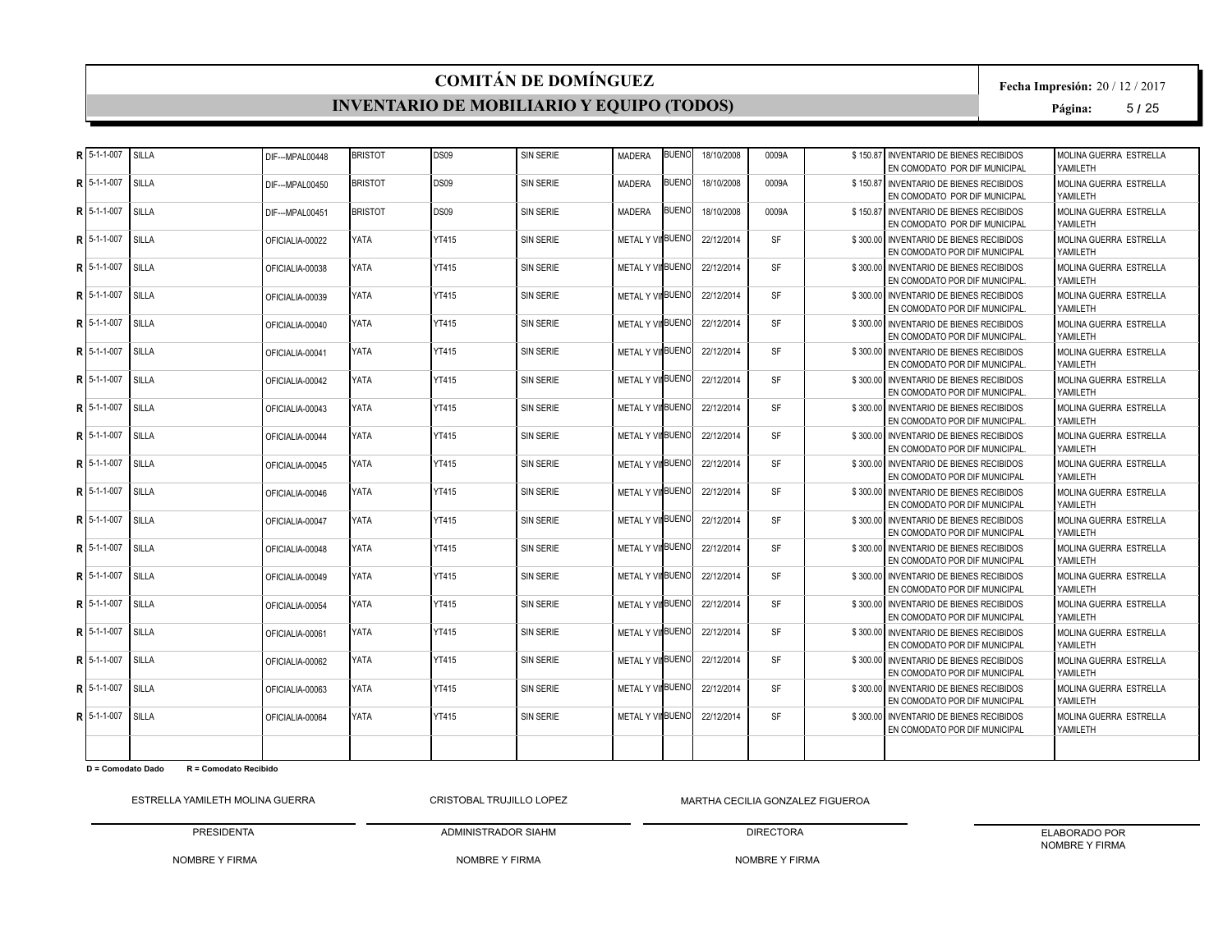#### **INVENTARIO DE MOBILIARIO Y EQUIPO (TODOS)**

**Fecha Impresión:** 20 / 12 / 2017

**Página:** 5 **/** 25

| R 5-1-1-007   | <b>SILLA</b> | DIF--- MPAL00448 | <b>BRISTOT</b> | DS09         | <b>SIN SERIE</b> | <b>MADERA</b>            | <b>BUENC</b> | 18/10/2008 | 0009A     | \$150.87 | INVENTARIO DE BIENES RECIBIDOS<br>EN COMODATO POR DIF MUNICIPAL           | MOLINA GUERRA ESTRELLA<br>YAMILETH  |
|---------------|--------------|------------------|----------------|--------------|------------------|--------------------------|--------------|------------|-----------|----------|---------------------------------------------------------------------------|-------------------------------------|
| R 5-1-1-007   | SILLA        | DIF---MPAL00450  | <b>BRISTOT</b> | DS09         | <b>SIN SERIE</b> | MADERA                   | BUENO        | 18/10/2008 | 0009A     |          | \$150.87 INVENTARIO DE BIENES RECIBIDOS<br>EN COMODATO POR DIF MUNICIPAL  | MOLINA GUERRA ESTRELLA<br>YAMII FTH |
| R 5-1-1-007   | SILLA        | DIF---MPAL00451  | <b>BRISTOT</b> | <b>DS09</b>  | <b>SIN SERIE</b> | <b>MADERA</b>            | BUENC        | 18/10/2008 | 0009A     |          | \$150.87 INVENTARIO DE BIENES RECIBIDOS<br>EN COMODATO POR DIF MUNICIPAL  | MOLINA GUERRA ESTRELLA<br>YAMILETH  |
| R 5-1-1-007   | <b>SILLA</b> | OFICIALIA-00022  | YATA           | <b>YT415</b> | <b>SIN SERIE</b> | <b>METAL Y VII BUENO</b> |              | 22/12/2014 | <b>SF</b> |          | \$300.00 INVENTARIO DE BIENES RECIBIDOS<br>EN COMODATO POR DIF MUNICIPAL  | MOLINA GUERRA ESTRELLA<br>YAMII FTH |
| R 5-1-1-007   | <b>SILLA</b> | OFICIALIA-00038  | YATA           | <b>YT415</b> | SIN SERIE        | METAL Y VIIBUENO         |              | 22/12/2014 | <b>SF</b> |          | \$300.00 INVENTARIO DE BIENES RECIBIDOS<br>EN COMODATO POR DIF MUNICIPAL. | MOLINA GUERRA ESTRELLA<br>YAMILETH  |
| R 5-1-1-007   | SILLA        | OFICIALIA-00039  | YATA           | YT415        | <b>SIN SERIE</b> | METAL Y VIIBUENO         |              | 22/12/2014 | <b>SF</b> |          | \$300.00 INVENTARIO DE BIENES RECIBIDOS<br>EN COMODATO POR DIF MUNICIPAL. | MOLINA GUERRA ESTRELLA<br>YAMILETH  |
| R 5-1-1-007   | SILLA        | OFICIALIA-00040  | YATA           | YT415        | <b>SIN SERIE</b> | METAL Y VII BUENC        |              | 22/12/2014 | <b>SF</b> |          | \$300.00 INVENTARIO DE BIENES RECIBIDOS<br>EN COMODATO POR DIF MUNICIPAL. | MOLINA GUERRA ESTRELLA<br>YAMII FTH |
| R 5-1-1-007   | SILLA        | OFICIALIA-00041  | YATA           | <b>YT415</b> | <b>SIN SERIE</b> | <b>METAL Y VII BUENO</b> |              | 22/12/2014 | <b>SF</b> |          | \$300,00 INVENTARIO DE BIENES RECIBIDOS<br>EN COMODATO POR DIF MUNICIPAL. | MOLINA GUERRA ESTRELLA<br>YAMILETH  |
| R 5-1-1-007   | SILLA        | OFICIALIA-00042  | YATA           | <b>YT415</b> | <b>SIN SERIE</b> | <b>METAL Y VII BUENO</b> |              | 22/12/2014 | <b>SF</b> |          | \$300.00 INVENTARIO DE BIENES RECIBIDOS<br>EN COMODATO POR DIF MUNICIPAL. | MOLINA GUERRA ESTRELLA<br>YAMII FTH |
| R 5-1-1-007   | SILLA        | OFICIAL IA-00043 | YATA           | <b>YT415</b> | SIN SERIE        | <b>METAL Y VII BUENO</b> |              | 22/12/2014 | SF        |          | \$300.00 INVENTARIO DE BIENES RECIBIDOS<br>EN COMODATO POR DIF MUNICIPAL. | MOLINA GUERRA ESTRELLA<br>YAMILETH  |
| R 5-1-1-007   | SILLA        | OFICIALIA-00044  | YATA           | <b>YT415</b> | <b>SIN SERIE</b> | METAL Y VIIBUENO         |              | 22/12/2014 | <b>SF</b> |          | \$300,00 INVENTARIO DE BIENES RECIBIDOS<br>EN COMODATO POR DIF MUNICIPAL. | MOLINA GUERRA ESTRELLA<br>YAMILETH  |
| R 5-1-1-007   | <b>SILLA</b> | OFICIALIA-00045  | YATA           | <b>YT415</b> | <b>SIN SERIE</b> | METAL Y VINBUENO         |              | 22/12/2014 | <b>SF</b> |          | \$300.00 INVENTARIO DE BIENES RECIBIDOS<br>EN COMODATO POR DIF MUNICIPAL  | MOLINA GUERRA ESTRELLA<br>YAMII FTH |
| R 5-1-1-007   | <b>SILLA</b> | OFICIALIA-00046  | YATA           | YT415        | <b>SIN SERIE</b> | METAL Y VIIBUENO         |              | 22/12/2014 | <b>SF</b> |          | \$300.00 INVENTARIO DE BIENES RECIBIDOS<br>EN COMODATO POR DIF MUNICIPAL  | MOLINA GUERRA ESTRELLA<br>YAMILETH  |
| R 5-1-1-007   | SILLA        | OFICIALIA-00047  | YATA           | <b>YT415</b> | <b>SIN SERIE</b> | <b>METAL Y VINBUENO</b>  |              | 22/12/2014 | <b>SF</b> |          | \$300.00 INVENTARIO DE BIENES RECIBIDOS<br>EN COMODATO POR DIF MUNICIPAL  | MOLINA GUERRA ESTRELLA<br>YAMILETH  |
| R   5-1-1-007 | SILLA        | OFICIALIA-00048  | YATA           | <b>YT415</b> | SIN SERIE        | METAL Y VIIBUENO         |              | 22/12/2014 | <b>SF</b> |          | \$300.00 INVENTARIO DE BIENES RECIBIDOS<br>EN COMODATO POR DIF MUNICIPAL  | MOLINA GUERRA ESTRELLA<br>YAMILETH  |
| R 5-1-1-007   | SILLA        | OFICIALIA-00049  | YATA           | YT415        | <b>SIN SERIE</b> | METAL Y VIIBUENO         |              | 22/12/2014 | <b>SF</b> |          | \$300.00 INVENTARIO DE BIENES RECIBIDOS<br>EN COMODATO POR DIF MUNICIPAL  | MOLINA GUERRA ESTRELLA<br>YAMILETH  |
| R 5-1-1-007   | SILLA        | OFICIALIA-00054  | YATA           | YT415        | <b>SIN SERIE</b> | METAL Y VII BUENC        |              | 22/12/2014 | <b>SF</b> |          | \$300.00 INVENTARIO DE BIENES RECIBIDOS<br>EN COMODATO POR DIF MUNICIPAL  | MOLINA GUERRA ESTRELLA<br>YAMII FTH |
| R 5-1-1-007   | <b>SILLA</b> | OFICIALIA-00061  | YATA           | YT415        | <b>SIN SERIE</b> | METAL Y VII BUENO        |              | 22/12/2014 | <b>SF</b> |          | \$300,00 INVENTARIO DE BIENES RECIBIDOS<br>EN COMODATO POR DIF MUNICIPAL  | MOLINA GUERRA ESTRELLA<br>YAMILETH  |
| $R15-1-1-007$ | SILLA        | OFICIALIA-00062  | YATA           | <b>YT415</b> | <b>SIN SERIE</b> | METAL Y VIIBUENO         |              | 22/12/2014 | <b>SF</b> |          | \$300.00 INVENTARIO DE BIENES RECIBIDOS<br>EN COMODATO POR DIF MUNICIPAL  | MOLINA GUERRA ESTRELLA<br>YAMILETH  |
| R 5-1-1-007   | SILLA        | OFICIALIA-00063  | YATA           | YT415        | SIN SERIE        | METAL Y VIIBUENO         |              | 22/12/2014 | <b>SF</b> |          | \$300.00 INVENTARIO DE BIENES RECIBIDOS<br>EN COMODATO POR DIF MUNICIPAL  | MOLINA GUERRA ESTRELLA<br>YAMILETH  |
| R 5-1-1-007   | SILLA        | OFICIALIA-00064  | YATA           | YT415        | <b>SIN SERIE</b> | METAL Y VINBUENO         |              | 22/12/2014 | <b>SF</b> |          | \$300.00 INVENTARIO DE BIENES RECIBIDOS<br>EN COMODATO POR DIF MUNICIPAL  | MOLINA GUERRA ESTRELLA<br>YAMILETH  |
|               |              |                  |                |              |                  |                          |              |            |           |          |                                                                           |                                     |

**D = Comodato Dado R = Comodato Recibido**

ESTRELLA YAMILETH MOLINA GUERRA PRESIDENTA CRISTOBAL TRUJILLO LOPEZ

NOMBRE Y FIRMA MARTHA CECILIA GONZALEZ FIGUEROA

NOMBRE Y FIRMA

ADMINISTRADOR SIAHM

DIRECTORA NOMBRE Y FIRMA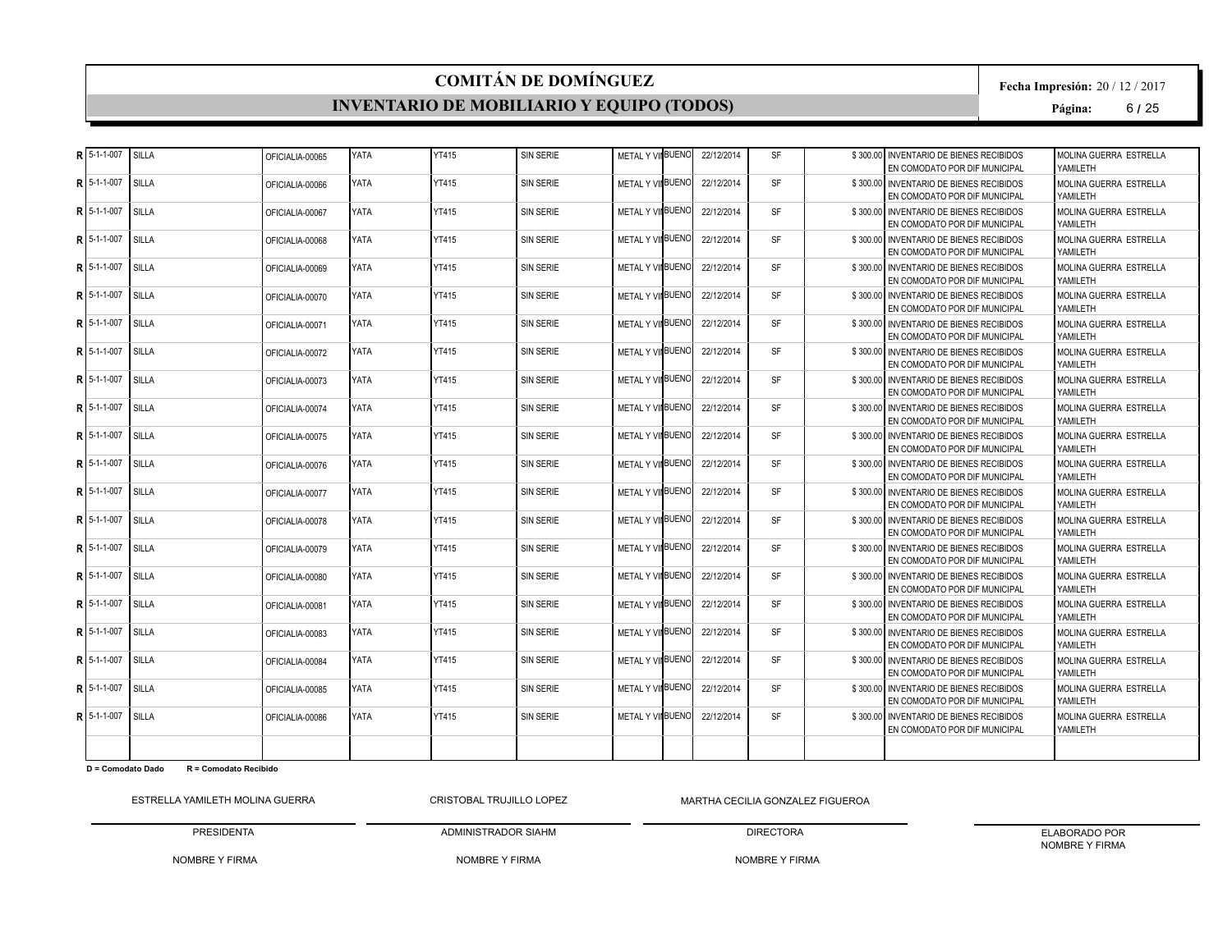#### **INVENTARIO DE MOBILIARIO Y EQUIPO (TODOS)**

**Fecha Impresión:** 20 / 12 / 2017

**Página:** 6 **/** 25

|    | $R$ 5-1-1-007       | SILLA        | OFICIALIA-00065 | <b>YATA</b> | YT415        | <b>SIN SERIE</b> | METAL Y VIIBUENO        | 22/12/2014 | <b>SF</b> | \$300.00 INVENTARIO DE BIENES RECIBIDOS<br>EN COMODATO POR DIF MUNICIPAL | MOLINA GUERRA ESTRELLA<br>YAMILETH  |
|----|---------------------|--------------|-----------------|-------------|--------------|------------------|-------------------------|------------|-----------|--------------------------------------------------------------------------|-------------------------------------|
| R  | 5-1-1-007           | SILLA        | OFICIALIA-00066 | YATA        | <b>YT415</b> | <b>SIN SERIE</b> | METAL Y VIIBUENO        | 22/12/2014 | <b>SF</b> | \$300.00 INVENTARIO DE BIENES RECIBIDOS<br>EN COMODATO POR DIF MUNICIPAL | MOLINA GUERRA ESTRELLA<br>YAMII FTH |
| R  | 5-1-1-007           | SILLA        | OFICIALIA-00067 | <b>YATA</b> | <b>YT415</b> | <b>SIN SERIE</b> | <b>METAL Y VINBUENO</b> | 22/12/2014 | <b>SF</b> | \$300.00 INVENTARIO DE BIENES RECIBIDOS<br>EN COMODATO POR DIF MUNICIPAL | MOLINA GUERRA ESTRELLA<br>YAMILETH  |
|    | $R$ 5-1-1-007       | SILLA        | OFICIALIA-00068 | YATA        | YT415        | <b>SIN SERIE</b> | METAL Y VIIBUENO        | 22/12/2014 | <b>SF</b> | \$300.00 INVENTARIO DE BIENES RECIBIDOS<br>EN COMODATO POR DIF MUNICIPAL | MOLINA GUERRA ESTRELLA<br>YAMII FTH |
| R  | 5-1-1-007           | SILLA        | OFICIALIA-00069 | YATA        | <b>YT415</b> | <b>SIN SERIE</b> | METAL Y VIIBUENO        | 22/12/2014 | <b>SF</b> | \$300,00 INVENTARIO DE BIENES RECIBIDOS<br>EN COMODATO POR DIF MUNICIPAL | MOLINA GUERRA ESTRELLA<br>YAMILETH  |
| R  | 5-1-1-007           | SILLA        | OFICIALIA-00070 | YATA        | <b>YT415</b> | <b>SIN SERIE</b> | METAL Y VIIBUENO        | 22/12/2014 | <b>SF</b> | \$300.00 INVENTARIO DE BIENES RECIBIDOS<br>EN COMODATO POR DIF MUNICIPAL | MOLINA GUERRA ESTRELLA<br>YAMII FTH |
| R  | 5-1-1-007           | SILLA        | OFICIALIA-00071 | YATA        | YT415        | <b>SIN SERIE</b> | METAL Y VIIBUENO        | 22/12/2014 | <b>SF</b> | \$300.00 INVENTARIO DE BIENES RECIBIDOS<br>EN COMODATO POR DIF MUNICIPAL | MOLINA GUERRA ESTRELLA<br>YAMILETH  |
|    | R 5-1-1-007         | SILLA        | OFICIALIA-00072 | YATA        | <b>YT415</b> | <b>SIN SERIE</b> | METAL Y VIIBUENO        | 22/12/2014 | <b>SF</b> | \$300.00 INVENTARIO DE BIENES RECIBIDOS<br>EN COMODATO POR DIF MUNICIPAL | MOLINA GUERRA ESTRELLA<br>YAMILETH  |
| R  | 5-1-1-007           | SILLA        | OFICIALIA-00073 | <b>YATA</b> | <b>YT415</b> | <b>SIN SERIE</b> | METAL Y VIIBUENO        | 22/12/2014 | <b>SF</b> | \$300,00 INVENTARIO DE BIENES RECIBIDOS<br>EN COMODATO POR DIF MUNICIPAL | MOLINA GUERRA ESTRELLA<br>YAMILETH  |
|    | <b>RI</b> 5-1-1-007 | SILLA        | OFICIALIA-00074 | YATA        | <b>YT415</b> | <b>SIN SERIE</b> | METAL Y VIIBUENO        | 22/12/2014 | <b>SF</b> | \$300,00 INVENTARIO DE BIENES RECIBIDOS<br>EN COMODATO POR DIF MUNICIPAL | MOLINA GUERRA ESTRELLA<br>YAMII FTH |
| R  | 5-1-1-007           | SILLA        | OFICIALIA-00075 | YATA        | <b>YT415</b> | <b>SIN SERIE</b> | METAL Y VINBUENO        | 22/12/2014 | <b>SF</b> | \$300,00 INVENTARIO DE BIENES RECIBIDOS<br>EN COMODATO POR DIF MUNICIPAL | MOLINA GUERRA ESTRELLA<br>YAMII FTH |
| R  | 5-1-1-007           | SILLA        | OFICIALIA-00076 | YATA        | YT415        | SIN SERIE        | METAL Y VIIBUENO        | 22/12/2014 | <b>SF</b> | \$300.00 INVENTARIO DE BIENES RECIBIDOS<br>EN COMODATO POR DIF MUNICIPAL | MOLINA GUERRA ESTRELLA<br>YAMILETH  |
| R  | 5-1-1-007           | SILLA        | OFICIALIA-00077 | YATA        | <b>YT415</b> | <b>SIN SERIE</b> | METAL Y VIIBUENO        | 22/12/2014 | <b>SF</b> | \$300,00 INVENTARIO DE BIENES RECIBIDOS<br>EN COMODATO POR DIF MUNICIPAL | MOLINA GUERRA ESTRELLA<br>YAMILETH  |
|    | $R$   5-1-1-007     | SILLA        | OFICIALIA-00078 | YATA        | <b>YT415</b> | <b>SIN SERIE</b> | METAL Y VII BUENO       | 22/12/2014 | <b>SF</b> | \$300.00 INVENTARIO DE BIENES RECIBIDOS<br>EN COMODATO POR DIF MUNICIPAL | MOLINA GUERRA ESTRELLA<br>YAMII FTH |
|    | R 5-1-1-007         | SILLA        | OFICIALIA-00079 | YATA        | <b>YT415</b> | <b>SIN SERIE</b> | METAL Y VIIBUENO        | 22/12/2014 | <b>SF</b> | \$300.00 INVENTARIO DE BIENES RECIBIDOS<br>EN COMODATO POR DIF MUNICIPAL | MOLINA GUERRA ESTRELLA<br>YAMII FTH |
| R  | 5-1-1-007           | SILLA        | OFICIALIA-00080 | <b>YATA</b> | <b>YT415</b> | <b>SIN SERIE</b> | METAL Y VII BUENO       | 22/12/2014 | <b>SF</b> | \$300,00 INVENTARIO DE BIENES RECIBIDOS<br>EN COMODATO POR DIF MUNICIPAL | MOLINA GUERRA ESTRELLA<br>YAMILETH  |
| R  | 5-1-1-007           | <b>SILLA</b> | OFICIALIA-00081 | YATA        | YT415        | <b>SIN SERIE</b> | METAL Y VIIBUENO        | 22/12/2014 | <b>SF</b> | \$300.00 INVENTARIO DE BIENES RECIBIDOS<br>EN COMODATO POR DIF MUNICIPAL | MOLINA GUERRA ESTRELLA<br>YAMII FTH |
| R. | 5-1-1-007           | SILLA        | OFICIALIA-00083 | YATA        | <b>YT415</b> | <b>SIN SERIE</b> | METAL Y VIIBUENO        | 22/12/2014 | <b>SF</b> | \$300,00 INVENTARIO DE BIENES RECIBIDOS<br>EN COMODATO POR DIF MUNICIPAL | MOLINA GUERRA ESTRELLA<br>YAMILETH  |
| R  | 5-1-1-007           | SILLA        | OFICIALIA-00084 | YATA        | <b>YT415</b> | <b>SIN SERIE</b> | <b>METAL Y VINBUENO</b> | 22/12/2014 | <b>SF</b> | \$300.00 INVENTARIO DE BIENES RECIBIDOS<br>EN COMODATO POR DIF MUNICIPAL | MOLINA GUERRA ESTRELLA<br>YAMII FTH |
|    | R 5-1-1-007         | SILLA        | OFICIALIA-00085 | YATA        | YT415        | <b>SIN SERIE</b> | METAL Y VIIBUENO        | 22/12/2014 | <b>SF</b> | \$300.00 INVENTARIO DE BIENES RECIBIDOS<br>EN COMODATO POR DIF MUNICIPAL | MOLINA GUERRA ESTRELLA<br>YAMILETH  |
|    | $R$ 5-1-1-007       | SILLA        | OFICIALIA-00086 | YATA        | <b>YT415</b> | <b>SIN SERIE</b> | METAL Y VINBUENO        | 22/12/2014 | <b>SF</b> | \$300.00 INVENTARIO DE BIENES RECIBIDOS<br>EN COMODATO POR DIF MUNICIPAL | MOLINA GUERRA ESTRELLA<br>YAMILETH  |
|    |                     |              |                 |             |              |                  |                         |            |           |                                                                          |                                     |

**D = Comodato Dado R = Comodato Recibido**

ESTRELLA YAMILETH MOLINA GUERRA

PRESIDENTA CRISTOBAL TRUJILLO LOPEZ

NOMBRE Y FIRMA MARTHA CECILIA GONZALEZ FIGUEROA

NOMBRE Y FIRMA

ADMINISTRADOR SIAHM

DIRECTORA NOMBRE Y FIRMA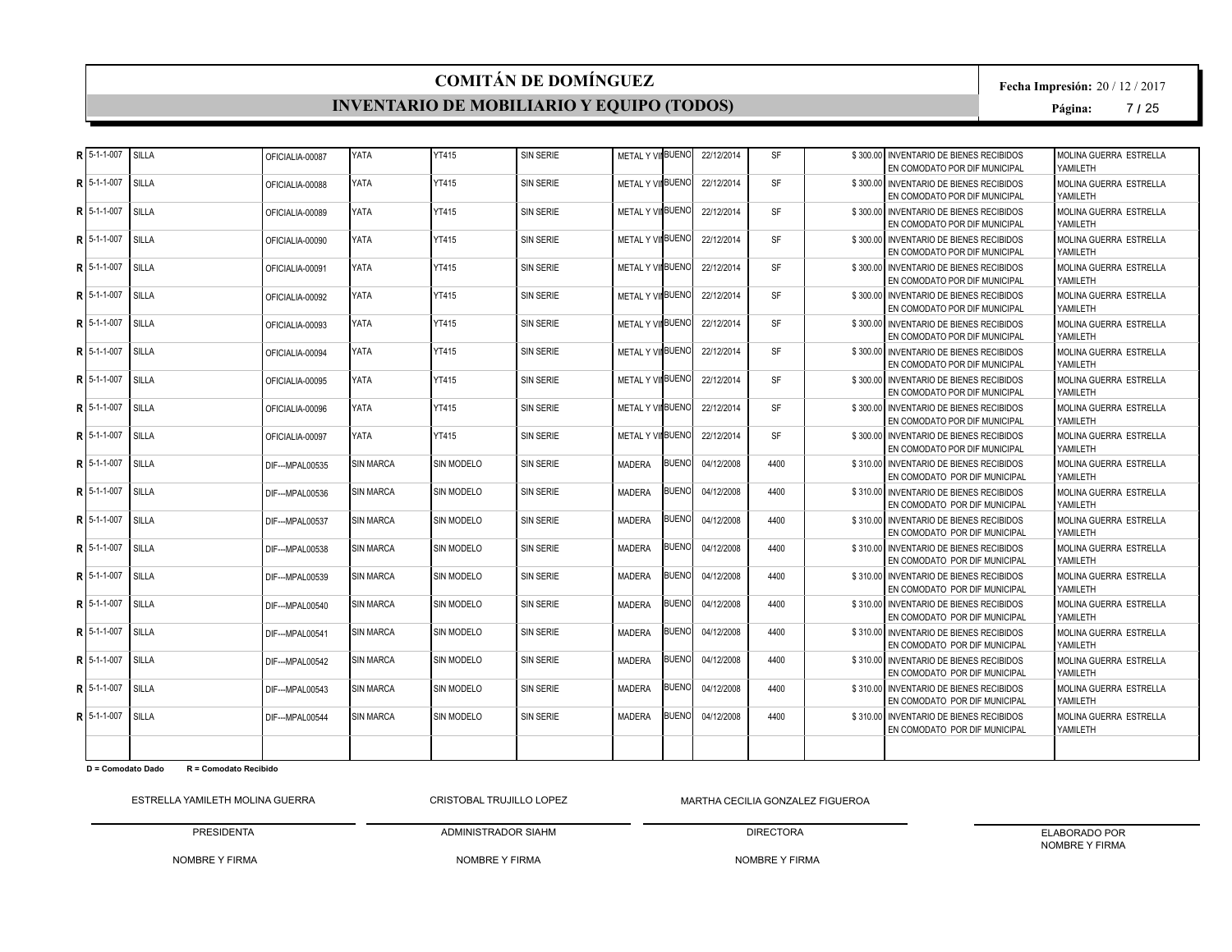#### **INVENTARIO DE MOBILIARIO Y EQUIPO (TODOS)**

**Fecha Impresión:** 20 / 12 / 2017

**Página:** 7 **/** 25

|   | $R$ <sub>5-1-1-007</sub> | SILLA        | OFICIALIA-00087  | YATA             | YT415             | <b>SIN SERIE</b> | METAL Y VIIBUENO        |              | 22/12/2014 | <b>SF</b> | \$300.00 INVENTARIO DE BIENES RECIBIDOS<br>EN COMODATO POR DIF MUNICIPAL   | MOLINA GUERRA ESTRELLA<br>YAMII FTH |
|---|--------------------------|--------------|------------------|------------------|-------------------|------------------|-------------------------|--------------|------------|-----------|----------------------------------------------------------------------------|-------------------------------------|
| R | 5-1-1-007                | SILLA        | OFICIALIA-00088  | YATA             | <b>YT415</b>      | SIN SERIE        | METAL Y VII BUENO       |              | 22/12/2014 | <b>SF</b> | \$300,00 INVENTARIO DE BIENES RECIBIDOS<br>EN COMODATO POR DIF MUNICIPAL   | MOLINA GUERRA ESTRELLA<br>YAMILETH  |
|   | R 5-1-1-007              | SILLA        | OFICIALIA-00089  | YATA             | <b>YT415</b>      | SIN SERIE        | <b>METAL Y VINBUENO</b> |              | 22/12/2014 | <b>SF</b> | \$300,00 INVENTARIO DE BIENES RECIBIDOS<br>EN COMODATO POR DIF MUNICIPAL   | MOLINA GUERRA ESTRELLA<br>YAMII FTH |
|   | $R$ 15-1-1-007           | SILLA        | OFICIALIA-00090  | YATA             | YT415             | SIN SERIE        | METAL Y VIIBUENO        |              | 22/12/2014 | <b>SF</b> | \$300.00 INVENTARIO DE BIENES RECIBIDOS<br>EN COMODATO POR DIF MUNICIPAL   | MOLINA GUERRA ESTRELLA<br>YAMII FTH |
|   | R 5-1-1-007              | SILLA        | OFICIALIA-00091  | YATA             | <b>YT415</b>      | <b>SIN SERIE</b> | METAL Y VIIBUENO        |              | 22/12/2014 | <b>SF</b> | \$300.00 INVENTARIO DE BIENES RECIBIDOS<br>EN COMODATO POR DIF MUNICIPAL   | MOLINA GUERRA ESTRELLA<br>YAMILETH  |
| R | 5-1-1-007                | SILLA        | OFICIALIA-00092  | <b>YATA</b>      | <b>YT415</b>      | <b>SIN SERIE</b> | <b>METAL Y VINBUENO</b> |              | 22/12/2014 | <b>SF</b> | \$300.00 INVENTARIO DE BIENES RECIBIDOS<br>EN COMODATO POR DIF MUNICIPAL   | MOLINA GUERRA ESTRELLA<br>YAMILETH  |
|   | $R$   5-1-1-007          | SILLA        | OFICIALIA-00093  | YATA             | YT415             | <b>SIN SERIE</b> | METAL Y VIIBUENO        |              | 22/12/2014 | <b>SF</b> | \$300.00 INVENTARIO DE BIENES RECIBIDOS<br>EN COMODATO POR DIF MUNICIPAL   | MOLINA GUERRA ESTRELLA<br>YAMILETH  |
|   | R 5-1-1-007              | SILLA        | OFICIALIA-00094  | YATA             | <b>YT415</b>      | <b>SIN SERIE</b> | METAL Y VIIBUENO        |              | 22/12/2014 | <b>SF</b> | \$300.00 INVENTARIO DE BIENES RECIBIDOS<br>EN COMODATO POR DIF MUNICIPAL   | MOLINA GUERRA ESTRELLA<br>YAMII FTH |
| R | 5-1-1-007                | SILLA        | OFICIALIA-00095  | YATA             | <b>YT415</b>      | <b>SIN SERIE</b> | METAL Y VII BUENO       |              | 22/12/2014 | SF        | \$300,00 INVENTARIO DE BIENES RECIBIDOS<br>EN COMODATO POR DIF MUNICIPAL   | MOLINA GUERRA ESTRELLA<br>YAMILETH  |
|   | $R$ 5-1-1-007            | SILLA        | OFICIALIA-00096  | YATA             | YT415             | SIN SERIE        | METAL Y VIIBUENO        |              | 22/12/2014 | <b>SF</b> | \$300,00 INVENTARIO DE BIENES RECIBIDOS<br>EN COMODATO POR DIF MUNICIPAL   | MOLINA GUERRA ESTRELLA<br>YAMILETH  |
| R | 5-1-1-007                | SILLA        | OFICIALIA-00097  | YATA             | <b>YT415</b>      | <b>SIN SERIE</b> | METAL Y VIIBUENO        |              | 22/12/2014 | <b>SF</b> | \$300.00 INVENTARIO DE BIENES RECIBIDOS<br>EN COMODATO POR DIF MUNICIPAL   | MOLINA GUERRA ESTRELLA<br>YAMILETH  |
|   | R 5-1-1-007              | <b>SILLA</b> | DIF--- MPAL00535 | <b>SIN MARCA</b> | <b>SIN MODELO</b> | <b>SIN SERIE</b> | <b>MADERA</b>           | <b>BUENO</b> | 04/12/2008 | 4400      | \$310.00 INVENTARIO DE BIENES RECIBIDOS<br>EN COMODATO POR DIF MUNICIPAL   | MOLINA GUERRA ESTRELLA<br>YAMILETH  |
| R | 5-1-1-007                | SILLA        | DIF--- MPAL00536 | <b>SIN MARCA</b> | <b>SIN MODELO</b> | <b>SIN SERIE</b> | <b>MADERA</b>           | <b>BUENO</b> | 04/12/2008 | 4400      | \$310.00 INVENTARIO DE BIENES RECIBIDOS<br>EN COMODATO POR DIF MUNICIPAL   | MOLINA GUERRA ESTRELLA<br>YAMILETH  |
|   | $R$ 5-1-1-007            | SILLA        | DIF--- MPAL00537 | <b>SIN MARCA</b> | SIN MODELO        | <b>SIN SERIE</b> | <b>MADERA</b>           | <b>BUENO</b> | 04/12/2008 | 4400      | \$310,00 INVENTARIO DE BIENES RECIBIDOS<br>EN COMODATO POR DIF MUNICIPAL   | MOLINA GUERRA ESTRELLA<br>YAMILETH  |
|   | R 5-1-1-007              | SILLA        | DIF--- MPAL00538 | <b>SIN MARCA</b> | SIN MODELO        | <b>SIN SERIE</b> | <b>MADERA</b>           | <b>BUENO</b> | 04/12/2008 | 4400      | \$310.00 INVENTARIO DE BIENES RECIBIDOS<br>EN COMODATO POR DIF MUNICIPAL   | MOLINA GUERRA ESTRELLA<br>YAMILETH  |
| R | 5-1-1-007                | SILLA        | DIF--- MPAL00539 | <b>SIN MARCA</b> | <b>SIN MODELO</b> | SIN SERIE        | <b>MADERA</b>           | <b>BUENO</b> | 04/12/2008 | 4400      | \$310.00 INVENTARIO DE BIENES RECIBIDOS<br>EN COMODATO POR DIF MUNICIPAL   | MOLINA GUERRA ESTRELLA<br>YAMILETH  |
| R | 5-1-1-007                | SILLA        | DIF--- MPAL00540 | <b>SIN MARCA</b> | SIN MODELO        | <b>SIN SERIE</b> | <b>MADERA</b>           | <b>BUENO</b> | 04/12/2008 | 4400      | \$310.00 INVENTARIO DE BIENES RECIBIDOS<br>EN COMODATO POR DIF MUNICIPAL   | MOLINA GUERRA ESTRELLA<br>YAMILETH  |
|   | $R$ 15-1-1-007           | SILLA        | DIF--- MPAL00541 | <b>SIN MARCA</b> | SIN MODELO        | <b>SIN SERIE</b> | <b>MADERA</b>           | <b>BUENO</b> | 04/12/2008 | 4400      | \$310.00 INVENTARIO DE BIENES RECIBIDOS<br>EN COMODATO POR DIF MUNICIPAL   | MOLINA GUERRA ESTRELLA<br>YAMILETH  |
| R | 5-1-1-007                | SILLA        | DIF--- MPAL00542 | <b>SIN MARCA</b> | SIN MODELO        | <b>SIN SERIE</b> | <b>MADERA</b>           | <b>BUENO</b> | 04/12/2008 | 4400      | \$310.00 INVENTARIO DE BIENES RECIBIDOS<br>EN COMODATO POR DIF MUNICIPAL   | MOLINA GUERRA ESTRELLA<br>YAMILETH  |
|   | $R$ 15-1-1-007           | SILLA        | DIF--- MPAL00543 | <b>SIN MARCA</b> | <b>SIN MODELO</b> | <b>SIN SERIE</b> | <b>MADERA</b>           | BUENO        | 04/12/2008 | 4400      | \$310.00 INVENTARIO DE BIENES RECIBIDOS<br>EN COMODATO POR DIF MUNICIPAL   | MOLINA GUERRA ESTRELLA<br>YAMILETH  |
|   | R 5-1-1-007              | SILLA        | DIF--- MPAL00544 | <b>SIN MARCA</b> | SIN MODELO        | SIN SERIE        | <b>MADERA</b>           | <b>BUENO</b> | 04/12/2008 | 4400      | \$310,00 I INVENTARIO DE BIENES RECIBIDOS<br>EN COMODATO POR DIF MUNICIPAL | MOLINA GUERRA ESTRELLA<br>YAMILETH  |
|   |                          |              |                  |                  |                   |                  |                         |              |            |           |                                                                            |                                     |

**D = Comodato Dado R = Comodato Recibido**

ESTRELLA YAMILETH MOLINA GUERRA PRESIDENTA CRISTOBAL TRUJILLO LOPEZ

NOMBRE Y FIRMA MARTHA CECILIA GONZALEZ FIGUEROA

ADMINISTRADOR SIAHM

DIRECTORA

NOMBRE Y FIRMA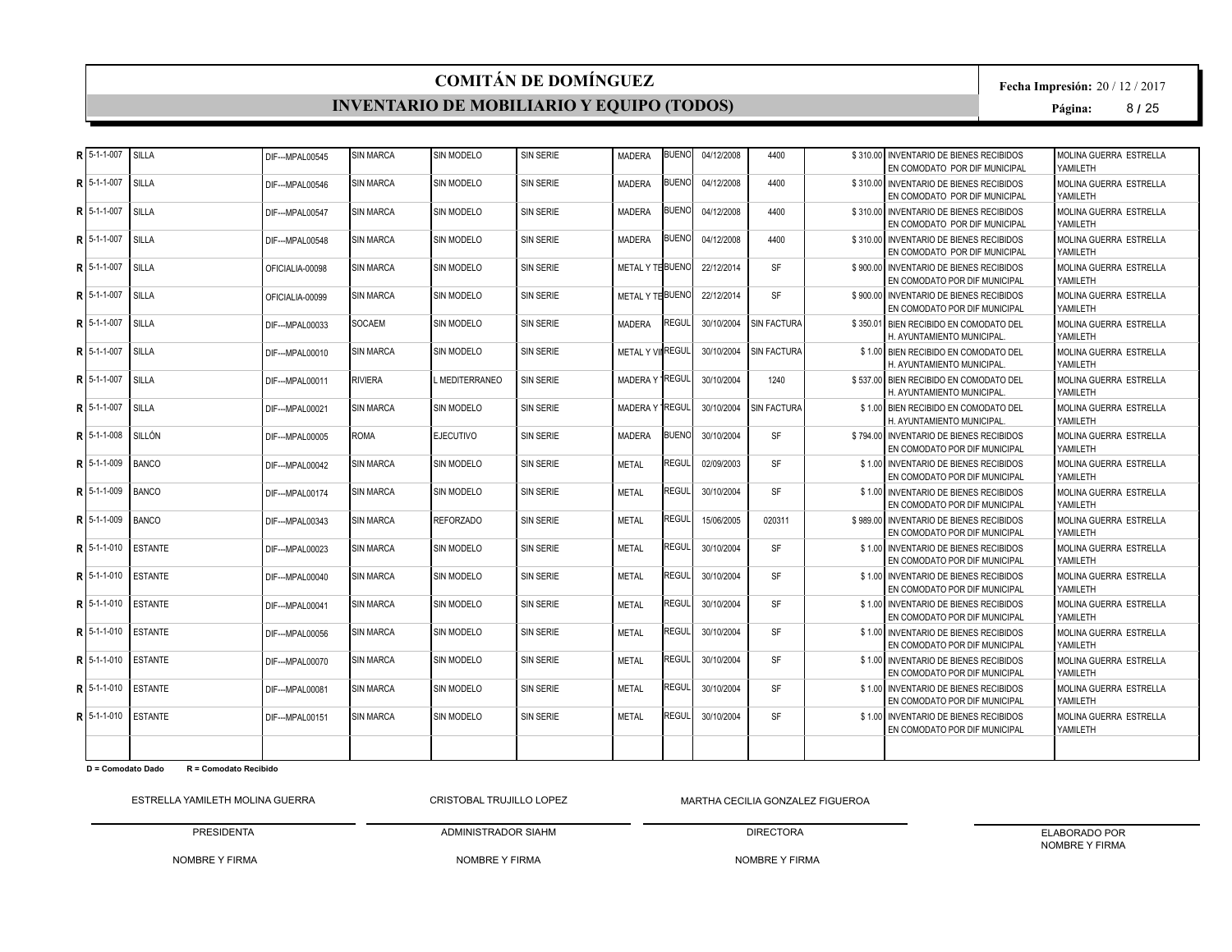#### **INVENTARIO DE MOBILIARIO Y EQUIPO (TODOS)**

**Fecha Impresión:** 20 / 12 / 2017

**Página:** 8 **/** 25

| R 5-1-1-007                 | SILLA          | DIF--- MPAL00545 | <b>SIN MARCA</b> | SIN MODELO          | <b>SIN SERIE</b> | <b>MADERA</b>           | <b>BUENO</b> | 04/12/2008 | 4400               | \$310.00 INVENTARIO DE BIENES RECIBIDOS<br>EN COMODATO POR DIF MUNICIPAL | MOLINA GUERRA ESTRELLA<br>YAMII FTH |
|-----------------------------|----------------|------------------|------------------|---------------------|------------------|-------------------------|--------------|------------|--------------------|--------------------------------------------------------------------------|-------------------------------------|
| R 5-1-1-007                 | <b>SILLA</b>   | DIF--- MPAL00546 | <b>SIN MARCA</b> | <b>SIN MODELO</b>   | <b>SIN SERIE</b> | <b>MADERA</b>           | <b>BUENO</b> | 04/12/2008 | 4400               | \$310,00 INVENTARIO DE BIENES RECIBIDOS<br>EN COMODATO POR DIF MUNICIPAL | MOLINA GUERRA ESTRELLA<br>YAMILETH  |
| R 5-1-1-007                 | SILLA          | DIF--- MPAL00547 | <b>SIN MARCA</b> | <b>SIN MODELO</b>   | <b>SIN SERIE</b> | <b>MADERA</b>           | <b>BUENO</b> | 04/12/2008 | 4400               | \$310.00 INVENTARIO DE BIENES RECIBIDOS<br>EN COMODATO POR DIF MUNICIPAL | MOLINA GUERRA ESTRELLA<br>YAMII FTH |
| R 5-1-1-007                 | SILLA          | DIF--- MPAL00548 | <b>SIN MARCA</b> | <b>SIN MODELO</b>   | <b>SIN SERIE</b> | <b>MADERA</b>           | <b>BUENO</b> | 04/12/2008 | 4400               | \$310.00 INVENTARIO DE BIENES RECIBIDOS<br>EN COMODATO POR DIF MUNICIPAL | MOLINA GUERRA ESTRELLA<br>YAMII FTH |
| R 5-1-1-007                 | SILLA          | OFICIALIA-00098  | <b>SIN MARCA</b> | <b>SIN MODELO</b>   | <b>SIN SERIE</b> | METAL Y TE BUENO        |              | 22/12/2014 | <b>SF</b>          | \$900.00 INVENTARIO DE BIENES RECIBIDOS<br>EN COMODATO POR DIF MUNICIPAL | MOLINA GUERRA ESTRELLA<br>YAMILETH  |
| $R$ 5-1-1-007               | SILLA          | OFICIALIA-00099  | <b>SIN MARCA</b> | <b>SIN MODELO</b>   | <b>SIN SERIE</b> | METAL Y THBUENO         |              | 22/12/2014 | <b>SF</b>          | \$900.00 INVENTARIO DE BIENES RECIBIDOS<br>EN COMODATO POR DIF MUNICIPAL | MOLINA GUERRA ESTRELLA<br>YAMILETH  |
| R 5-1-1-007                 | SILLA          | DIF--- MPAL00033 | <b>SOCAEM</b>    | <b>SIN MODELO</b>   | <b>SIN SERIE</b> | <b>MADERA</b>           | REGUL        | 30/10/2004 | SIN FACTURA        | \$350.01 BIEN RECIBIDO EN COMODATO DEL<br>H. AYUNTAMIENTO MUNICIPAL      | MOLINA GUERRA ESTRELLA<br>YAMILETH  |
| R 5-1-1-007                 | SILLA          | DIF--- MPAL00010 | <b>SIN MARCA</b> | SIN MODELO          | SIN SERIE        | <b>METAL Y VINREGUL</b> |              | 30/10/2004 | <b>SIN FACTURA</b> | \$1.00 BIEN RECIBIDO EN COMODATO DEL<br>H. AYUNTAMIENTO MUNICIPAL        | MOLINA GUERRA ESTRELLA<br>YAMII FTH |
| R 5-1-1-007                 | SILLA          | DIF--- MPAL00011 | <b>RIVIERA</b>   | <b>MEDITERRANEO</b> | <b>SIN SERIE</b> | MADERA Y REGUL          |              | 30/10/2004 | 1240               | \$537.00 BIEN RECIBIDO EN COMODATO DEL<br>H. AYUNTAMIENTO MUNICIPAL      | MOLINA GUERRA ESTRELLA<br>YAMILETH  |
| R 5-1-1-007                 | SILLA          | DIF--- MPAL00021 | <b>SIN MARCA</b> | SIN MODELO          | <b>SIN SERIE</b> | MADERA Y REGUL          |              | 30/10/2004 | SIN FACTURA        | \$1.00 BIEN RECIBIDO EN COMODATO DEL<br>H. AYUNTAMIENTO MUNICIPAL        | MOLINA GUERRA ESTRELLA<br>YAMILETH  |
| $R$ 5-1-1-008               | <b>SILLÓN</b>  | DIF--- MPAL00005 | <b>ROMA</b>      | <b>EJECUTIVO</b>    | <b>SIN SERIE</b> | <b>MADERA</b>           | <b>BUENO</b> | 30/10/2004 | <b>SF</b>          | \$794.00 INVENTARIO DE BIENES RECIBIDOS<br>EN COMODATO POR DIF MUNICIPAL | MOLINA GUERRA ESTRELLA<br>YAMILETH  |
| R 5-1-1-009                 | <b>BANCO</b>   | DIF---MPAL00042  | <b>SIN MARCA</b> | <b>SIN MODELO</b>   | <b>SIN SERIE</b> | <b>METAL</b>            | REGUL        | 02/09/2003 | <b>SF</b>          | \$1.00 INVENTARIO DE BIENES RECIBIDOS<br>EN COMODATO POR DIF MUNICIPAL   | MOLINA GUERRA ESTRELLA<br>YAMILETH  |
| $R$ 5-1-1-009               | <b>BANCO</b>   | DIF--- MPAL00174 | <b>SIN MARCA</b> | SIN MODELO          | <b>SIN SERIE</b> | <b>METAL</b>            | REGUL        | 30/10/2004 | SF                 | \$1.00 INVENTARIO DE BIENES RECIBIDOS<br>EN COMODATO POR DIF MUNICIPAL   | MOLINA GUERRA ESTRELLA<br>YAMILETH  |
| $R$ 5-1-1-009               | <b>BANCO</b>   | DIF---MPAL00343  | <b>SIN MARCA</b> | <b>REFORZADO</b>    | <b>SIN SERIE</b> | <b>METAL</b>            | <b>REGUL</b> | 15/06/2005 | 020311             | \$989.00 INVENTARIO DE BIENES RECIBIDOS<br>EN COMODATO POR DIF MUNICIPAL | MOLINA GUERRA ESTRELLA<br>YAMILETH  |
| R 5-1-1-010                 | <b>ESTANTE</b> | DIF--- MPAL00023 | <b>SIN MARCA</b> | SIN MODELO          | SIN SERIE        | <b>METAL</b>            | REGUL        | 30/10/2004 | <b>SF</b>          | \$1.00 INVENTARIO DE BIENES RECIBIDOS<br>EN COMODATO POR DIF MUNICIPAL   | MOLINA GUERRA ESTRELLA<br>YAMILETH  |
| $R15-1-1-010$               | <b>ESTANTE</b> | DIF--- MPAL00040 | <b>SIN MARCA</b> | <b>SIN MODELO</b>   | SIN SERIE        | <b>METAL</b>            | REGUL        | 30/10/2004 | <b>SF</b>          | \$1.00 INVENTARIO DE BIENES RECIBIDOS<br>EN COMODATO POR DIF MUNICIPAL   | MOLINA GUERRA ESTRELLA<br>YAMILETH  |
| R 5-1-1-010                 | <b>ESTANTE</b> | DIF--- MPAL00041 | <b>SIN MARCA</b> | SIN MODELO          | SIN SERIE        | <b>METAL</b>            | REGUL        | 30/10/2004 | <b>SF</b>          | \$1.00 INVENTARIO DE BIENES RECIBIDOS<br>EN COMODATO POR DIF MUNICIPAL   | MOLINA GUERRA ESTRELLA<br>YAMILETH  |
| $R15-1-1-010$               | <b>ESTANTE</b> | DIF--- MPAL00056 | <b>SIN MARCA</b> | <b>SIN MODELO</b>   | <b>SIN SERIE</b> | <b>METAL</b>            | REGUL        | 30/10/2004 | <b>SF</b>          | \$1.00 INVENTARIO DE BIENES RECIBIDOS<br>EN COMODATO POR DIF MUNICIPAL   | MOLINA GUERRA ESTRELLA<br>YAMILETH  |
| R 5-1-1-010                 | <b>ESTANTE</b> | DIF---MPAL00070  | <b>SIN MARCA</b> | SIN MODELO          | <b>SIN SERIE</b> | <b>METAL</b>            | REGUL        | 30/10/2004 | <b>SF</b>          | \$1.00 INVENTARIO DE BIENES RECIBIDOS<br>EN COMODATO POR DIF MUNICIPAL   | MOLINA GUERRA ESTRELLA<br>YAMILETH  |
| $R15-1-1-010$               | <b>ESTANTE</b> | DIF--- MPAL00081 | <b>SIN MARCA</b> | <b>SIN MODELO</b>   | <b>SIN SERIE</b> | <b>METAL</b>            | REGUL        | 30/10/2004 | <b>SF</b>          | \$1.00 INVENTARIO DE BIENES RECIBIDOS<br>EN COMODATO POR DIF MUNICIPAL   | MOLINA GUERRA ESTRELLA<br>YAMILETH  |
| <b>R1</b> 5-1-1-010 ESTANTE |                | DIF--- MPAL00151 | <b>SIN MARCA</b> | <b>SIN MODELO</b>   | SIN SERIE        | <b>METAL</b>            | REGUL        | 30/10/2004 | <b>SF</b>          | \$1.00 INVENTARIO DE BIENES RECIBIDOS<br>EN COMODATO POR DIF MUNICIPAL   | MOLINA GUERRA ESTRELLA<br>YAMILETH  |
|                             |                |                  |                  |                     |                  |                         |              |            |                    |                                                                          |                                     |

**D = Comodato Dado R = Comodato Recibido**

ESTRELLA YAMILETH MOLINA GUERRA PRESIDENTA CRISTOBAL TRUJILLO LOPEZ

NOMBRE Y FIRMA MARTHA CECILIA GONZALEZ FIGUEROA

NOMBRE Y FIRMA

ADMINISTRADOR SIAHM

DIRECTORA NOMBRE Y FIRMA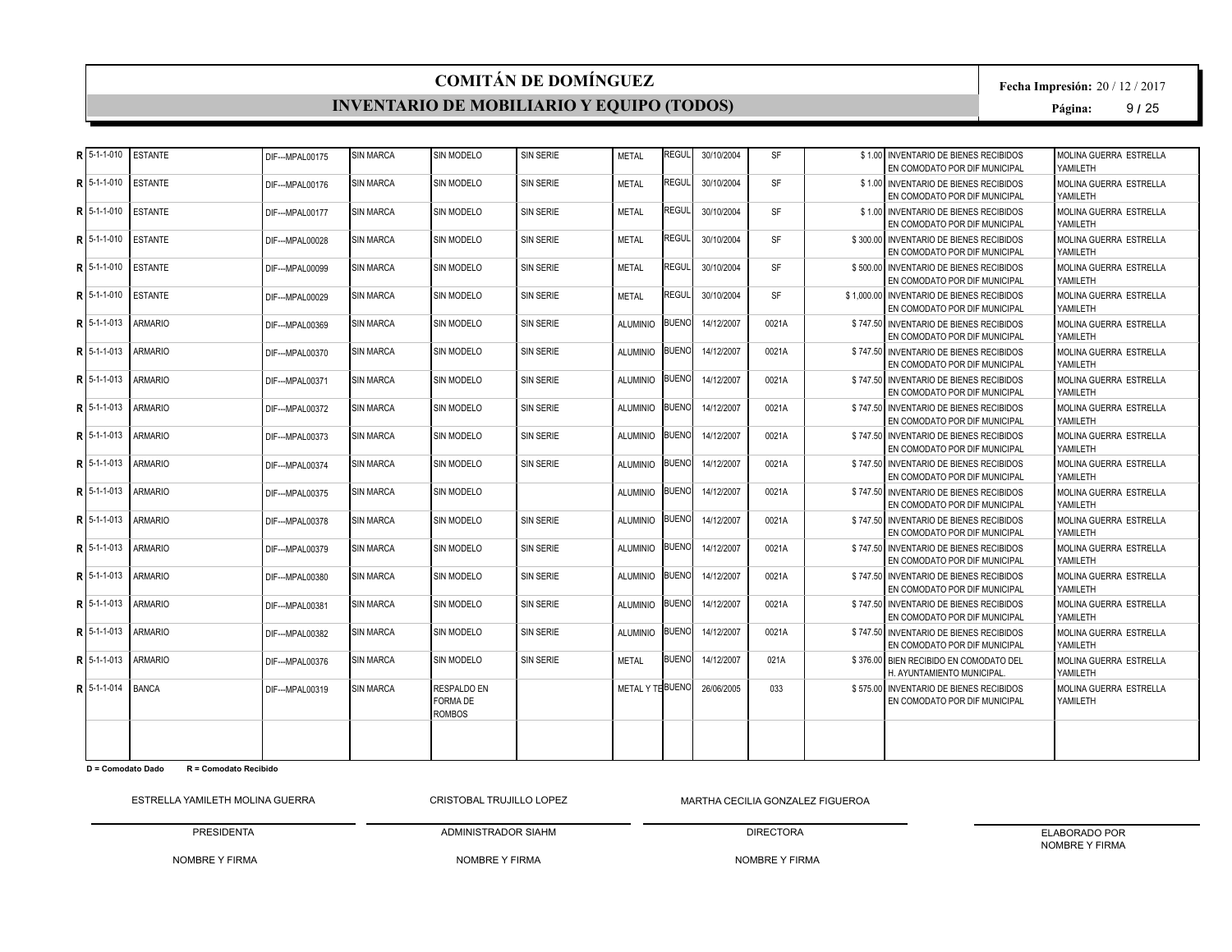#### **INVENTARIO DE MOBILIARIO Y EQUIPO (TODOS)**

**Fecha Impresión:** 20 / 12 / 2017

**Página:** 9 **/** 25

|   | $R$ 5-1-1-010              |                |                  |                  |                                                        |                  |                  |              |            |           |                                                                            |                                     |
|---|----------------------------|----------------|------------------|------------------|--------------------------------------------------------|------------------|------------------|--------------|------------|-----------|----------------------------------------------------------------------------|-------------------------------------|
|   |                            | <b>ESTANTE</b> | DIF--- MPAL00175 | <b>SIN MARCA</b> | SIN MODELO                                             | SIN SERIE        | <b>METAL</b>     | <b>REGUL</b> | 30/10/2004 | <b>SF</b> | \$1.00 INVENTARIO DE BIENES RECIBIDOS<br>EN COMODATO POR DIF MUNICIPAL     | MOLINA GUERRA ESTRELLA<br>YAMII FTH |
|   | $R$ 15-1-1-010             | <b>ESTANTE</b> | DIF---MPAL00176  | <b>SIN MARCA</b> | SIN MODELO                                             | <b>SIN SERIE</b> | <b>METAL</b>     | regul        | 30/10/2004 | <b>SF</b> | \$1.00 INVENTARIO DE BIENES RECIBIDOS<br>EN COMODATO POR DIF MUNICIPAL     | MOLINA GUERRA ESTRELLA<br>YAMILETH  |
|   | $R15-1-1-010$              | <b>ESTANTE</b> | DIF--- MPAL00177 | <b>SIN MARCA</b> | <b>SIN MODELO</b>                                      | <b>SIN SERIE</b> | <b>METAL</b>     | <b>REGUL</b> | 30/10/2004 | <b>SF</b> | \$1.00 INVENTARIO DE BIENES RECIBIDOS<br>EN COMODATO POR DIF MUNICIPAL     | MOLINA GUERRA ESTRELLA<br>YAMILETH  |
|   | $R15-1-1-010$              | <b>ESTANTE</b> | DIF--- MPAL00028 | <b>SIN MARCA</b> | SIN MODELO                                             | <b>SIN SERIE</b> | <b>METAL</b>     | REGUL        | 30/10/2004 | <b>SF</b> | \$300,00 INVENTARIO DE BIENES RECIBIDOS<br>EN COMODATO POR DIF MUNICIPAL   | MOLINA GUERRA ESTRELLA<br>YAMILETH  |
|   | $R$ 15-1-1-010             | <b>ESTANTE</b> | DIF--- MPAL00099 | <b>SIN MARCA</b> | <b>SIN MODELO</b>                                      | SIN SERIE        | <b>METAL</b>     | REGUL        | 30/10/2004 | <b>SF</b> | \$500.00 INVENTARIO DE BIENES RECIBIDOS<br>EN COMODATO POR DIF MUNICIPAL   | MOLINA GUERRA ESTRELLA<br>YAMILETH  |
|   | $R$ 5-1-1-010              | <b>ESTANTE</b> | DIF---MPAL00029  | <b>SIN MARCA</b> | SIN MODELO                                             | SIN SERIE        | <b>METAL</b>     | REGUL        | 30/10/2004 | <b>SF</b> | \$1,000.00 INVENTARIO DE BIENES RECIBIDOS<br>EN COMODATO POR DIF MUNICIPAL | MOLINA GUERRA ESTRELLA<br>YAMILETH  |
|   | $R$ 15-1-1-013             | <b>ARMARIO</b> | DIF--- MPAL00369 | <b>SIN MARCA</b> | <b>SIN MODELO</b>                                      | <b>SIN SERIE</b> | <b>ALUMINIO</b>  | <b>BUENO</b> | 14/12/2007 | 0021A     | \$747.50 INVENTARIO DE BIENES RECIBIDOS<br>EN COMODATO POR DIF MUNICIPAL   | MOLINA GUERRA ESTRELLA<br>YAMILETH  |
|   | $R15-1-1-013$              | <b>ARMARIO</b> | DIF---MPAL00370  | <b>SIN MARCA</b> | <b>SIN MODELO</b>                                      | SIN SERIE        | <b>ALUMINIO</b>  | <b>BUENO</b> | 14/12/2007 | 0021A     | \$747.50 INVENTARIO DE BIENES RECIBIDOS<br>EN COMODATO POR DIF MUNICIPAL   | MOLINA GUERRA ESTRELLA<br>YAMILETH  |
| R | 5-1-1-013                  | <b>ARMARIO</b> | DIF--- MPAL00371 | <b>SIN MARCA</b> | SIN MODELO                                             | <b>SIN SERIE</b> | <b>ALUMINIO</b>  | <b>BUENO</b> | 14/12/2007 | 0021A     | \$747.50 INVENTARIO DE BIENES RECIBIDOS<br>EN COMODATO POR DIF MUNICIPAL   | MOLINA GUERRA ESTRELLA<br>YAMILETH  |
|   | $R15-1-1-013$              | <b>ARMARIO</b> | DIF---MPAL00372  | <b>SIN MARCA</b> | SIN MODELO                                             | <b>SIN SERIE</b> | <b>ALUMINIO</b>  | <b>BUENO</b> | 14/12/2007 | 0021A     | \$747.50 INVENTARIO DE BIENES RECIBIDOS<br>EN COMODATO POR DIF MUNICIPAL   | MOLINA GUERRA ESTRELLA<br>YAMILETH  |
|   | $R$ 5-1-1-013              | <b>ARMARIO</b> | DIF--- MPAL00373 | <b>SIN MARCA</b> | SIN MODELO                                             | <b>SIN SERIE</b> | <b>ALUMINIO</b>  | <b>BUENO</b> | 14/12/2007 | 0021A     | \$747.50 INVENTARIO DE BIENES RECIBIDOS<br>EN COMODATO POR DIF MUNICIPAL   | MOLINA GUERRA ESTRELLA<br>YAMILETH  |
|   | $R$ 15-1-1-013             | <b>ARMARIO</b> | DIF--- MPAL00374 | <b>SIN MARCA</b> | <b>SIN MODELO</b>                                      | <b>SIN SERIE</b> | <b>ALUMINIO</b>  | <b>BUENO</b> | 14/12/2007 | 0021A     | \$747.50 INVENTARIO DE BIENES RECIBIDOS<br>EN COMODATO POR DIF MUNICIPAL   | MOLINA GUERRA ESTRELLA<br>YAMILETH  |
|   | $R$ 5-1-1-013              | <b>ARMARIO</b> | DIF--- MPAL00375 | <b>SIN MARCA</b> | SIN MODELO                                             |                  | <b>ALUMINIO</b>  | <b>BUENO</b> | 14/12/2007 | 0021A     | \$747.50 INVENTARIO DE BIENES RECIBIDOS<br>EN COMODATO POR DIF MUNICIPAL   | MOLINA GUERRA ESTRELLA<br>YAMILETH  |
|   | $R$ 15-1-1-013             | <b>ARMARIO</b> | DIF---MPAL00378  | <b>SIN MARCA</b> | SIN MODELO                                             | SIN SERIE        | <b>ALUMINIO</b>  | <b>BUENO</b> | 14/12/2007 | 0021A     | \$747.50 INVENTARIO DE BIENES RECIBIDOS<br>EN COMODATO POR DIF MUNICIPAL   | MOLINA GUERRA ESTRELLA<br>YAMILETH  |
|   | $R$ <sub>15</sub> -1-1-013 | <b>ARMARIO</b> | DIF---MPAL00379  | <b>SIN MARCA</b> | <b>SIN MODELO</b>                                      | <b>SIN SERIE</b> | <b>ALUMINIO</b>  | <b>BUENO</b> | 14/12/2007 | 0021A     | \$747.50 INVENTARIO DE BIENES RECIBIDOS<br>EN COMODATO POR DIF MUNICIPAL   | MOLINA GUERRA ESTRELLA<br>YAMILETH  |
| Þ | 5-1-1-013                  | <b>ARMARIO</b> | DIF--- MPAL00380 | <b>SIN MARCA</b> | SIN MODELO                                             | <b>SIN SERIE</b> | <b>ALUMINIO</b>  | <b>BUENO</b> | 14/12/2007 | 0021A     | \$747.50 INVENTARIO DE BIENES RECIBIDOS<br>EN COMODATO POR DIF MUNICIPAL   | MOLINA GUERRA ESTRELLA<br>YAMILETH  |
|   | $R15-1-1-013$              | <b>ARMARIO</b> | DIF--- MPAL00381 | <b>SIN MARCA</b> | <b>SIN MODELO</b>                                      | <b>SIN SERIE</b> | <b>ALUMINIO</b>  | <b>BUENO</b> | 14/12/2007 | 0021A     | \$747.50 INVENTARIO DE BIENES RECIBIDOS<br>EN COMODATO POR DIF MUNICIPAL   | MOLINA GUERRA ESTRELLA<br>YAMILETH  |
|   | $R$ 5-1-1-013              | <b>ARMARIO</b> | DIF---MPAL00382  | <b>SIN MARCA</b> | SIN MODELO                                             | <b>SIN SERIE</b> | ALLIMINIO        | <b>BUENO</b> | 14/12/2007 | 0021A     | \$747.50 INVENTARIO DE BIENES RECIBIDOS<br>EN COMODATO POR DIF MUNICIPAL   | MOLINA GUERRA ESTRELLA<br>YAMILETH  |
|   | 5-1-1-013                  | <b>ARMARIO</b> | DIF--- MPAL00376 | <b>SIN MARCA</b> | SIN MODELO                                             | <b>SIN SERIE</b> | <b>METAL</b>     | <b>BUENO</b> | 14/12/2007 | 021A      | \$376.00 BIEN RECIBIDO EN COMODATO DEL<br>H. AYUNTAMIENTO MUNICIPAL.       | MOLINA GUERRA ESTRELLA<br>YAMILETH  |
|   | <b>R1</b> 5-1-1-014 BANCA  |                | DIF--- MPAL00319 | <b>SIN MARCA</b> | <b>RESPALDO EN</b><br><b>FORMA DE</b><br><b>ROMBOS</b> |                  | METAL Y TE BUENO |              | 26/06/2005 | 033       | \$575.00 INVENTARIO DE BIENES RECIBIDOS<br>EN COMODATO POR DIF MUNICIPAL   | MOLINA GUERRA ESTRELLA<br>YAMILETH  |
|   |                            |                |                  |                  |                                                        |                  |                  |              |            |           |                                                                            |                                     |

**D = Comodato Dado R = Comodato Recibido**

ESTRELLA YAMILETH MOLINA GUERRA PRESIDENTA CRISTOBAL TRUJILLO LOPEZ

ADMINISTRADOR SIAHM

NOMBRE Y FIRMA MARTHA CECILIA GONZALEZ FIGUEROA

NOMBRE Y FIRMA

NOMBRE Y FIRMA

DIRECTORA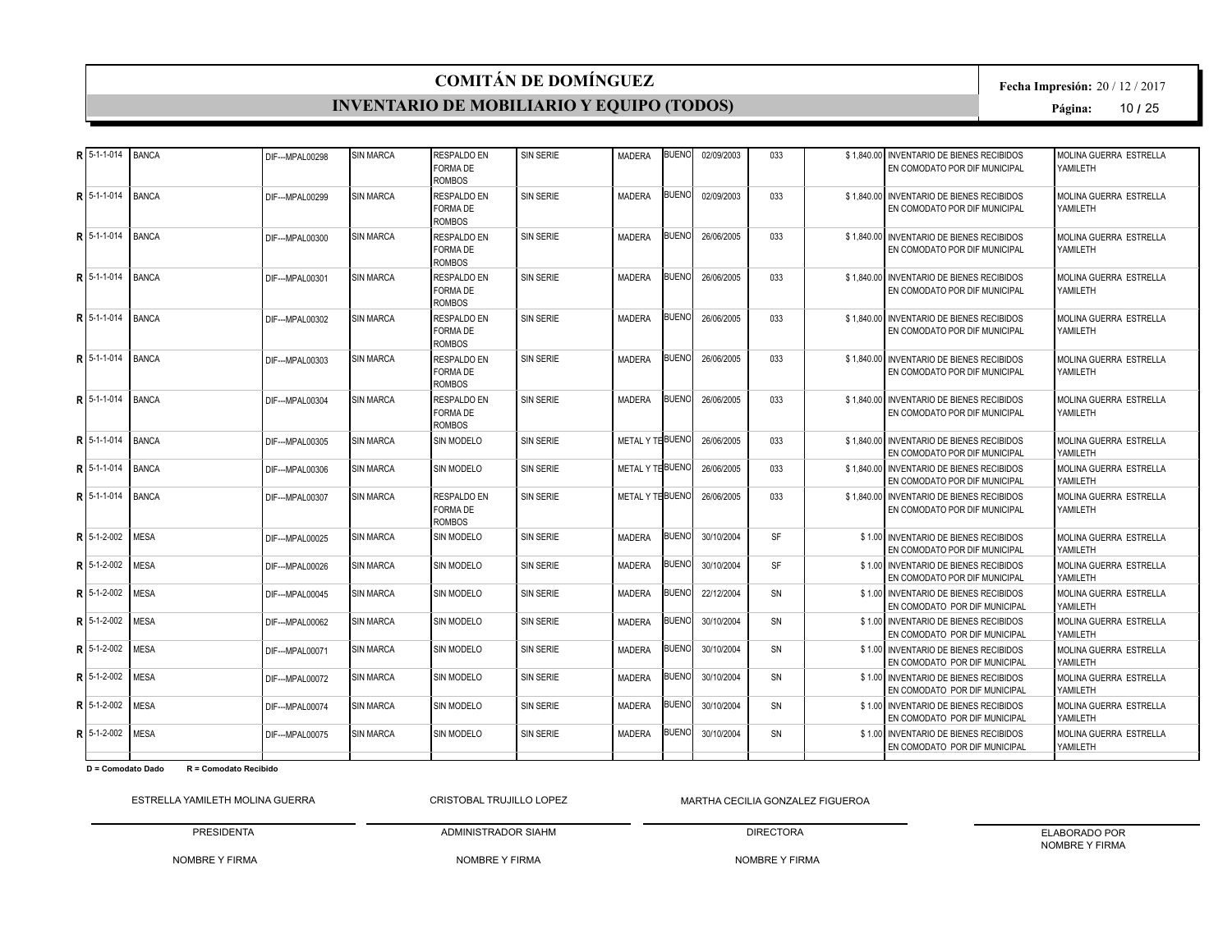#### **INVENTARIO DE MOBILIARIO Y EQUIPO (TODOS)**

**Fecha Impresión:** 20 / 12 / 2017

**Página:** 10 **/** 25

| R 5-1-1-014                     | <b>BANCA</b> | DIF--- MPAL00298 | <b>SIN MARCA</b> | <b>RESPALDO EN</b><br><b>FORMA DE</b><br><b>ROMBOS</b> | <b>SIN SERIE</b> | <b>MADERA</b>    | <b>BUENO</b> | 02/09/2003 | 033       | \$1.840.00 | <b>INVENTARIO DE BIENES RECIBIDOS</b><br>EN COMODATO POR DIF MUNICIPAL     | MOLINA GUERRA ESTRELLA<br>YAMILETH |
|---------------------------------|--------------|------------------|------------------|--------------------------------------------------------|------------------|------------------|--------------|------------|-----------|------------|----------------------------------------------------------------------------|------------------------------------|
| $R$ 5-1-1-014                   | <b>BANCA</b> | DIF--- MPAL00299 | <b>SIN MARCA</b> | <b>RESPALDO EN</b><br><b>FORMA DE</b><br><b>ROMBOS</b> | <b>SIN SERIE</b> | <b>MADERA</b>    | <b>BUENO</b> | 02/09/2003 | 033       |            | \$1.840.00 INVENTARIO DE BIENES RECIBIDOS<br>EN COMODATO POR DIF MUNICIPAL | MOLINA GUERRA ESTRELLA<br>YAMILETH |
| R 5-1-1-014 BANCA               |              | DIF--- MPAL00300 | <b>SIN MARCA</b> | <b>RESPALDO EN</b><br><b>FORMA DE</b><br><b>ROMBOS</b> | SIN SERIE        | <b>MADERA</b>    | <b>BUENO</b> | 26/06/2005 | 033       |            | \$1.840.00 INVENTARIO DE BIENES RECIBIDOS<br>EN COMODATO POR DIF MUNICIPAL | MOLINA GUERRA ESTRELLA<br>YAMILETH |
| $R$ <sub>15-1-1-014</sub> BANCA |              | DIF--- MPAL00301 | <b>SIN MARCA</b> | <b>RESPALDO EN</b><br>FORMA DE<br><b>ROMBOS</b>        | SIN SERIE        | <b>MADERA</b>    | <b>BUENO</b> | 26/06/2005 | 033       |            | \$1,840,00 INVENTARIO DE BIENES RECIBIDOS<br>EN COMODATO POR DIF MUNICIPAL | MOLINA GUERRA ESTRELLA<br>YAMILETH |
| $R15-1-1-014$                   | <b>BANCA</b> | DIF--- MPAL00302 | <b>SIN MARCA</b> | <b>RESPALDO EN</b><br>FORMA DE<br><b>ROMBOS</b>        | <b>SIN SERIE</b> | <b>MADERA</b>    | <b>BUENO</b> | 26/06/2005 | 033       |            | \$1,840.00 INVENTARIO DE BIENES RECIBIDOS<br>EN COMODATO POR DIF MUNICIPAL | MOLINA GUERRA ESTRELLA<br>YAMILETH |
| R 5-1-1-014                     | <b>BANCA</b> | DIF--- MPAL00303 | <b>SIN MARCA</b> | <b>RESPALDO EN</b><br><b>FORMA DE</b><br><b>ROMBOS</b> | <b>SIN SERIE</b> | <b>MADERA</b>    | <b>BUENO</b> | 26/06/2005 | 033       |            | \$1.840.00 INVENTARIO DE BIENES RECIBIDOS<br>EN COMODATO POR DIF MUNICIPAL | MOLINA GUERRA ESTRELLA<br>YAMILETH |
| R15-1-1-014                     | <b>BANCA</b> | DIF--- MPAL00304 | <b>SIN MARCA</b> | <b>RESPALDO EN</b><br><b>FORMA DE</b><br><b>ROMBOS</b> | <b>SIN SERIE</b> | MADERA           | <b>BUENO</b> | 26/06/2005 | 033       |            | \$1.840.00 INVENTARIO DE BIENES RECIBIDOS<br>EN COMODATO POR DIF MUNICIPAL | MOLINA GUERRA ESTRELLA<br>YAMILETH |
| R 5-1-1-014                     | <b>BANCA</b> | DIF--- MPAL00305 | <b>SIN MARCA</b> | SIN MODELO                                             | <b>SIN SERIE</b> | METAL Y TE BUENO |              | 26/06/2005 | 033       |            | \$1.840.00 INVENTARIO DE BIENES RECIBIDOS<br>EN COMODATO POR DIF MUNICIPAL | MOLINA GUERRA ESTRELLA<br>YAMILETH |
| R 5-1-1-014                     | <b>BANCA</b> | DIF--- MPAL00306 | <b>SIN MARCA</b> | <b>SIN MODELO</b>                                      | <b>SIN SERIE</b> | METAL Y THBUENO  |              | 26/06/2005 | 033       |            | \$1.840.00 INVENTARIO DE BIENES RECIBIDOS<br>EN COMODATO POR DIF MUNICIPAL | MOLINA GUERRA ESTRELLA<br>YAMILETH |
| $R15-1-1-014$                   | <b>BANCA</b> | DIF--- MPAL00307 | <b>SIN MARCA</b> | <b>RESPALDO EN</b><br><b>FORMA DE</b><br><b>ROMBOS</b> | <b>SIN SERIE</b> | METAL Y TE BUENO |              | 26/06/2005 | 033       |            | \$1.840.00 INVENTARIO DE BIENES RECIBIDOS<br>EN COMODATO POR DIF MUNICIPAL | MOLINA GUERRA ESTRELLA<br>YAMILETH |
| $R15-1-2-002$                   | MESA         | DIF--- MPAL00025 | <b>SIN MARCA</b> | <b>SIN MODELO</b>                                      | <b>SIN SERIE</b> | <b>MADERA</b>    | <b>BUENO</b> | 30/10/2004 | <b>SF</b> |            | \$1.00 INVENTARIO DE BIENES RECIBIDOS<br>EN COMODATO POR DIF MUNICIPAL     | MOLINA GUERRA ESTRELLA<br>YAMILETH |
| R15-1-2-002                     | <b>MESA</b>  | DIF--- MPAL00026 | <b>SIN MARCA</b> | <b>SIN MODELO</b>                                      | <b>SIN SERIE</b> | <b>MADERA</b>    | <b>BUENO</b> | 30/10/2004 | SF        |            | \$1.00 INVENTARIO DE BIENES RECIBIDOS<br>EN COMODATO POR DIF MUNICIPAL     | MOLINA GUERRA ESTRELLA<br>YAMILETH |
| R   5-1-2-002                   | <b>MESA</b>  | DIF--- MPAL00045 | <b>SIN MARCA</b> | SIN MODELO                                             | SIN SERIE        | <b>MADERA</b>    | <b>BUENO</b> | 22/12/2004 | SN        |            | \$1.00 INVENTARIO DE BIENES RECIBIDOS<br>EN COMODATO POR DIF MUNICIPAL     | MOLINA GUERRA ESTRELLA<br>YAMILETH |
| $R$ 15-1-2-002                  | <b>MESA</b>  | DIF--- MPAL00062 | <b>SIN MARCA</b> | <b>SIN MODELO</b>                                      | <b>SIN SERIE</b> | <b>MADERA</b>    | <b>BUENO</b> | 30/10/2004 | SN        |            | \$1.00 INVENTARIO DE BIENES RECIBIDOS<br>EN COMODATO POR DIF MUNICIPAL     | MOLINA GUERRA ESTRELLA<br>YAMILETH |
| $R$ 5-1-2-002                   | <b>MESA</b>  | DIF--- MPAL00071 | <b>SIN MARCA</b> | SIN MODELO                                             | <b>SIN SERIE</b> | <b>MADERA</b>    | <b>BUENO</b> | 30/10/2004 | SN        |            | \$1.00 INVENTARIO DE BIENES RECIBIDOS<br>EN COMODATO POR DIF MUNICIPAL     | MOLINA GUERRA ESTRELLA<br>YAMILETH |
| $R$ 5-1-2-002                   | <b>MESA</b>  | DIF--- MPAL00072 | <b>SIN MARCA</b> | SIN MODELO                                             | <b>SIN SERIE</b> | <b>MADERA</b>    | <b>BUENO</b> | 30/10/2004 | SN        |            | \$1.00 INVENTARIO DE BIENES RECIBIDOS<br>EN COMODATO POR DIF MUNICIPAL     | MOLINA GUERRA ESTRELLA<br>YAMILETH |
| $R$ 5-1-2-002                   | <b>MESA</b>  | DIF--- MPAL00074 | <b>SIN MARCA</b> | <b>SIN MODELO</b>                                      | <b>SIN SERIE</b> | <b>MADERA</b>    | <b>BUENO</b> | 30/10/2004 | <b>SN</b> |            | \$1.00 INVENTARIO DE BIENES RECIBIDOS<br>EN COMODATO POR DIF MUNICIPAL     | MOLINA GUERRA ESTRELLA<br>YAMILETH |
| $R$   5-1-2-002                 | <b>MESA</b>  | DIF--- MPAL00075 | <b>SIN MARCA</b> | <b>SIN MODELO</b>                                      | <b>SIN SERIE</b> | <b>MADERA</b>    | <b>BUENO</b> | 30/10/2004 | SN        |            | \$1.00 INVENTARIO DE BIENES RECIBIDOS<br>EN COMODATO POR DIF MUNICIPAL     | MOLINA GUERRA ESTRELLA<br>YAMILETH |
|                                 |              |                  |                  |                                                        |                  |                  |              |            |           |            |                                                                            |                                    |

**D = Comodato Dado R = Comodato Recibido**

ESTRELLA YAMILETH MOLINA GUERRA PRESIDENTA CRISTOBAL TRUJILLO LOPEZ

NOMBRE Y FIRMA MARTHA CECILIA GONZALEZ FIGUEROA

NOMBRE Y FIRMA

ADMINISTRADOR SIAHM

DIRECTORA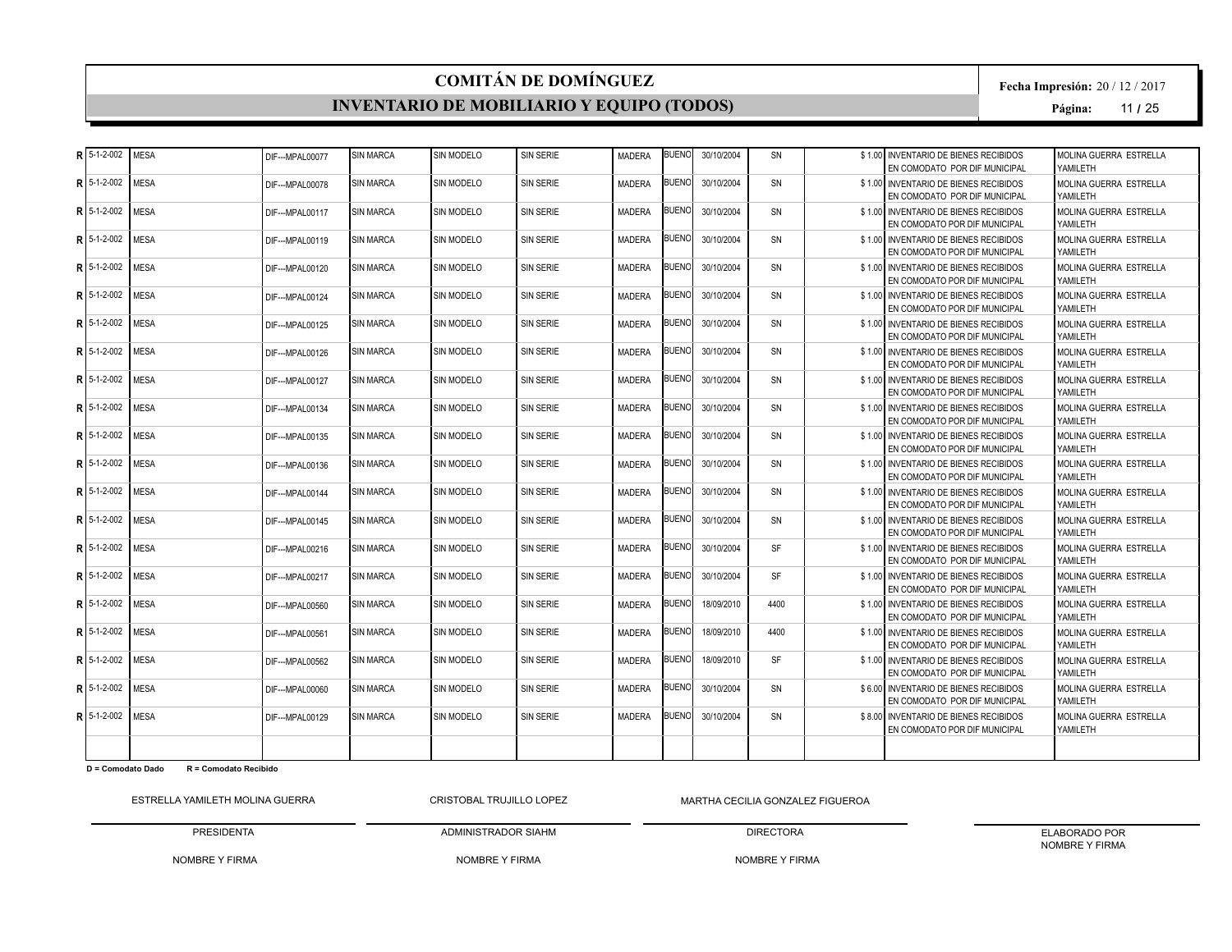#### **INVENTARIO DE MOBILIARIO Y EQUIPO (TODOS)**

**Fecha Impresión:** 20 / 12 / 2017

**Página:** 11 **/** 25

|   | $R$ 5-1-2-002  | <b>MESA</b> | DIF--- MPAL00077  | <b>SIN MARCA</b> | SIN MODELO        | <b>SIN SERIE</b> | <b>MADERA</b> | <b>BUENO</b> | 30/10/2004 | SN        | \$1.00 INVENTARIO DE BIENES RECIBIDOS<br>EN COMODATO POR DIF MUNICIPAL | MOLINA GUERRA ESTRELLA<br>YAMII FTH |
|---|----------------|-------------|-------------------|------------------|-------------------|------------------|---------------|--------------|------------|-----------|------------------------------------------------------------------------|-------------------------------------|
| R | 5-1-2-002      | <b>MESA</b> | DIF---MPAL00078   | <b>SIN MARCA</b> | SIN MODELO        | <b>SIN SERIE</b> | <b>MADERA</b> | <b>BUENO</b> | 30/10/2004 | SN        | \$1.00 INVENTARIO DE BIENES RECIBIDOS<br>EN COMODATO POR DIF MUNICIPAL | MOLINA GUERRA ESTRELLA<br>YAMII FTH |
| R | 5-1-2-002      | <b>MESA</b> | DIF--- MPAL00117  | <b>SIN MARCA</b> | SIN MODELO        | <b>SIN SERIE</b> | <b>MADERA</b> | <b>BUENO</b> | 30/10/2004 | SN        | \$1.00 INVENTARIO DE BIENES RECIBIDOS<br>EN COMODATO POR DIF MUNICIPAL | MOLINA GUERRA ESTRELLA<br>YAMILETH  |
|   | R 5-1-2-002    | <b>MESA</b> | DIF---MPAL00119   | <b>SIN MARCA</b> | SIN MODELO        | <b>SIN SERIE</b> | <b>MADERA</b> | <b>BUENO</b> | 30/10/2004 | SN        | \$1.00 INVENTARIO DE BIENES RECIBIDOS<br>EN COMODATO POR DIF MUNICIPAL | MOLINA GUERRA ESTRELLA<br>YAMILETH  |
| R | 5-1-2-002      | <b>MESA</b> | DIF--- MPAI 00120 | <b>SIN MARCA</b> | SIN MODELO        | <b>SIN SERIE</b> | <b>MADERA</b> | <b>BUENO</b> | 30/10/2004 | SN        | \$1.00 INVENTARIO DE BIENES RECIBIDOS<br>EN COMODATO POR DIF MUNICIPAL | MOLINA GUERRA ESTRELLA<br>YAMILETH  |
| R | 5-1-2-002      | <b>MESA</b> | DIF--- MPAL00124  | <b>SIN MARCA</b> | SIN MODELO        | <b>SIN SERIE</b> | <b>MADERA</b> | <b>BUENO</b> | 30/10/2004 | SN        | \$1.00 INVENTARIO DE BIENES RECIBIDOS<br>EN COMODATO POR DIF MUNICIPAL | MOLINA GUERRA ESTRELLA<br>YAMILETH  |
| R | 5-1-2-002      | <b>MESA</b> | DIF--- MPAL00125  | <b>SIN MARCA</b> | <b>SIN MODELO</b> | <b>SIN SERIE</b> | MADERA        | <b>BUENO</b> | 30/10/2004 | SN        | \$1.00 INVENTARIO DE BIENES RECIBIDOS<br>EN COMODATO POR DIF MUNICIPAL | MOLINA GUERRA ESTRELLA<br>YAMILETH  |
|   | $R$ 5-1-2-002  | <b>MESA</b> | DIF---MPAL00126   | <b>SIN MARCA</b> | <b>SIN MODELO</b> | <b>SIN SERIE</b> | <b>MADERA</b> | <b>BUENO</b> | 30/10/2004 | SN        | \$1.00 INVENTARIO DE BIENES RECIBIDOS<br>EN COMODATO POR DIF MUNICIPAL | MOLINA GUERRA ESTRELLA<br>YAMILETH  |
| R | 5-1-2-002      | <b>MESA</b> | DIF--- MPAL00127  | <b>SIN MARCA</b> | SIN MODELO        | <b>SIN SERIE</b> | <b>MADERA</b> | <b>BUENO</b> | 30/10/2004 | SN        | \$1.00 INVENTARIO DE BIENES RECIBIDOS<br>EN COMODATO POR DIF MUNICIPAL | MOLINA GUERRA ESTRELLA<br>YAMII FTH |
| R | 5-1-2-002      | <b>MESA</b> | DIF--- MPAL00134  | <b>SIN MARCA</b> | SIN MODELO        | <b>SIN SERIE</b> | <b>MADERA</b> | <b>BUENO</b> | 30/10/2004 | SN        | \$1.00 INVENTARIO DE BIENES RECIBIDOS<br>EN COMODATO POR DIF MUNICIPAL | MOLINA GUERRA ESTRELLA<br>YAMILETH  |
|   | $R$ 5-1-2-002  | <b>MESA</b> | DIF---MPAL00135   | <b>SIN MARCA</b> | SIN MODELO        | <b>SIN SERIE</b> | <b>MADERA</b> | <b>BUENO</b> | 30/10/2004 | SN        | \$1.00 INVENTARIO DE BIENES RECIBIDOS<br>EN COMODATO POR DIF MUNICIPAL | MOLINA GUERRA ESTRELLA<br>YAMII FTH |
| R | 5-1-2-002      | <b>MESA</b> | DIF--- MPAL00136  | <b>SIN MARCA</b> | <b>SIN MODELO</b> | <b>SIN SERIE</b> | <b>MADERA</b> | <b>BUENO</b> | 30/10/2004 | SN        | \$1.00 INVENTARIO DE BIENES RECIBIDOS<br>EN COMODATO POR DIF MUNICIPAL | MOLINA GUERRA ESTRELLA<br>YAMILETH  |
|   | $R$ 5-1-2-002  | <b>MESA</b> | DIF--- MPAL00144  | <b>SIN MARCA</b> | SIN MODELO        | SIN SERIE        | <b>MADERA</b> | <b>BUENO</b> | 30/10/2004 | SN        | \$1.00 INVENTARIO DE BIENES RECIBIDOS<br>EN COMODATO POR DIF MUNICIPAL | MOLINA GUERRA ESTRELLA<br>YAMII FTH |
|   | $R$ 5-1-2-002  | <b>MESA</b> | DIF---MPAL00145   | <b>SIN MARCA</b> | SIN MODELO        | <b>SIN SERIE</b> | <b>MADERA</b> | <b>BUENO</b> | 30/10/2004 | SN        | \$1.00 INVENTARIO DE BIENES RECIBIDOS<br>EN COMODATO POR DIF MUNICIPAL | MOLINA GUERRA ESTRELLA<br>YAMILETH  |
|   | $R$ 5-1-2-002  | <b>MESA</b> | DIF---MPAL00216   | <b>SIN MARCA</b> | <b>SIN MODELO</b> | <b>SIN SERIE</b> | <b>MADERA</b> | <b>BUENO</b> | 30/10/2004 | SF        | \$1.00 INVENTARIO DE BIENES RECIBIDOS<br>EN COMODATO POR DIF MUNICIPAL | MOLINA GUERRA ESTRELLA<br>YAMILETH  |
| Þ | 5-1-2-002      | <b>MESA</b> | DIF--- MPAL00217  | <b>SIN MARCA</b> | SIN MODELO        | SIN SERIE        | <b>MADERA</b> | <b>BUENO</b> | 30/10/2004 | <b>SF</b> | \$1.00 INVENTARIO DE BIENES RECIBIDOS<br>EN COMODATO POR DIF MUNICIPAL | MOLINA GUERRA ESTRELLA<br>YAMILETH  |
|   | R 5-1-2-002    | <b>MESA</b> | DIF--- MPAL00560  | <b>SIN MARCA</b> | SIN MODELO        | <b>SIN SERIE</b> | <b>MADERA</b> | <b>BUENO</b> | 18/09/2010 | 4400      | \$1.00 INVENTARIO DE BIENES RECIBIDOS<br>EN COMODATO POR DIF MUNICIPAL | MOLINA GUERRA ESTRELLA<br>YAMILETH  |
|   | $R$ 5-1-2-002  | <b>MESA</b> | DIF--- MPAL00561  | <b>SIN MARCA</b> | SIN MODELO        | SIN SERIE        | <b>MADERA</b> | <b>BUENO</b> | 18/09/2010 | 4400      | \$1.00 INVENTARIO DE BIENES RECIBIDOS<br>EN COMODATO POR DIF MUNICIPAL | MOLINA GUERRA ESTRELLA<br>YAMILETH  |
|   | 5-1-2-002      | <b>MESA</b> | DIF--- MPAL00562  | <b>SIN MARCA</b> | SIN MODELO        | <b>SIN SERIE</b> | <b>MADERA</b> | <b>BUENO</b> | 18/09/2010 | <b>SF</b> | \$1.00 INVENTARIO DE BIENES RECIBIDOS<br>EN COMODATO POR DIF MUNICIPAL | MOLINA GUERRA ESTRELLA<br>YAMILETH  |
|   | $R$ 5-1-2-002  | <b>MESA</b> | DIF--- MPAL00060  | <b>SIN MARCA</b> | SIN MODELO        | SIN SERIE        | <b>MADERA</b> | <b>BUENO</b> | 30/10/2004 | SN        | \$6.00 INVENTARIO DE BIENES RECIBIDOS<br>EN COMODATO POR DIF MUNICIPAL | MOLINA GUERRA ESTRELLA<br>YAMII FTH |
|   | R $15-1-2-002$ | <b>MESA</b> | DIF---MPAL00129   | <b>SIN MARCA</b> | <b>SIN MODELO</b> | <b>SIN SERIE</b> | <b>MADERA</b> | <b>BUENO</b> | 30/10/2004 | SN        | \$8.00 INVENTARIO DE BIENES RECIBIDOS<br>EN COMODATO POR DIF MUNICIPAL | MOLINA GUERRA ESTRELLA<br>YAMILETH  |
|   |                |             |                   |                  |                   |                  |               |              |            |           |                                                                        |                                     |

**D = Comodato Dado R = Comodato Recibido**

ESTRELLA YAMILETH MOLINA GUERRA PRESIDENTA CRISTOBAL TRUJILLO LOPEZ

NOMBRE Y FIRMA MARTHA CECILIA GONZALEZ FIGUEROA

NOMBRE Y FIRMA

ADMINISTRADOR SIAHM

DIRECTORA NOMBRE Y FIRMA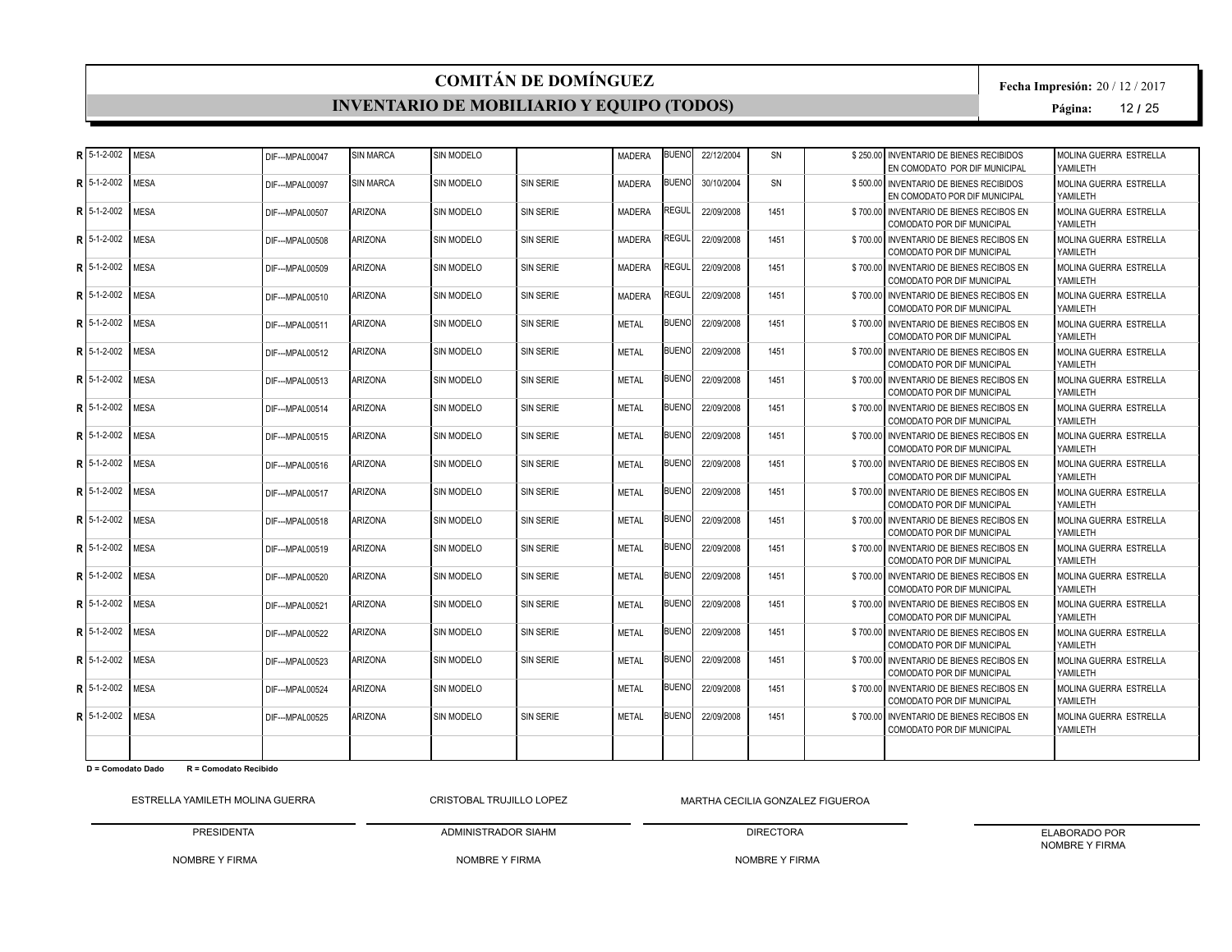#### **INVENTARIO DE MOBILIARIO Y EQUIPO (TODOS)**

**Fecha Impresión:** 20 / 12 / 2017

**Página:** 12 **/** 25

| R 5-1-2-002     | <b>MESA</b> | DIF--- MPAL00047 | <b>SIN MARCA</b> | <b>SIN MODELO</b> |                  | <b>MADERA</b> | <b>BUENO</b> | 22/12/2004 | SN        | \$250.00 INVENTARIO DE BIENES RECIBIDOS<br>EN COMODATO POR DIF MUNICIPAL      | MOLINA GUERRA ESTRELLA<br>YAMII FTH |
|-----------------|-------------|------------------|------------------|-------------------|------------------|---------------|--------------|------------|-----------|-------------------------------------------------------------------------------|-------------------------------------|
| $R$ 5-1-2-002   | <b>MESA</b> | DIF--- MPAL00097 | <b>SIN MARCA</b> | SIN MODELO        | <b>SIN SERIE</b> | <b>MADERA</b> | <b>BUENO</b> | 30/10/2004 | <b>SN</b> | \$500,00 INVENTARIO DE BIENES RECIBIDOS<br>EN COMODATO POR DIF MUNICIPAL      | MOLINA GUERRA ESTRELLA<br>YAMILETH  |
| R 5-1-2-002     | <b>MESA</b> | DIF--- MPAL00507 | <b>ARIZONA</b>   | <b>SIN MODELO</b> | <b>SIN SERIE</b> | <b>MADERA</b> | REGUL        | 22/09/2008 | 1451      | \$700.00 INVENTARIO DE BIENES RECIBOS EN<br><b>COMODATO POR DIF MUNICIPAL</b> | MOLINA GUERRA ESTRELLA<br>YAMILETH  |
| R 5-1-2-002     | <b>MESA</b> | DIF--- MPAL00508 | <b>ARIZONA</b>   | SIN MODELO        | <b>SIN SERIE</b> | <b>MADERA</b> | REGUL        | 22/09/2008 | 1451      | \$700.00 INVENTARIO DE BIENES RECIBOS EN<br><b>COMODATO POR DIF MUNICIPAL</b> | MOLINA GUERRA ESTRELLA<br>YAMILETH  |
| R 5-1-2-002     | <b>MESA</b> | DIF--- MPAL00509 | <b>ARIZONA</b>   | SIN MODELO        | <b>SIN SERIE</b> | <b>MADERA</b> | REGUL        | 22/09/2008 | 1451      | \$700.00 INVENTARIO DE BIENES RECIBOS EN<br><b>COMODATO POR DIF MUNICIPAL</b> | MOLINA GUERRA ESTRELLA<br>YAMILETH  |
| $R$ 5-1-2-002   | <b>MESA</b> | DIF--- MPAL00510 | <b>ARIZONA</b>   | SIN MODELO        | SIN SERIE        | <b>MADERA</b> | REGUL        | 22/09/2008 | 1451      | \$700.00 INVENTARIO DE BIENES RECIBOS EN<br><b>COMODATO POR DIF MUNICIPAL</b> | MOLINA GUERRA ESTRELLA<br>YAMILETH  |
| R 5-1-2-002     | MESA        | DIF--- MPAL00511 | <b>ARIZONA</b>   | <b>SIN MODELO</b> | <b>SIN SERIE</b> | <b>METAL</b>  | <b>BUENO</b> | 22/09/2008 | 1451      | \$700.00 INVENTARIO DE BIENES RECIBOS EN<br>COMODATO POR DIF MUNICIPAL        | MOLINA GUERRA ESTRELLA<br>YAMILETH  |
| R 5-1-2-002     | <b>MESA</b> | DIF--- MPAL00512 | <b>ARIZONA</b>   | <b>SIN MODELO</b> | <b>SIN SERIE</b> | <b>METAL</b>  | <b>BUENO</b> | 22/09/2008 | 1451      | \$700.00 INVENTARIO DE BIENES RECIBOS EN<br><b>COMODATO POR DIF MUNICIPAL</b> | MOLINA GUERRA ESTRELLA<br>YAMII FTH |
| $R$ 5-1-2-002   | <b>MESA</b> | DIF---MPAL00513  | <b>ARIZONA</b>   | SIN MODELO        | <b>SIN SERIE</b> | <b>METAL</b>  | <b>BUENO</b> | 22/09/2008 | 1451      | \$700.00 INVENTARIO DE BIENES RECIBOS EN<br>COMODATO POR DIF MUNICIPAL        | MOLINA GUERRA ESTRELLA<br>YAMII FTH |
| R 5-1-2-002     | <b>MESA</b> | DIF--- MPAL00514 | <b>ARIZONA</b>   | SIN MODELO        | <b>SIN SERIE</b> | <b>METAL</b>  | <b>BUENO</b> | 22/09/2008 | 1451      | \$700.00 INVENTARIO DE BIENES RECIBOS EN<br><b>COMODATO POR DIF MUNICIPAL</b> | MOLINA GUERRA ESTRELLA<br>YAMILETH  |
| R 5-1-2-002     | <b>MESA</b> | DIF--- MPAL00515 | <b>ARIZONA</b>   | SIN MODELO        | <b>SIN SERIE</b> | <b>METAL</b>  | <b>BUENO</b> | 22/09/2008 | 1451      | \$700.00 INVENTARIO DE BIENES RECIBOS EN<br><b>COMODATO POR DIF MUNICIPAL</b> | MOLINA GUERRA ESTRELLA<br>YAMILETH  |
| R 5-1-2-002     | <b>MESA</b> | DIF---MPAL00516  | <b>ARIZONA</b>   | <b>SIN MODELO</b> | <b>SIN SERIE</b> | <b>METAL</b>  | <b>BUENO</b> | 22/09/2008 | 1451      | \$700.00 INVENTARIO DE BIENES RECIBOS EN<br><b>COMODATO POR DIF MUNICIPAL</b> | MOLINA GUERRA ESTRELLA<br>YAMILETH  |
| R 5-1-2-002     | <b>MESA</b> | DIF--- MPAL00517 | <b>ARIZONA</b>   | SIN MODELO        | SIN SERIE        | <b>METAL</b>  | <b>BUENO</b> | 22/09/2008 | 1451      | \$700.00 INVENTARIO DE BIENES RECIBOS EN<br>COMODATO POR DIF MUNICIPAL        | MOLINA GUERRA ESTRELLA<br>YAMILETH  |
| $R$   5-1-2-002 | <b>MESA</b> | DIF--- MPAL00518 | <b>ARIZONA</b>   | SIN MODELO        | <b>SIN SERIE</b> | <b>METAL</b>  | <b>BUENO</b> | 22/09/2008 | 1451      | \$700.00 INVENTARIO DE BIENES RECIBOS EN<br>COMODATO POR DIF MUNICIPAL        | MOLINA GUERRA ESTRELLA<br>YAMII FTH |
| R 5-1-2-002     | <b>MESA</b> | DIF--- MPAL00519 | <b>ARIZONA</b>   | <b>SIN MODELO</b> | <b>SIN SERIE</b> | <b>METAL</b>  | <b>BUENO</b> | 22/09/2008 | 1451      | \$700.00 INVENTARIO DE BIENES RECIBOS EN<br><b>COMODATO POR DIF MUNICIPAL</b> | MOLINA GUERRA ESTRELLA<br>YAMILETH  |
| $R$ 5-1-2-002   | <b>MESA</b> | DIF---MPAL00520  | <b>ARIZONA</b>   | SIN MODELO        | <b>SIN SERIE</b> | <b>METAL</b>  | <b>BUENO</b> | 22/09/2008 | 1451      | \$700.00 INVENTARIO DE BIENES RECIBOS EN<br>COMODATO POR DIF MUNICIPAL        | MOLINA GUERRA ESTRELLA<br>YAMII FTH |
| R 5-1-2-002     | <b>MESA</b> | DIF--- MPAL00521 | <b>ARIZONA</b>   | <b>SIN MODELO</b> | <b>SIN SERIE</b> | <b>METAL</b>  | <b>BUENO</b> | 22/09/2008 | 1451      | \$700.00 INVENTARIO DE BIENES RECIBOS EN<br><b>COMODATO POR DIF MUNICIPAL</b> | MOLINA GUERRA ESTRELLA<br>YAMILETH  |
| R 5-1-2-002     | <b>MESA</b> | DIF--- MPAL00522 | <b>ARIZONA</b>   | SIN MODELO        | SIN SERIE        | <b>MFTAI</b>  | <b>BUENO</b> | 22/09/2008 | 1451      | \$700.00 INVENTARIO DE BIENES RECIBOS EN<br><b>COMODATO POR DIF MUNICIPAL</b> | MOLINA GUERRA ESTRELLA<br>YAMILETH  |
| $R15-1-2-002$   | <b>MESA</b> | DIF---MPAL00523  | <b>ARIZONA</b>   | SIN MODELO        | <b>SIN SERIE</b> | <b>METAL</b>  | <b>BUENO</b> | 22/09/2008 | 1451      | \$700.00 INVENTARIO DE BIENES RECIBOS EN<br><b>COMODATO POR DIF MUNICIPAL</b> | MOLINA GUERRA ESTRELLA<br>YAMILETH  |
| R 5-1-2-002     | <b>MESA</b> | DIF--- MPAL00524 | <b>ARIZONA</b>   | SIN MODELO        |                  | <b>METAL</b>  | <b>BUENO</b> | 22/09/2008 | 1451      | \$700.00 INVENTARIO DE BIENES RECIBOS EN<br><b>COMODATO POR DIF MUNICIPAL</b> | MOLINA GUERRA ESTRELLA<br>YAMILETH  |
| $R$   5-1-2-002 | <b>MESA</b> | DIF--- MPAL00525 | <b>ARIZONA</b>   | <b>SIN MODELO</b> | <b>SIN SERIE</b> | <b>METAL</b>  | <b>BUENO</b> | 22/09/2008 | 1451      | \$700.00 INVENTARIO DE BIENES RECIBOS EN<br><b>COMODATO POR DIF MUNICIPAL</b> | MOLINA GUERRA ESTRELLA<br>YAMILETH  |
|                 |             |                  |                  |                   |                  |               |              |            |           |                                                                               |                                     |

**D = Comodato Dado R = Comodato Recibido**

ESTRELLA YAMILETH MOLINA GUERRA PRESIDENTA CRISTOBAL TRUJILLO LOPEZ

NOMBRE Y FIRMA MARTHA CECILIA GONZALEZ FIGUEROA

NOMBRE Y FIRMA

ADMINISTRADOR SIAHM

DIRECTORA

ELABORADO POR NOMBRE Y FIRMA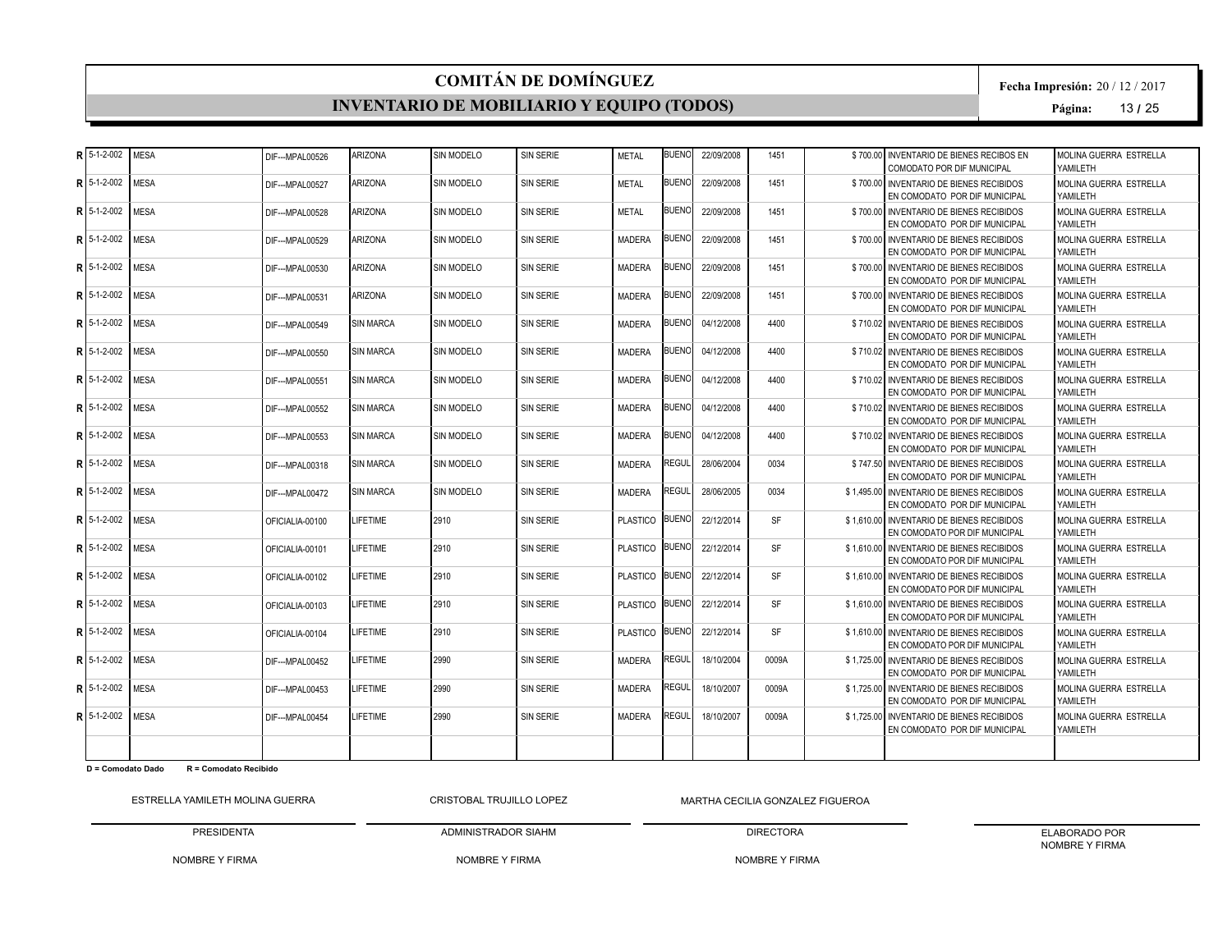#### **INVENTARIO DE MOBILIARIO Y EQUIPO (TODOS)**

**Fecha Impresión:** 20 / 12 / 2017

**Página:** 13 **/** 25

|   | $R$ 5-1-2-002   | <b>MESA</b> | DIF--- MPAL00526 | <b>ARIZONA</b>    | SIN MODELO        | <b>SIN SERIE</b> | <b>METAL</b>    | <b>BUENO</b> | 22/09/2008 | 1451      | \$700.00 INVENTARIO DE BIENES RECIBOS EN<br>COMODATO POR DIF MUNICIPAL     | MOLINA GUERRA ESTRELLA<br>YAMII FTH |
|---|-----------------|-------------|------------------|-------------------|-------------------|------------------|-----------------|--------------|------------|-----------|----------------------------------------------------------------------------|-------------------------------------|
| R | 5-1-2-002       | <b>MESA</b> | DIF--- MPAL00527 | <b>ARIZONA</b>    | SIN MODELO        | SIN SERIE        | <b>METAL</b>    | <b>BUENO</b> | 22/09/2008 | 1451      | \$700.00 INVENTARIO DE BIENES RECIBIDOS<br>EN COMODATO POR DIF MUNICIPAL   | MOLINA GUERRA ESTRELLA<br>YAMII FTH |
| R | 5-1-2-002       | <b>MESA</b> | DIF--- MPAL00528 | <b>ARIZONA</b>    | <b>SIN MODELO</b> | <b>SIN SERIE</b> | <b>METAL</b>    | <b>BUENO</b> | 22/09/2008 | 1451      | \$700.00 INVENTARIO DE BIENES RECIBIDOS<br>EN COMODATO POR DIF MUNICIPAL   | MOLINA GUERRA ESTRELLA<br>YAMILETH  |
|   | $R$ 5-1-2-002   | <b>MESA</b> | DIF--- MPAL00529 | <b>ARIZONA</b>    | SIN MODELO        | <b>SIN SERIE</b> | <b>MADERA</b>   | <b>BUENO</b> | 22/09/2008 | 1451      | \$700.00 INVENTARIO DE BIENES RECIBIDOS<br>EN COMODATO POR DIF MUNICIPAL   | MOLINA GUERRA ESTRELLA<br>YAMII FTH |
| R | 5-1-2-002       | <b>MESA</b> | DIF--- MPAL00530 | <b>ARIZONA</b>    | SIN MODELO        | <b>SIN SERIE</b> | <b>MADERA</b>   | <b>BUENO</b> | 22/09/2008 | 1451      | \$700,00 INVENTARIO DE BIENES RECIBIDOS<br>EN COMODATO POR DIF MUNICIPAL   | MOLINA GUERRA ESTRELLA<br>YAMILETH  |
| R | 5-1-2-002       | <b>MESA</b> | DIF--- MPAL00531 | <b>ARIZONA</b>    | SIN MODELO        | <b>SIN SERIE</b> | <b>MADERA</b>   | <b>BUENO</b> | 22/09/2008 | 1451      | \$700.00 INVENTARIO DE BIENES RECIBIDOS<br>EN COMODATO POR DIF MUNICIPAL   | MOLINA GUERRA ESTRELLA<br>YAMII FTH |
| R | 5-1-2-002       | <b>MESA</b> | DIF--- MPAL00549 | <b>SIN MARCA</b>  | <b>SIN MODELO</b> | <b>SIN SERIE</b> | <b>MADERA</b>   | <b>BUENO</b> | 04/12/2008 | 4400      | \$710.02 INVENTARIO DE BIENES RECIBIDOS<br>EN COMODATO POR DIF MUNICIPAL   | MOLINA GUERRA ESTRELLA<br>YAMILETH  |
|   | R 5-1-2-002     | <b>MESA</b> | DIF--- MPAL00550 | <b>SIN MARCA</b>  | <b>SIN MODELO</b> | SIN SERIE        | <b>MADERA</b>   | <b>BUENO</b> | 04/12/2008 | 4400      | \$710.02 INVENTARIO DE BIENES RECIBIDOS<br>EN COMODATO POR DIF MUNICIPAL   | MOLINA GUERRA ESTRELLA<br>YAMII FTH |
| R | 5-1-2-002       | <b>MESA</b> | DIF--- MPAL00551 | <b>SIN MARCA</b>  | <b>SIN MODELO</b> | SIN SERIE        | <b>MADERA</b>   | 3UENOI       | 04/12/2008 | 4400      | \$710.02 INVENTARIO DE BIENES RECIBIDOS<br>EN COMODATO POR DIF MUNICIPAL   | MOLINA GUERRA ESTRELLA<br>YAMII FTH |
|   | R $15-1-2-002$  | <b>MESA</b> | DIF--- MPAL00552 | <b>SIN MARCA</b>  | SIN MODELO        | SIN SERIE        | <b>MADERA</b>   | <b>BUENO</b> | 04/12/2008 | 4400      | \$710.02 INVENTARIO DE BIENES RECIBIDOS<br>EN COMODATO POR DIF MUNICIPAL   | MOLINA GUERRA ESTRELLA<br>YAMII FTH |
| R | 5-1-2-002       | <b>MESA</b> | DIF--- MPAL00553 | <b>SIN MARCA</b>  | <b>SIN MODELO</b> | <b>SIN SERIE</b> | <b>MADERA</b>   | <b>BUENO</b> | 04/12/2008 | 4400      | \$710.02 INVENTARIO DE BIENES RECIBIDOS<br>EN COMODATO POR DIF MUNICIPAL   | MOLINA GUERRA ESTRELLA<br>YAMII FTH |
|   | R 5-1-2-002     | <b>MESA</b> | DIF---MPAL00318  | <b>ISIN MARCA</b> | SIN MODELO        | SIN SERIE        | <b>MADERA</b>   | REGUL        | 28/06/2004 | 0034      | \$747.50 INVENTARIO DE BIENES RECIBIDOS<br>EN COMODATO POR DIF MUNICIPAL   | MOLINA GUERRA ESTRELLA<br>YAMILETH  |
| R | 5-1-2-002       | <b>MESA</b> | DIF---MPAL00472  | <b>SIN MARCA</b>  | SIN MODELO        | SIN SERIE        | <b>MADERA</b>   | <b>REGUL</b> | 28/06/2005 | 0034      | \$1.495.00 INVENTARIO DE BIENES RECIBIDOS<br>EN COMODATO POR DIF MUNICIPAL | MOLINA GUERRA ESTRELLA<br>YAMILETH  |
|   | $R$ 5-1-2-002   | <b>MESA</b> | OFICIALIA-00100  | <b>I IFFTIME</b>  | 2910              | <b>SIN SERIE</b> | <b>PLASTICO</b> | <b>BUENO</b> | 22/12/2014 | <b>SF</b> | \$1,610.00 INVENTARIO DE BIENES RECIBIDOS<br>EN COMODATO POR DIF MUNICIPAL | MOLINA GUERRA ESTRELLA<br>YAMII FTH |
|   | $R$ 5-1-2-002   | <b>MESA</b> | OFICIALIA-00101  | LIFETIME          | 2910              | <b>SIN SERIE</b> | PLASTICO BUENO  |              | 22/12/2014 | <b>SF</b> | \$1.610.00 INVENTARIO DE BIENES RECIBIDOS<br>EN COMODATO POR DIF MUNICIPAL | MOLINA GUERRA ESTRELLA<br>YAMII FTH |
| R | 5-1-2-002       | <b>MESA</b> | OFICIALIA-00102  | LIFETIME          | 2910              | <b>SIN SERIE</b> | PLASTICO BUENO  |              | 22/12/2014 | <b>SF</b> | \$1.610.00 INVENTARIO DE BIENES RECIBIDOS<br>EN COMODATO POR DIF MUNICIPAL | MOLINA GUERRA ESTRELLA<br>YAMILETH  |
|   | $R$   5-1-2-002 | <b>MESA</b> | OFICIALIA-00103  | LIFETIME          | 2910              | SIN SERIE        | PLASTICO BUENO  |              | 22/12/2014 | <b>SF</b> | \$1.610.00 INVENTARIO DE BIENES RECIBIDOS<br>EN COMODATO POR DIF MUNICIPAL | MOLINA GUERRA ESTRELLA<br>YAMII FTH |
|   | R $15-1-2-002$  | <b>MESA</b> | OFICIALIA-00104  | LIFETIME          | 2910              | <b>SIN SERIE</b> | <b>PLASTICO</b> | <b>BUENO</b> | 22/12/2014 | <b>SF</b> | \$1.610.00 INVENTARIO DE BIENES RECIBIDOS<br>EN COMODATO POR DIF MUNICIPAL | MOLINA GUERRA ESTRELLA<br>YAMILETH  |
| R | 5-1-2-002       | <b>MESA</b> | DIF--- MPAL00452 | LIFETIME          | 2990              | <b>SIN SERIE</b> | <b>MADERA</b>   | REGUL        | 18/10/2004 | 0009A     | \$1.725.00 INVENTARIO DE BIENES RECIBIDOS<br>EN COMODATO POR DIF MUNICIPAL | MOLINA GUERRA ESTRELLA<br>YAMII FTH |
|   | R $15-1-2-002$  | <b>MESA</b> | DIF--- MPAL00453 | <b>LIFETIME</b>   | 2990              | <b>SIN SERIE</b> | <b>MADERA</b>   | REGUL        | 18/10/2007 | 0009A     | \$1,725.00 INVENTARIO DE BIENES RECIBIDOS<br>EN COMODATO POR DIF MUNICIPAL | MOLINA GUERRA ESTRELLA<br>YAMILETH  |
|   | $R$ 5-1-2-002   | <b>MESA</b> | DIF--- MPAL00454 | LIFETIME          | 2990              | SIN SERIE        | <b>MADERA</b>   | <b>REGUL</b> | 18/10/2007 | 0009A     | \$1.725.00 INVENTARIO DE BIENES RECIBIDOS<br>EN COMODATO POR DIF MUNICIPAL | MOLINA GUERRA ESTRELLA<br>YAMILETH  |
|   |                 |             |                  |                   |                   |                  |                 |              |            |           |                                                                            |                                     |

**D = Comodato Dado R = Comodato Recibido**

ESTRELLA YAMILETH MOLINA GUERRA

PRESIDENTA CRISTOBAL TRUJILLO LOPEZ

NOMBRE Y FIRMA MARTHA CECILIA GONZALEZ FIGUEROA

NOMBRE Y FIRMA

ADMINISTRADOR SIAHM

DIRECTORA NOMBRE Y FIRMA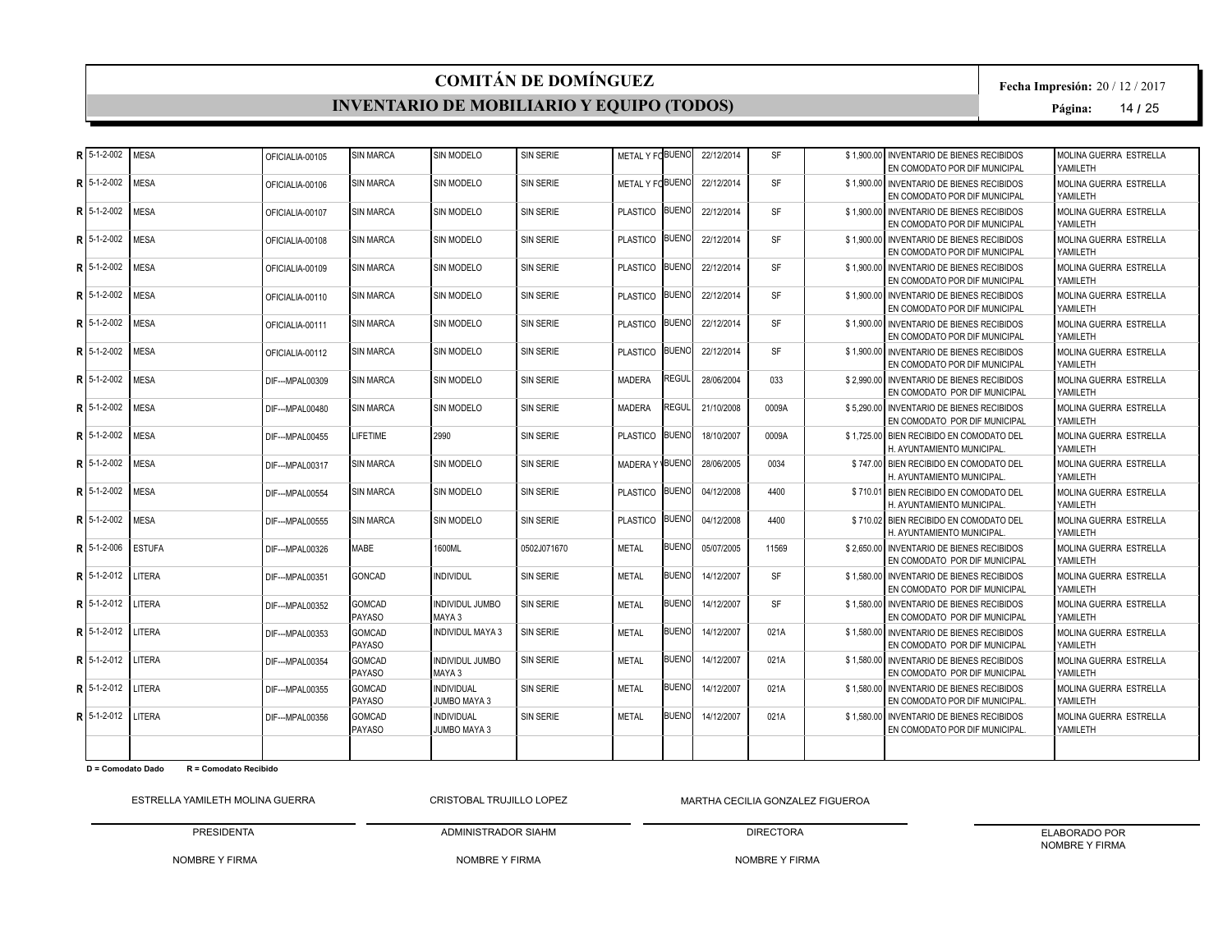#### **INVENTARIO DE MOBILIARIO Y EQUIPO (TODOS)**

**Fecha Impresión:** 20 / 12 / 2017

**Página:** 14 **/** 25

| R 5-1-2-002        | <b>MESA</b>   | OFICIALIA-00105  | <b>SIN MARCA</b>               | SIN MODELO                               | <b>SIN SERIE</b> | METAL Y FOBUENO |              | 22/12/2014 | <b>SF</b> | \$1,900,00 INVENTARIO DE BIENES RECIBIDOS<br>EN COMODATO POR DIF MUNICIPAL  | MOLINA GUERRA ESTRELLA<br>YAMII FTH |
|--------------------|---------------|------------------|--------------------------------|------------------------------------------|------------------|-----------------|--------------|------------|-----------|-----------------------------------------------------------------------------|-------------------------------------|
| $R$ 5-1-2-002      | <b>MESA</b>   | OFICIALIA-00106  | <b>SIN MARCA</b>               | <b>SIN MODELO</b>                        | <b>SIN SERIE</b> | METAL Y FOBUENO |              | 22/12/2014 | <b>SF</b> | \$1,900,00 INVENTARIO DE BIENES RECIBIDOS<br>EN COMODATO POR DIF MUNICIPAL  | MOLINA GUERRA ESTRELLA<br>YAMILETH  |
| $R$ 15-1-2-002     | <b>MESA</b>   | OFICIALIA-00107  | <b>SIN MARCA</b>               | <b>SIN MODELO</b>                        | <b>SIN SERIE</b> | PLASTICO BUENO  |              | 22/12/2014 | <b>SF</b> | \$1,900.00 INVENTARIO DE BIENES RECIBIDOS<br>EN COMODATO POR DIF MUNICIPAL  | MOLINA GUERRA ESTRELLA<br>YAMILETH  |
| R 5-1-2-002        | <b>MESA</b>   | OFICIALIA-00108  | <b>SIN MARCA</b>               | SIN MODELO                               | <b>SIN SERIE</b> | PLASTICO BUENO  |              | 22/12/2014 | <b>SF</b> | \$1,900.00 INVENTARIO DE BIENES RECIBIDOS<br>EN COMODATO POR DIF MUNICIPAL  | MOLINA GUERRA ESTRELLA<br>YAMILETH  |
| $R15-1-2-002$      | <b>MESA</b>   | OFICIALIA-00109  | <b>SIN MARCA</b>               | <b>SIN MODELO</b>                        | <b>SIN SERIE</b> | PLASTICO BUENO  |              | 22/12/2014 | <b>SF</b> | \$1,900,00 INVENTARIO DE BIENES RECIBIDOS<br>EN COMODATO POR DIF MUNICIPAL  | MOLINA GUERRA ESTRELLA<br>YAMILETH  |
| $R$ 5-1-2-002      | <b>MESA</b>   | OFICIALIA-00110  | <b>SIN MARCA</b>               | <b>SIN MODELO</b>                        | <b>SIN SERIE</b> | PLASTICO BUENO  |              | 22/12/2014 | <b>SF</b> | \$1,900.00 INVENTARIO DE BIENES RECIBIDOS<br>EN COMODATO POR DIF MUNICIPAL  | MOLINA GUERRA ESTRELLA<br>YAMILETH  |
| $R$ 5-1-2-002      | <b>MESA</b>   | OFICIAL IA-00111 | <b>SIN MARCA</b>               | SIN MODELO                               | <b>SIN SERIE</b> | PLASTICO BUENO  |              | 22/12/2014 | <b>SF</b> | \$1,900,00 INVENTARIO DE BIENES RECIBIDOS<br>EN COMODATO POR DIF MUNICIPAL  | MOLINA GUERRA ESTRELLA<br>YAMILETH  |
| $R$ 5-1-2-002      | <b>MESA</b>   | OFICIALIA-00112  | <b>SIN MARCA</b>               | <b>SIN MODELO</b>                        | <b>SIN SERIE</b> | PLASTICO BUENO  |              | 22/12/2014 | <b>SF</b> | \$1,900.00 INVENTARIO DE BIENES RECIBIDOS<br>EN COMODATO POR DIF MUNICIPAL  | MOLINA GUERRA ESTRELLA<br>YAMII FTH |
| R   5-1-2-002      | <b>MESA</b>   | DIF--- MPAL00309 | <b>SIN MARCA</b>               | SIN MODELO                               | <b>SIN SERIE</b> | <b>MADERA</b>   | REGUL        | 28/06/2004 | 033       | \$2,990.00 INVENTARIO DE BIENES RECIBIDOS<br>EN COMODATO POR DIF MUNICIPAL  | MOLINA GUERRA ESTRELLA<br>YAMII FTH |
| R 5-1-2-002        | <b>MESA</b>   | DIF--- MPAL00480 | <b>SIN MARCA</b>               | SIN MODELO                               | <b>SIN SERIE</b> | <b>MADERA</b>   | <b>REGUL</b> | 21/10/2008 | 0009A     | \$5.290.00 INVENTARIO DE BIENES RECIBIDOS<br>EN COMODATO POR DIF MUNICIPAL  | MOLINA GUERRA ESTRELLA<br>YAMILETH  |
| R 5-1-2-002        | <b>MESA</b>   | DIF--- MPAL00455 | <b>LIFETIME</b>                | 2990                                     | SIN SERIE        | PLASTICO BUENO  |              | 18/10/2007 | 0009A     | \$1.725.00 BIEN RECIBIDO EN COMODATO DEL<br>H. AYUNTAMIENTO MUNICIPAL       | MOLINA GUERRA ESTRELLA<br>YAMILETH  |
| $R$ 5-1-2-002      | <b>MESA</b>   | DIF--- MPAL00317 | <b>SIN MARCA</b>               | <b>SIN MODELO</b>                        | <b>SIN SERIE</b> | MADERA Y BUENO  |              | 28/06/2005 | 0034      | \$747.00 BIEN RECIBIDO EN COMODATO DEL<br>H. AYUNTAMIENTO MUNICIPAL         | MOLINA GUERRA ESTRELLA<br>YAMILETH  |
| R 5-1-2-002        | <b>MESA</b>   | DIF--- MPAL00554 | <b>SIN MARCA</b>               | <b>SIN MODELO</b>                        | <b>SIN SERIE</b> | PLASTICO BUENO  |              | 04/12/2008 | 4400      | \$710.01 BIEN RECIBIDO EN COMODATO DEL<br>H. AYUNTAMIENTO MUNICIPAL         | MOLINA GUERRA ESTRELLA<br>YAMII FTH |
| R 5-1-2-002        | <b>MESA</b>   | DIF--- MPAL00555 | <b>SIN MARCA</b>               | SIN MODELO                               | <b>SIN SERIE</b> | PLASTICO BUENO  |              | 04/12/2008 | 4400      | \$710.02 BIEN RECIBIDO EN COMODATO DEL<br>H. AYUNTAMIENTO MUNICIPAL         | MOLINA GUERRA ESTRELLA<br>YAMILETH  |
| R 5-1-2-006        | <b>ESTUFA</b> | DIF--- MPAL00326 | MABE                           | 1600ML                                   | 0502J071670      | <b>METAL</b>    | <b>BUENO</b> | 05/07/2005 | 11569     | \$2,650,00 INVENTARIO DE BIENES RECIBIDOS<br>EN COMODATO POR DIF MUNICIPAL  | MOLINA GUERRA ESTRELLA<br>YAMILETH  |
| $R15-1-2-012$      | LITERA        | DIF--- MPAL00351 | GONCAD                         | <b>INDIVIDUL</b>                         | <b>SIN SERIE</b> | <b>METAL</b>    | <b>BUENO</b> | 14/12/2007 | <b>SF</b> | \$1.580.00 INVENTARIO DE BIENES RECIBIDOS<br>EN COMODATO POR DIF MUNICIPAL  | MOLINA GUERRA ESTRELLA<br>YAMII FTH |
| $R$ 5-1-2-012      | LITERA        | DIF--- MPAL00352 | <b>GOMCAD</b><br>PAYASO        | <b>INDIVIDUL JUMBO</b><br>MAYA 3         | <b>SIN SERIE</b> | <b>METAL</b>    | <b>BUENO</b> | 14/12/2007 | <b>SF</b> | \$1.580.00 INVENTARIO DE BIENES RECIBIDOS<br>EN COMODATO POR DIF MUNICIPAL  | MOLINA GUERRA ESTRELLA<br>YAMILETH  |
| $R15-1-2-012$      | LITERA        | DIF--- MPAL00353 | <b>GOMCAD</b><br>PAYASO        | <b>INDIVIDUL MAYA 3</b>                  | <b>SIN SERIE</b> | <b>METAL</b>    | <b>BUENO</b> | 14/12/2007 | 021A      | \$1.580.00 INVENTARIO DE BIENES RECIBIDOS<br>EN COMODATO POR DIF MUNICIPAL  | MOLINA GUERRA ESTRELLA<br>YAMILETH  |
| $R15-1-2-012$      | LITERA        | DIF--- MPAL00354 | <b>GOMCAD</b><br>PAYASO        | <b>INDIVIDUL JUMBO</b><br>MAYA 3         | <b>SIN SERIE</b> | MFTAI           | <b>BUENO</b> | 14/12/2007 | 021A      | \$1,580.00 INVENTARIO DE BIENES RECIBIDOS<br>EN COMODATO POR DIF MUNICIPAL  | MOLINA GUERRA ESTRELLA<br>YAMILETH  |
| $R15-1-2-012$      | LITERA        | DIF--- MPAL00355 | <b>GOMCAD</b><br><b>PAYASO</b> | <b>INDIVIDUAL</b><br><b>JUMBO MAYA 3</b> | <b>SIN SERIE</b> | <b>METAL</b>    | <b>BUENO</b> | 14/12/2007 | 021A      | \$1.580.00 INVENTARIO DE BIENES RECIBIDOS<br>EN COMODATO POR DIF MUNICIPAL. | MOLINA GUERRA ESTRELLA<br>YAMILETH  |
| R 5-1-2-012 LITERA |               | DIF--- MPAL00356 | <b>GOMCAD</b><br><b>PAYASO</b> | <b>INDIVIDUAL</b><br>JUMBO MAYA 3        | <b>SIN SERIE</b> | <b>METAL</b>    | <b>BUENO</b> | 14/12/2007 | 021A      | \$1,580.00 INVENTARIO DE BIENES RECIBIDOS<br>EN COMODATO POR DIF MUNICIPAL. | MOLINA GUERRA ESTRELLA<br>YAMILETH  |
|                    |               |                  |                                |                                          |                  |                 |              |            |           |                                                                             |                                     |

**D = Comodato Dado R = Comodato Recibido**

ESTRELLA YAMILETH MOLINA GUERRA PRESIDENTA CRISTOBAL TRUJILLO LOPEZ

NOMBRE Y FIRMA MARTHA CECILIA GONZALEZ FIGUEROA

NOMBRE Y FIRMA

ADMINISTRADOR SIAHM

DIRECTORA NOMBRE Y FIRMA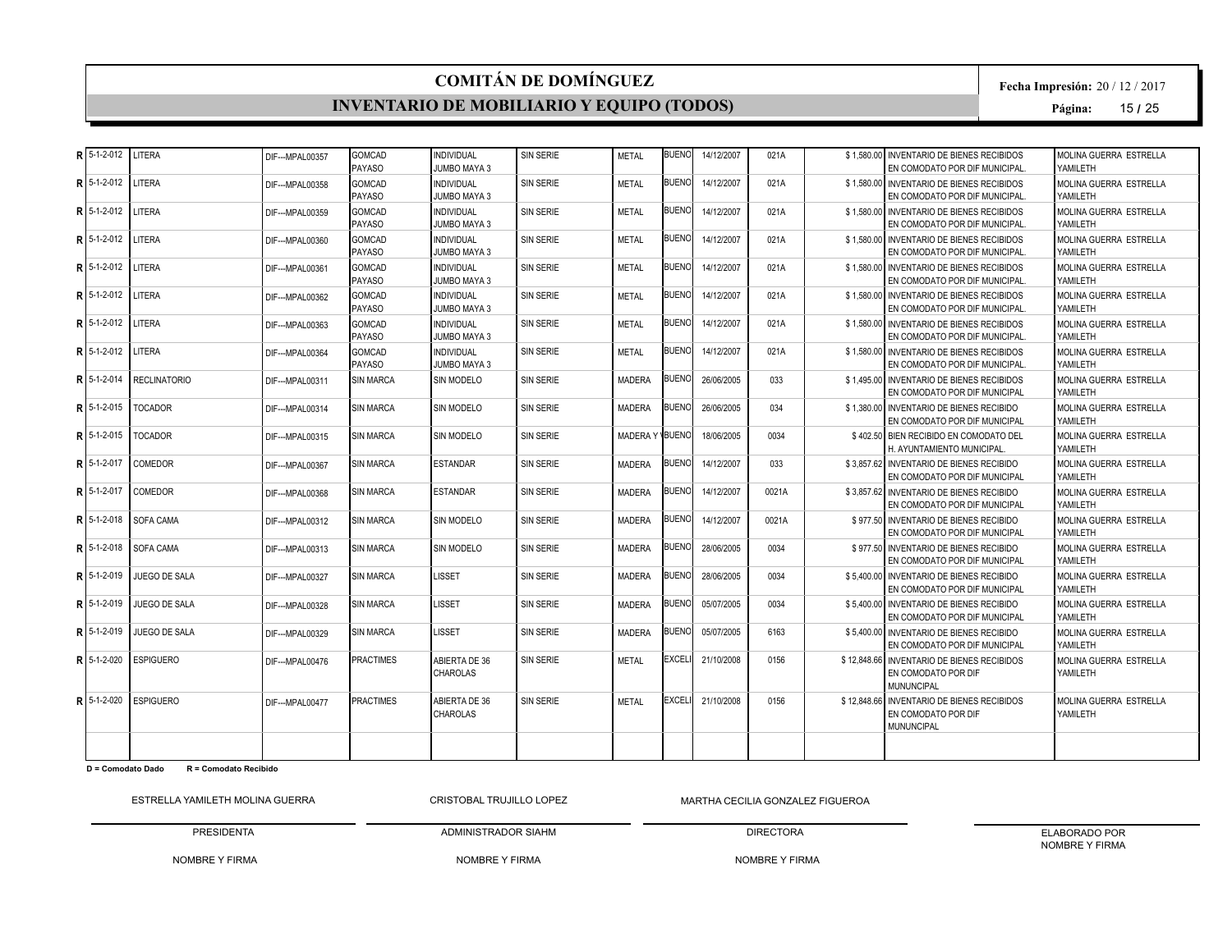#### **INVENTARIO DE MOBILIARIO Y EQUIPO (TODOS)**

**Fecha Impresión:** 20 / 12 / 2017

**Página:** 15 **/** 25

| $R$ 5-1-2-012  | LITERA               | DIF--- MPAL00357  | GOMCAD<br>PAYASO               | <b>INDIVIDUAL</b><br><b>JUMBO MAYA 3</b> | <b>SIN SERIE</b> | <b>METAL</b>   | <b>BUENC</b> | 14/12/2007 | 021A  | \$1,580.00 | <b>INVENTARIO DE BIENES RECIBIDOS</b><br>EN COMODATO POR DIF MUNICIPAL.                | MOLINA GUERRA ESTRELLA<br>YAMILETH  |
|----------------|----------------------|-------------------|--------------------------------|------------------------------------------|------------------|----------------|--------------|------------|-------|------------|----------------------------------------------------------------------------------------|-------------------------------------|
| $15-1-2-012$   | LITERA               | DIF--- MPAL00358  | <b>GOMCAD</b><br>PAYASO        | <b>INDIVIDUAL</b><br><b>JUMBO MAYA 3</b> | <b>SIN SERIE</b> | <b>METAL</b>   | <b>BUENO</b> | 14/12/2007 | 021A  |            | \$1.580.00 INVENTARIO DE BIENES RECIBIDOS<br>EN COMODATO POR DIF MUNICIPAL.            | MOLINA GUERRA ESTRELLA<br>YAMILETH  |
| $R15-1-2-012$  | LITERA               | DIF--- MPAI 00359 | <b>GOMCAD</b><br><b>PAYASO</b> | <b>INDIVIDUAL</b><br>JUMBO MAYA 3        | <b>SIN SERIE</b> | <b>METAL</b>   | <b>BUENO</b> | 14/12/2007 | 021A  |            | \$1.580.00 INVENTARIO DE BIENES RECIBIDOS<br>EN COMODATO POR DIF MUNICIPAL.            | MOLINA GUERRA ESTRELLA<br>YAMILETH  |
| $R15-1-2-012$  | LITERA               | DIF---MPAL00360   | GOMCAD<br><b>PAYASO</b>        | <b>INDIVIDUAL</b><br><b>JUMBO MAYA 3</b> | <b>SIN SERIE</b> | <b>METAL</b>   | <b>BUENO</b> | 14/12/2007 | 021A  |            | \$1.580.00 INVENTARIO DE BIENES RECIBIDOS<br>EN COMODATO POR DIF MUNICIPAL.            | MOLINA GUERRA ESTRELLA<br>YAMII FTH |
| $R15-1-2-012$  | LITERA               | DIF---MPAL00361   | <b>GOMCAD</b><br>PAYASO        | <b>INDIVIDUAL</b><br><b>JUMBO MAYA 3</b> | <b>SIN SERIE</b> | <b>METAL</b>   | <b>BUENO</b> | 14/12/2007 | 021A  |            | \$1,580.00 INVENTARIO DE BIENES RECIBIDOS<br>EN COMODATO POR DIF MUNICIPAL.            | MOLINA GUERRA ESTRELLA<br>YAMILETH  |
| R 5-1-2-012    | LITERA               | DIF---MPAL00362   | GOMCAD<br><b>PAYASO</b>        | <b>INDIVIDUAL</b><br><b>JUMBO MAYA 3</b> | <b>SIN SERIE</b> | <b>METAL</b>   | <b>BUENO</b> | 14/12/2007 | 021A  |            | \$1,580,00 INVENTARIO DE BIENES RECIBIDOS<br>EN COMODATO POR DIF MUNICIPAL.            | MOLINA GUERRA ESTRELLA<br>YAMILETH  |
| $R$ 5-1-2-012  | LITERA               | DIF---MPAL00363   | GOMCAD<br>PAYASO               | <b>INDIVIDUAL</b><br>JUMBO MAYA 3        | <b>SIN SERIE</b> | <b>METAL</b>   | <b>BUENO</b> | 14/12/2007 | 021A  |            | \$1.580.00 INVENTARIO DE BIENES RECIBIDOS<br>EN COMODATO POR DIF MUNICIPAL.            | MOLINA GUERRA ESTRELLA<br>YAMII FTH |
| $R$ 5-1-2-012  | LITERA               | DIF--- MPAI 00364 | <b>GOMCAD</b><br><b>PAYASO</b> | <b>INDIVIDUAL</b><br>JUMBO MAYA 3        | <b>SIN SERIE</b> | <b>METAL</b>   | <b>BUENO</b> | 14/12/2007 | 021A  |            | \$1.580.00 INVENTARIO DE BIENES RECIBIDOS<br>EN COMODATO POR DIF MUNICIPAL.            | MOLINA GUERRA ESTRELLA<br>YAMILETH  |
| R 5-1-2-014    | <b>RECLINATORIO</b>  | DIF---MPAL00311   | <b>SIN MARCA</b>               | SIN MODELO                               | <b>SIN SERIE</b> | MADERA         | <b>BUENO</b> | 26/06/2005 | 033   |            | \$1.495.00 INVENTARIO DE BIENES RECIBIDOS<br>EN COMODATO POR DIF MUNICIPAL             | MOLINA GUERRA ESTRELLA<br>YAMII FTH |
| R 5-1-2-015    | <b>TOCADOR</b>       | DIF---MPAL00314   | <b>SIN MARCA</b>               | SIN MODELO                               | <b>SIN SERIE</b> | MADERA         | <b>BUENO</b> | 26/06/2005 | 034   |            | \$1.380.00 INVENTARIO DE BIENES RECIBIDO<br>EN COMODATO POR DIF MUNICIPAL              | MOLINA GUERRA ESTRELLA<br>YAMILETH  |
| $R$ 15-1-2-015 | <b>TOCADOR</b>       | DIF--- MPAL00315  | <b>SIN MARCA</b>               | SIN MODELO                               | <b>SIN SERIE</b> | MADERA Y BUENO |              | 18/06/2005 | 0034  |            | \$402.50 BIEN RECIBIDO EN COMODATO DEL<br>H. AYUNTAMIENTO MUNICIPAL                    | MOLINA GUERRA ESTRELLA<br>YAMILETH  |
| R 5-1-2-017    | COMEDOR              | DIF---MPAL00367   | <b>SIN MARCA</b>               | <b>ESTANDAR</b>                          | <b>SIN SERIE</b> | MADERA         | <b>BUENO</b> | 14/12/2007 | 033   |            | \$3,857.62 INVENTARIO DE BIENES RECIBIDO<br>EN COMODATO POR DIF MUNICIPAL              | MOLINA GUERRA ESTRELLA<br>YAMII FTH |
| $R$ 5-1-2-017  | COMEDOR              | DIF--- MPAI 00368 | <b>SIN MARCA</b>               | <b>ESTANDAR</b>                          | <b>SIN SERIE</b> | <b>MADERA</b>  | <b>BUENO</b> | 14/12/2007 | 0021A |            | \$3.857.62 INVENTARIO DE BIENES RECIBIDO<br>EN COMODATO POR DIF MUNICIPAL              | MOLINA GUERRA ESTRELLA<br>YAMILETH  |
| $R$ 5-1-2-018  | SOFA CAMA            | DIF---MPAL00312   | <b>SIN MARCA</b>               | SIN MODELO                               | <b>SIN SERIE</b> | MADERA         | <b>BUENO</b> | 14/12/2007 | 0021A |            | \$977.50 INVENTARIO DE BIENES RECIBIDO<br>EN COMODATO POR DIF MUNICIPAL                | MOLINA GUERRA ESTRELLA<br>YAMILETH  |
| $R$ 5-1-2-018  | SOFA CAMA            | DIF---MPAL00313   | <b>SIN MARCA</b>               | SIN MODELO                               | <b>SIN SERIE</b> | <b>MADERA</b>  | <b>BUENO</b> | 28/06/2005 | 0034  |            | \$977.50 INVENTARIO DE BIENES RECIBIDO<br>EN COMODATO POR DIF MUNICIPAL                | MOLINA GUERRA ESTRELLA<br>YAMILETH  |
| $R$ 15-1-2-019 | JUEGO DE SALA        | DIF--- MPAL00327  | <b>SIN MARCA</b>               | <b>LISSET</b>                            | <b>SIN SERIE</b> | MADERA         | <b>BUENO</b> | 28/06/2005 | 0034  |            | \$5,400,00 INVENTARIO DE BIENES RECIBIDO<br>EN COMODATO POR DIF MUNICIPAL              | MOLINA GUERRA ESTRELLA<br>YAMII FTH |
| R 5-1-2-019    | <b>JUEGO DE SALA</b> | DIF---MPAL00328   | <b>SIN MARCA</b>               | LISSET                                   | <b>SIN SERIE</b> | MADERA         | <b>BUENC</b> | 05/07/2005 | 0034  |            | \$5,400,00 INVENTARIO DE BIENES RECIBIDO<br>EN COMODATO POR DIF MUNICIPAL              | MOLINA GUERRA ESTRELLA<br>YAMILETH  |
| $R$ 5-1-2-019  | JUEGO DE SALA        | DIF---MPAL00329   | <b>SIN MARCA</b>               | LISSET                                   | <b>SIN SERIE</b> | MADERA         | <b>BUENO</b> | 05/07/2005 | 6163  |            | \$5,400,00 INVENTARIO DE BIENES RECIBIDO<br>EN COMODATO POR DIF MUNICIPAL              | MOLINA GUERRA ESTRELLA<br>YAMILETH  |
| R 5-1-2-020    | <b>ESPIGUERO</b>     | DIF---MPAL00476   | <b>PRACTIMES</b>               | ABIERTA DE 36<br><b>CHAROLAS</b>         | <b>SIN SERIE</b> | <b>METAL</b>   | <b>EXCEL</b> | 21/10/2008 | 0156  |            | \$12,848,66 INVENTARIO DE BIENES RECIBIDOS<br>EN COMODATO POR DIF<br>MUNUNCIPAL        | MOLINA GUERRA ESTRELLA<br>YAMILETH  |
| $R$ 5-1-2-020  | <b>ESPIGUERO</b>     | DIF---MPAL00477   | <b>PRACTIMES</b>               | ABIERTA DE 36<br>CHAROLAS                | <b>SIN SERIE</b> | <b>METAL</b>   | <b>EXCEL</b> | 21/10/2008 | 0156  |            | \$12,848,66 INVENTARIO DE BIENES RECIBIDOS<br>EN COMODATO POR DIF<br><b>MUNUNCIPAL</b> | MOLINA GUERRA ESTRELLA<br>YAMILETH  |
|                |                      |                   |                                |                                          |                  |                |              |            |       |            |                                                                                        |                                     |

**D = Comodato Dado R = Comodato Recibido**

ESTRELLA YAMILETH MOLINA GUERRA PRESIDENTA CRISTOBAL TRUJILLO LOPEZ

NOMBRE Y FIRMA MARTHA CECILIA GONZALEZ FIGUEROA

NOMBRE Y FIRMA

ADMINISTRADOR SIAHM

DIRECTORA NOMBRE Y FIRMA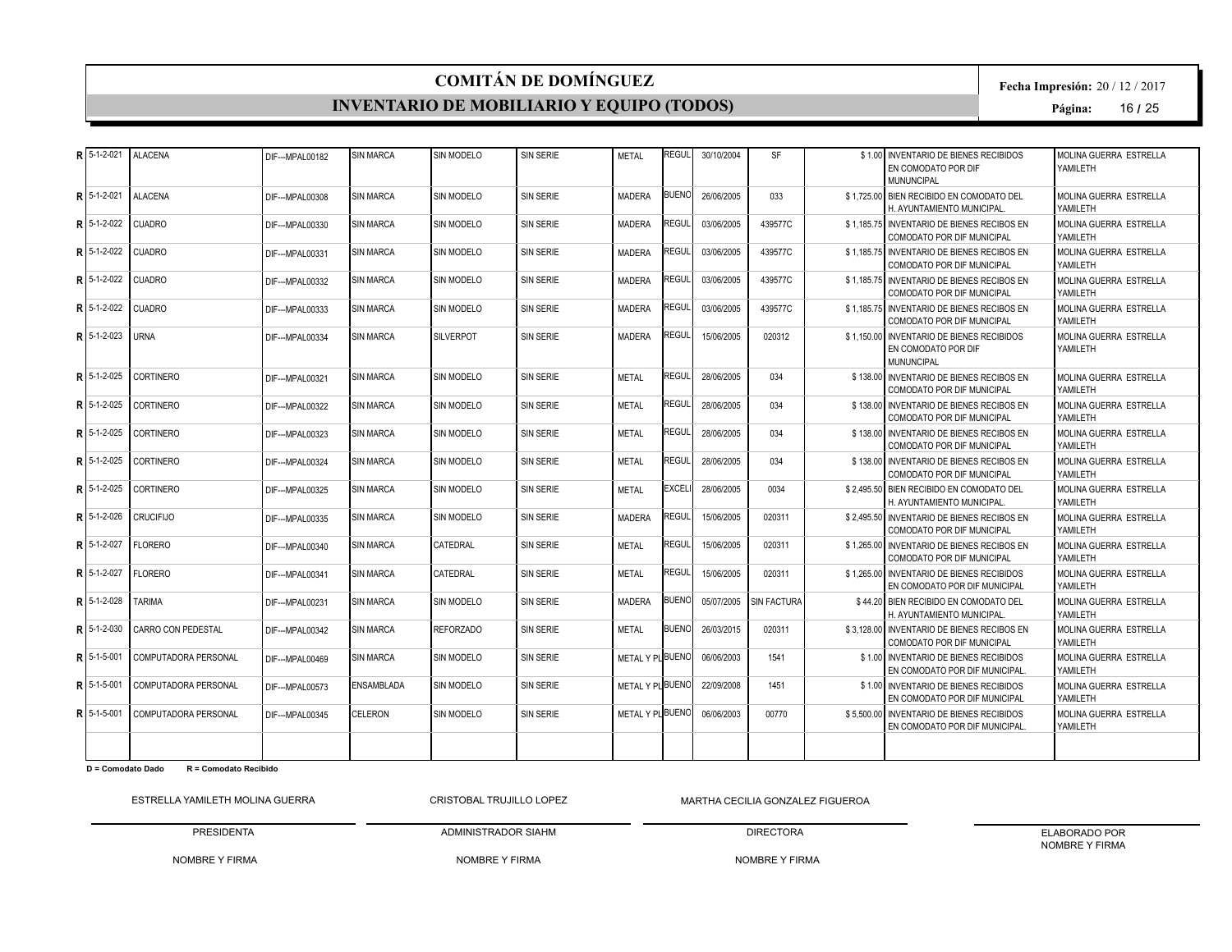#### **INVENTARIO DE MOBILIARIO Y EQUIPO (TODOS)**

**Fecha Impresión:** 20 / 12 / 2017

**Página:** 16 **/** 25

| R 5-1-2-021   | <b>ALACENA</b>       | DIF--- MPAL00182 | <b>SIN MARCA</b>  | SIN MODELO        | <b>SIN SERIE</b> | <b>METAL</b>     | <b>REGUL</b> | 30/10/2004 | <b>SF</b>          | \$1.00 INVENTARIO DE BIENES RECIBIDOS<br>EN COMODATO POR DIF<br><b>MUNUNCIPAL</b>     | <b>MOLINA GUERRA ESTRELLA</b><br>YAMILETH |
|---------------|----------------------|------------------|-------------------|-------------------|------------------|------------------|--------------|------------|--------------------|---------------------------------------------------------------------------------------|-------------------------------------------|
| R 5-1-2-021   | <b>ALACENA</b>       | DIF--- MPAL00308 | <b>SIN MARCA</b>  | <b>SIN MODELO</b> | <b>SIN SERIE</b> | MADERA           | <b>BUENO</b> | 26/06/2005 | 033                | \$1.725.00 BIEN RECIBIDO EN COMODATO DEL<br>H. AYUNTAMIENTO MUNICIPAL                 | MOLINA GUERRA ESTRELLA<br>YAMILETH        |
| $R15-1-2-022$ | <b>CUADRO</b>        | DIF---MPAL00330  | <b>SIN MARCA</b>  | SIN MODELO        | <b>SIN SERIE</b> | <b>MADERA</b>    | REGUL        | 03/06/2005 | 439577C            | \$1.185.75 INVENTARIO DE BIENES RECIBOS EN<br>COMODATO POR DIF MUNICIPAL              | MOLINA GUERRA ESTRELLA<br>YAMII FTH       |
| $R$ 5-1-2-022 | <b>CUADRO</b>        | DIF---MPAL00331  | <b>SIN MARCA</b>  | <b>SIN MODELO</b> | SIN SERIE        | <b>MADERA</b>    | REGUL        | 03/06/2005 | 439577C            | \$1.185.75 INVENTARIO DE BIENES RECIBOS EN<br><b>COMODATO POR DIF MUNICIPAL</b>       | MOLINA GUERRA ESTRELLA<br>YAMILETH        |
| R 5-1-2-022   | <b>CUADRO</b>        | DIF--- MPAL00332 | <b>SIN MARCA</b>  | <b>SIN MODELO</b> | <b>SIN SERIE</b> | <b>MADERA</b>    | REGUL        | 03/06/2005 | 439577C            | \$1.185.75 INVENTARIO DE BIENES RECIBOS EN<br><b>COMODATO POR DIF MUNICIPAL</b>       | MOLINA GUERRA ESTRELLA<br>YAMILETH        |
| R 5-1-2-022   | <b>CUADRO</b>        | DIF--- MPAL00333 | <b>SIN MARCA</b>  | SIN MODELO        | <b>SIN SERIE</b> | MADERA           | REGUL        | 03/06/2005 | 439577C            | \$1.185.75 INVENTARIO DE BIENES RECIBOS EN<br><b>COMODATO POR DIF MUNICIPAL</b>       | MOLINA GUERRA ESTRELLA<br>YAMILETH        |
| R 5-1-2-023   | <b>URNA</b>          | DIF--- MPAL00334 | <b>SIN MARCA</b>  | <b>SILVERPOT</b>  | <b>SIN SERIE</b> | <b>MADERA</b>    | REGUL        | 15/06/2005 | 020312             | \$1.150.00 INVENTARIO DE BIENES RECIBIDOS<br>EN COMODATO POR DIF<br><b>MUNUNCIPAL</b> | MOLINA GUERRA ESTRELLA<br>YAMILETH        |
| R 5-1-2-025   | <b>CORTINERO</b>     | DIF--- MPAL00321 | <b>SIN MARCA</b>  | <b>SIN MODELO</b> | <b>SIN SERIE</b> | <b>METAL</b>     | REGUL        | 28/06/2005 | 034                | \$138,00 INVENTARIO DE BIENES RECIBOS EN<br><b>COMODATO POR DIF MUNICIPAL</b>         | MOLINA GUERRA ESTRELLA<br>YAMILETH        |
| $R$ 5-1-2-025 | <b>CORTINERO</b>     | DIF---MPAL00322  | <b>SIN MARCA</b>  | SIN MODELO        | <b>SIN SERIE</b> | <b>METAL</b>     | REGUL        | 28/06/2005 | 034                | \$138.00 INVENTARIO DE BIENES RECIBOS EN<br><b>COMODATO POR DIF MUNICIPAL</b>         | MOLINA GUERRA ESTRELLA<br>YAMILETH        |
| $R15-1-2-025$ | <b>CORTINERO</b>     | DIF---MPAL00323  | <b>SIN MARCA</b>  | <b>SIN MODELO</b> | SIN SERIE        | <b>METAL</b>     | REGUL        | 28/06/2005 | 034                | \$138.00 INVENTARIO DE BIENES RECIBOS EN<br><b>COMODATO POR DIF MUNICIPAL</b>         | MOLINA GUERRA ESTRELLA<br>YAMILETH        |
| R 5-1-2-025   | <b>CORTINERO</b>     | DIF---MPAL00324  | <b>SIN MARCA</b>  | <b>SIN MODELO</b> | <b>SIN SERIE</b> | <b>METAL</b>     | REGUL        | 28/06/2005 | 034                | \$138.00 INVENTARIO DE BIENES RECIBOS EN<br><b>COMODATO POR DIF MUNICIPAL</b>         | MOLINA GUERRA ESTRELLA<br>YAMILETH        |
| R 5-1-2-025   | <b>CORTINERO</b>     | DIF--- MPAL00325 | <b>SIN MARCA</b>  | SIN MODELO        | <b>SIN SERIE</b> | METAL            | EXCEL        | 28/06/2005 | 0034               | \$2.495.50 BIEN RECIBIDO EN COMODATO DEL<br>H. AYUNTAMIENTO MUNICIPAL                 | MOLINA GUERRA ESTRELLA<br>YAMILETH        |
| R 5-1-2-026   | <b>CRUCIFIJO</b>     | DIF--- MPAL00335 | <b>SIN MARCA</b>  | <b>SIN MODELO</b> | <b>SIN SERIE</b> | <b>MADERA</b>    | REGUL        | 15/06/2005 | 020311             | \$2,495.50 INVENTARIO DE BIENES RECIBOS EN<br><b>COMODATO POR DIF MUNICIPAL</b>       | MOLINA GUERRA ESTRELLA<br>YAMILETH        |
| R 5-1-2-027   | <b>FLORERO</b>       | DIF---MPAL00340  | <b>SIN MARCA</b>  | CATEDRAL          | <b>SIN SERIE</b> | <b>METAL</b>     | REGUL        | 15/06/2005 | 020311             | \$1,265.00 INVENTARIO DE BIENES RECIBOS EN<br><b>COMODATO POR DIF MUNICIPAL</b>       | MOLINA GUERRA ESTRELLA<br>YAMILETH        |
| R   5-1-2-027 | <b>FLORERO</b>       | DIF--- MPAL0034  | <b>SIN MARCA</b>  | <b>CATEDRAL</b>   | SIN SERIE        | <b>METAL</b>     | REGUI        | 15/06/2005 | 020311             | \$1.265.00 INVENTARIO DE BIENES RECIBIDOS<br>EN COMODATO POR DIF MUNICIPAL            | MOLINA GUERRA ESTRELLA<br>YAMILETH        |
| R 5-1-2-028   | <b>TARIMA</b>        | DIF--- MPAL00231 | <b>SIN MARCA</b>  | <b>SIN MODELO</b> | <b>SIN SERIE</b> | <b>MADERA</b>    | BUENO        | 05/07/2005 | <b>SIN FACTURA</b> | \$44.20 BIEN RECIBIDO EN COMODATO DEL<br>H. AYUNTAMIENTO MUNICIPAL                    | MOLINA GUERRA ESTRELLA<br>YAMILETH        |
| R 5-1-2-030   | CARRO CON PEDESTAL   | DIF---MPAL00342  | <b>SIN MARCA</b>  | <b>REFORZADO</b>  | <b>SIN SERIE</b> | MFTAI            | <b>BUENO</b> | 26/03/2015 | 020311             | \$3.128.00 INVENTARIO DE BIENES RECIBOS EN<br>COMODATO POR DIF MUNICIPAL              | MOLINA GUERRA ESTRELLA<br>YAMILETH        |
| R 5-1-5-001   | COMPUTADORA PERSONAL | DIF---MPAL00469  | <b>SIN MARCA</b>  | <b>SIN MODELO</b> | <b>SIN SERIE</b> | METAL Y PLIBUENC |              | 06/06/2003 | 1541               | \$1.00 INVENTARIO DE BIENES RECIBIDOS<br>EN COMODATO POR DIF MUNICIPAL.               | MOLINA GUERRA ESTRELLA<br>YAMILETH        |
| R 5-1-5-001   | COMPUTADORA PERSONAL | DIF--- MPAL00573 | <b>ENSAMBLADA</b> | <b>SIN MODELO</b> | <b>SIN SERIE</b> | METAL Y PLBUENC  |              | 22/09/2008 | 1451               | \$1.00 INVENTARIO DE BIENES RECIBIDOS<br>EN COMODATO POR DIF MUNICIPAL                | MOLINA GUERRA ESTRELLA<br>YAMILETH        |
| R 5-1-5-001   | COMPUTADORA PERSONAL | DIF---MPAL00345  | CELERON           | <b>SIN MODELO</b> | <b>SIN SERIE</b> | METAL Y PLBUENO  |              | 06/06/2003 | 00770              | \$5,500,00 INVENTARIO DE BIENES RECIBIDOS<br>EN COMODATO POR DIF MUNICIPAL.           | MOLINA GUERRA ESTRELLA<br>YAMILETH        |
|               |                      |                  |                   |                   |                  |                  |              |            |                    |                                                                                       |                                           |

**D = Comodato Dado R = Comodato Recibido**

ESTRELLA YAMILETH MOLINA GUERRA PRESIDENTA CRISTOBAL TRUJILLO LOPEZ

NOMBRE Y FIRMA MARTHA CECILIA GONZALEZ FIGUEROA

DIRECTORA

ELABORADO POR NOMBRE Y FIRMA

NOMBRE Y FIRMA

ADMINISTRADOR SIAHM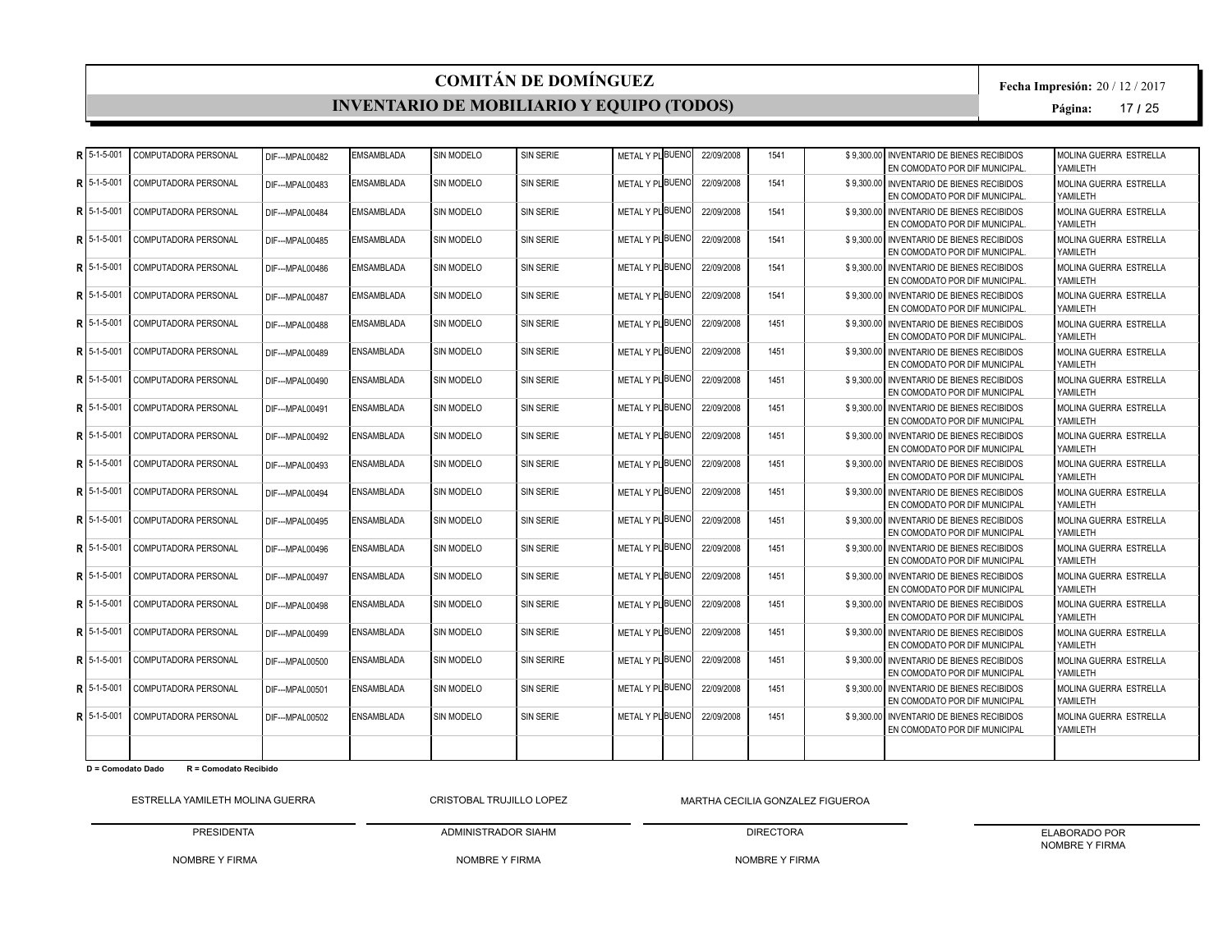#### **INVENTARIO DE MOBILIARIO Y EQUIPO (TODOS)**

**Fecha Impresión:** 20 / 12 / 2017

**Página:** 17 **/** 25

|   | 5-1-5-001         | COMPUTADORA PERSONAL        | DIF---MPAL00482  | <b>EMSAMBLADA</b> | SIN MODELO        | SIN SERIE         | METAL Y PLBUENO  | 22/09/2008 | 1541 | \$9.300.00 INVENTARIO DE BIENES RECIBIDOS<br>EN COMODATO POR DIF MUNICIPAL. | MOLINA GUERRA ESTRELLA<br>YAMILETH |
|---|-------------------|-----------------------------|------------------|-------------------|-------------------|-------------------|------------------|------------|------|-----------------------------------------------------------------------------|------------------------------------|
|   | 5-1-5-001         | COMPUTADORA PERSONAL        | DIF---MPAL00483  | <b>EMSAMBLADA</b> | SIN MODELO        | SIN SERIE         | METAL Y PLBUENO  | 22/09/2008 | 1541 | \$9.300.00 INVENTARIO DE BIENES RECIBIDOS<br>EN COMODATO POR DIF MUNICIPAL. | MOLINA GUERRA ESTRELLA<br>YAMILETH |
|   | $5 - 1 - 5 - 001$ | COMPUTADORA PERSONAL        | DIF---MPAL00484  | <b>EMSAMBLADA</b> | SIN MODELO        | SIN SERIE         | METAL Y PL BUENO | 22/09/2008 | 1541 | \$9.300.00 INVENTARIO DE BIENES RECIBIDOS<br>EN COMODATO POR DIF MUNICIPAL. | MOLINA GUERRA ESTRELLA<br>YAMILETH |
| R | 5-1-5-001         | COMPUTADORA PERSONAL        | DIF---MPAL00485  | <b>EMSAMBLADA</b> | SIN MODELO        | SIN SERIE         | METAL Y PLBUENO  | 22/09/2008 | 1541 | \$9.300.00 INVENTARIO DE BIENES RECIBIDOS<br>EN COMODATO POR DIF MUNICIPAL. | MOLINA GUERRA ESTRELLA<br>YAMILETH |
|   | 5-1-5-001         | COMPUTADORA PERSONAL        | DIF---MPAL00486  | <b>EMSAMBLADA</b> | SIN MODELO        | SIN SERIE         | METAL Y PLBUENO  | 22/09/2008 | 1541 | \$9,300.00 INVENTARIO DE BIENES RECIBIDOS<br>EN COMODATO POR DIF MUNICIPAL. | MOLINA GUERRA ESTRELLA<br>YAMILETH |
|   | 5-1-5-001         | COMPUTADORA PERSONAL        | DIF---MPAL00487  | <b>EMSAMBLADA</b> | SIN MODELO        | SIN SERIE         | METAL Y PLBUENO  | 22/09/2008 | 1541 | \$9,300.00 INVENTARIO DE BIENES RECIBIDOS<br>EN COMODATO POR DIF MUNICIPAL. | MOLINA GUERRA ESTRELLA<br>YAMILETH |
|   | 5-1-5-001         | COMPUTADORA PERSONAL        | DIF---MPAL00488  | <b>EMSAMBLADA</b> | SIN MODELO        | SIN SERIE         | METAL Y PLBUENO  | 22/09/2008 | 1451 | \$9,300.00 INVENTARIO DE BIENES RECIBIDOS<br>EN COMODATO POR DIF MUNICIPAL. | MOLINA GUERRA ESTRELLA<br>YAMILETH |
|   | 5-1-5-001         | COMPUTADORA PERSONAL        | DIF--- MPAL00489 | <b>ENSAMBLADA</b> | SIN MODELO        | SIN SERIE         | METAL Y PLBUENO  | 22/09/2008 | 1451 | \$9.300.00 INVENTARIO DE BIENES RECIBIDOS<br>EN COMODATO POR DIF MUNICIPAL  | MOLINA GUERRA ESTRELLA<br>YAMILETH |
|   | 5-1-5-001         | COMPUTADORA PERSONAL        | DIF--- MPAL00490 | <b>ENSAMBLADA</b> | SIN MODELO        | SIN SERIE         | METAL Y PL BUENO | 22/09/2008 | 1451 | \$9.300.00 INVENTARIO DE BIENES RECIBIDOS<br>EN COMODATO POR DIF MUNICIPAL  | MOLINA GUERRA ESTRELLA<br>YAMILETH |
|   | 5-1-5-001         | COMPUTADORA PERSONAL        | DIF---MPAL00491  | <b>ENSAMBLADA</b> | SIN MODELO        | SIN SERIE         | METAL Y PLBUENO  | 22/09/2008 | 1451 | \$9.300.00 INVENTARIO DE BIENES RECIBIDOS<br>EN COMODATO POR DIF MUNICIPAL  | MOLINA GUERRA ESTRELLA<br>YAMILETH |
|   | 5-1-5-001         | COMPUTADORA PERSONAL        | DIF--- MPAL00492 | <b>ENSAMBLADA</b> | SIN MODELO        | SIN SERIE         | METAL Y PLBUENO  | 22/09/2008 | 1451 | \$9.300.00 INVENTARIO DE BIENES RECIBIDOS<br>EN COMODATO POR DIF MUNICIPAL  | MOLINA GUERRA ESTRELLA<br>YAMILETH |
|   | 5-1-5-001         | COMPUTADORA PERSONAL        | DIF---MPAL00493  | <b>ENSAMBLADA</b> | SIN MODELO        | SIN SERIE         | METAL Y PLBUENO  | 22/09/2008 | 1451 | \$9.300.00 INVENTARIO DE BIENES RECIBIDOS<br>EN COMODATO POR DIF MUNICIPAL  | MOLINA GUERRA ESTRELLA<br>YAMILETH |
| R | 5-1-5-001         | COMPUTADORA PERSONAL        | DIF--- MPAL00494 | ENSAMBLADA        | SIN MODELO        | SIN SERIE         | METAL Y PLBUENO  | 22/09/2008 | 1451 | \$9.300.00 INVENTARIO DE BIENES RECIBIDOS<br>EN COMODATO POR DIF MUNICIPAL  | MOLINA GUERRA ESTRELLA<br>YAMILETH |
|   | 5-1-5-001         | COMPUTADORA PERSONAL        | DIF---MPAL00495  | <b>ENSAMBLADA</b> | SIN MODELO        | SIN SERIE         | METAL Y PLBUENO  | 22/09/2008 | 1451 | \$9,300,00 INVENTARIO DE BIENES RECIBIDOS<br>EN COMODATO POR DIF MUNICIPAL  | MOLINA GUERRA ESTRELLA<br>YAMILETH |
|   | 5-1-5-001         | COMPUTADORA PERSONAL        | DIF--- MPAL00496 | <b>ENSAMBLADA</b> | SIN MODELO        | SIN SERIE         | METAL Y PL BUENO | 22/09/2008 | 1451 | \$9.300.00 INVENTARIO DE BIENES RECIBIDOS<br>EN COMODATO POR DIF MUNICIPAL  | MOLINA GUERRA ESTRELLA<br>YAMILETH |
|   | $5 - 1 - 5 - 001$ | COMPUTADORA PERSONAL        | DIF---MPAL00497  | <b>ENSAMBLADA</b> | SIN MODELO        | SIN SERIE         | METAL Y PL BUENO | 22/09/2008 | 1451 | \$9.300.00 INVENTARIO DE BIENES RECIBIDOS<br>EN COMODATO POR DIF MUNICIPAL  | MOLINA GUERRA ESTRELLA<br>YAMILETH |
|   | 5-1-5-001         | COMPUTADORA PERSONAL        | DIF---MPAL00498  | <b>ENSAMBLADA</b> | SIN MODELO        | SIN SERIE         | METAL Y PLBUENO  | 22/09/2008 | 1451 | \$9.300.00 INVENTARIO DE BIENES RECIBIDOS<br>EN COMODATO POR DIF MUNICIPAL  | MOLINA GUERRA ESTRELLA<br>YAMILETH |
|   | 5-1-5-001         | COMPUTADORA PERSONAL        | DIF---MPAL00499  | <b>ENSAMBLADA</b> | SIN MODELO        | SIN SERIE         | METAL Y PLBUENO  | 22/09/2008 | 1451 | \$9.300.00 INVENTARIO DE BIENES RECIBIDOS<br>EN COMODATO POR DIF MUNICIPAL  | MOLINA GUERRA ESTRELLA<br>YAMILETH |
|   | $5 - 1 - 5 - 001$ | COMPUTADORA PERSONAL        | DIF---MPAL00500  | <b>ENSAMBLADA</b> | SIN MODELO        | <b>SIN SERIRE</b> | METAL Y PL BUENO | 22/09/2008 | 1451 | \$9,300,00 INVENTARIO DE BIENES RECIBIDOS<br>EN COMODATO POR DIF MUNICIPAL  | MOLINA GUERRA ESTRELLA<br>YAMILETH |
|   | 5-1-5-001         | COMPUTADORA PERSONAL        | DIF---MPAL00501  | ENSAMBLADA        | SIN MODELO        | SIN SERIE         | METAL Y PLBUENO  | 22/09/2008 | 1451 | \$9.300.00 INVENTARIO DE BIENES RECIBIDOS<br>EN COMODATO POR DIF MUNICIPAL  | MOLINA GUERRA ESTRELLA<br>YAMILETH |
|   | R I 5-1-5-001     | <b>COMPUTADORA PERSONAL</b> | DIF---MPAL00502  | <b>ENSAMBLADA</b> | <b>SIN MODELO</b> | SIN SERIE         | METAL Y PL BUENO | 22/09/2008 | 1451 | \$9,300.00 INVENTARIO DE BIENES RECIBIDOS<br>EN COMODATO POR DIF MUNICIPAL  | MOLINA GUERRA ESTRELLA<br>YAMILETH |
|   |                   |                             |                  |                   |                   |                   |                  |            |      |                                                                             |                                    |

**D = Comodato Dado R = Comodato Recibido**

ESTRELLA YAMILETH MOLINA GUERRA

PRESIDENTA CRISTOBAL TRUJILLO LOPEZ

ADMINISTRADOR SIAHM

NOMBRE Y FIRMA MARTHA CECILIA GONZALEZ FIGUEROA DIRECTORA

NOMBRE Y FIRMA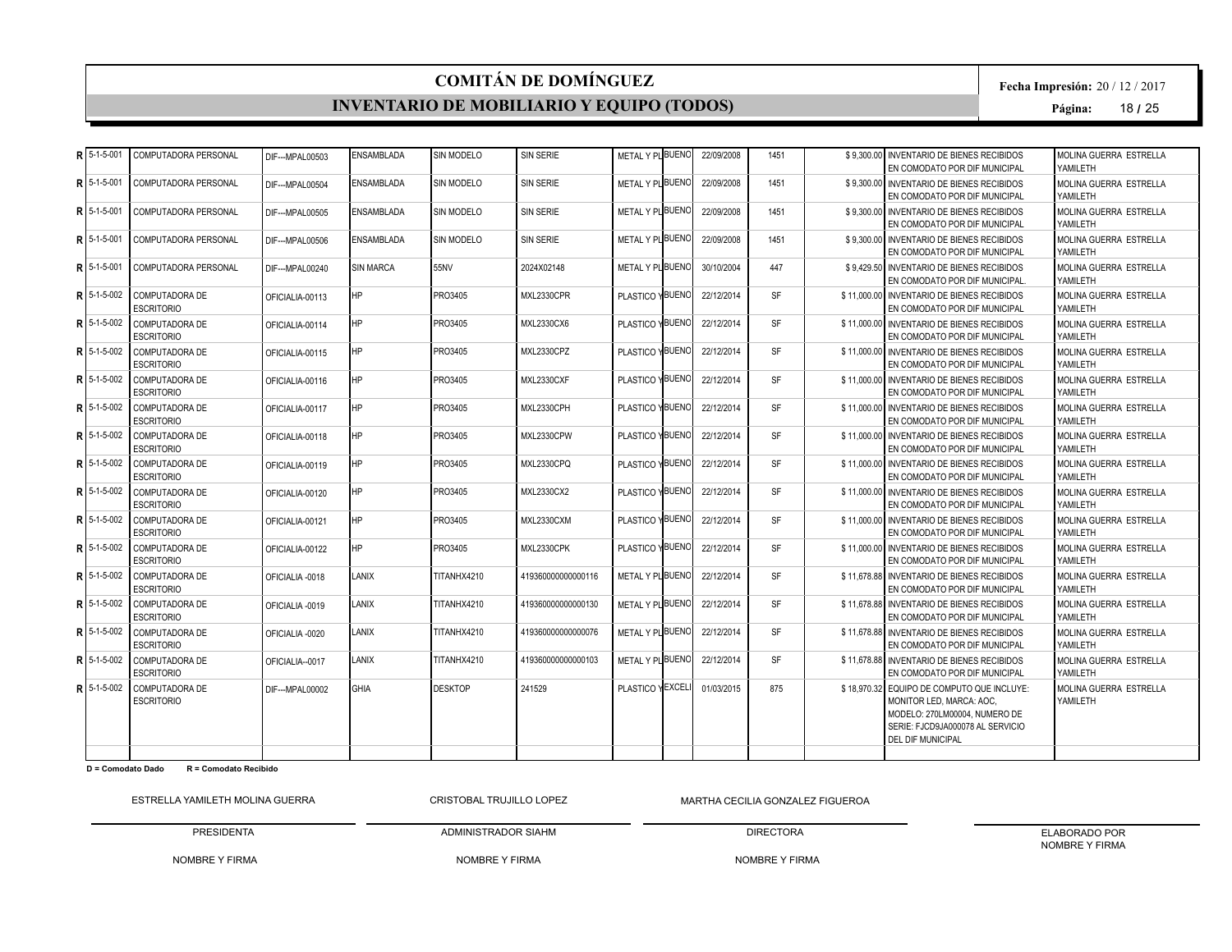#### **INVENTARIO DE MOBILIARIO Y EQUIPO (TODOS)**

**Fecha Impresión:** 20 / 12 / 2017

**Página:** 18 **/** 25

|   | ⊋ I 5-1-5-001     | COMPUTADORA PERSONAL                       | DIF--- MPAL00503 | <b>ENSAMBLADA</b> | SIN MODELO     | SIN SERIE          | METAL Y PLBUENO  | 22/09/2008 | 1451      | \$9.300.00 INVENTARIO DE BIENES RECIBIDOS<br>EN COMODATO POR DIF MUNICIPAL                                                                                              | MOLINA GUERRA ESTRELLA<br>YAMILETH  |
|---|-------------------|--------------------------------------------|------------------|-------------------|----------------|--------------------|------------------|------------|-----------|-------------------------------------------------------------------------------------------------------------------------------------------------------------------------|-------------------------------------|
|   | 5-1-5-001         | COMPUTADORA PERSONAL                       | DIF--- MPAL00504 | <b>ENSAMBLADA</b> | SIN MODELO     | SIN SERIE          | METAL Y PLBUENO  | 22/09/2008 | 1451      | \$9.300.00 INVENTARIO DE BIENES RECIBIDOS<br>EN COMODATO POR DIF MUNICIPAL                                                                                              | MOLINA GUERRA ESTRELLA<br>YAMILETH  |
|   | 5-1-5-001         | COMPUTADORA PERSONAL                       | DIF--- MPAL00505 | ENSAMBLADA        | SIN MODELO     | <b>SIN SERIE</b>   | METAL Y PLBUENO  | 22/09/2008 | 1451      | \$9.300.00 INVENTARIO DE BIENES RECIBIDOS<br>EN COMODATO POR DIF MUNICIPAL                                                                                              | MOLINA GUERRA ESTRELLA<br>YAMILETH  |
|   | 5-1-5-001         | COMPUTADORA PERSONAL                       | DIF---MPAL00506  | <b>ENSAMBLADA</b> | SIN MODELO     | <b>SIN SERIE</b>   | METAL Y PL BUENO | 22/09/2008 | 1451      | \$9.300.00 INVENTARIO DE BIENES RECIBIDOS<br>EN COMODATO POR DIF MUNICIPAL                                                                                              | MOLINA GUERRA ESTRELLA<br>YAMILETH  |
| 5 | 5-1-5-001         | COMPUTADORA PERSONAL                       | DIF---MPAL00240  | <b>SIN MARCA</b>  | 55NV           | 2024X02148         | METAL Y PLBUENO  | 30/10/2004 | 447       | \$9,429.50 INVENTARIO DE BIENES RECIBIDOS<br>EN COMODATO POR DIF MUNICIPAL.                                                                                             | MOLINA GUERRA ESTRELLA<br>YAMILETH  |
|   | $5 - 1 - 5 - 002$ | <b>COMPUTADORA DE</b><br><b>ESCRITORIO</b> | OFICIALIA-00113  | <b>HP</b>         | PRO3405        | MXL2330CPR         | PLASTICO YBUENO  | 22/12/2014 | <b>SF</b> | \$11,000.00 INVENTARIO DE BIENES RECIBIDOS<br>EN COMODATO POR DIF MUNICIPAL                                                                                             | MOLINA GUERRA ESTRELLA<br>YAMILETH  |
|   | 5-1-5-002         | <b>COMPUTADORA DE</b><br><b>ESCRITORIO</b> | OFICIALIA-00114  | <b>HP</b>         | PRO3405        | MXL2330CX6         | PLASTICO YBUENO  | 22/12/2014 | <b>SF</b> | \$11,000.00 INVENTARIO DE BIENES RECIBIDOS<br>EN COMODATO POR DIF MUNICIPAL                                                                                             | MOLINA GUERRA ESTRELLA<br>YAMILETH  |
|   | 5-1-5-002         | COMPUTADORA DE<br><b>ESCRITORIO</b>        | OFICIALIA-00115  | <b>HP</b>         | PRO3405        | MXL2330CPZ         | PLASTICO YBUENO  | 22/12/2014 | <b>SF</b> | \$11,000,00 INVENTARIO DE BIENES RECIBIDOS<br>EN COMODATO POR DIF MUNICIPAL                                                                                             | MOLINA GUERRA ESTRELLA<br>YAMII FTH |
|   | 5-1-5-002         | <b>COMPUTADORA DE</b><br><b>ESCRITORIO</b> | OFICIALIA-00116  | <b>HP</b>         | PRO3405        | MXL2330CXF         | PLASTICO YBUENO  | 22/12/2014 | <b>SF</b> | \$11,000,00 INVENTARIO DE BIENES RECIBIDOS<br>EN COMODATO POR DIF MUNICIPAL                                                                                             | MOLINA GUERRA ESTRELLA<br>YAMILETH  |
|   | 5-1-5-002         | COMPUTADORA DE<br><b>ESCRITORIO</b>        | OFICIALIA-00117  | <b>HP</b>         | PRO3405        | MXL2330CPH         | PLASTICO YBUENO  | 22/12/2014 | <b>SF</b> | \$11,000,00 INVENTARIO DE BIENES RECIBIDOS<br>EN COMODATO POR DIF MUNICIPAL                                                                                             | MOLINA GUERRA ESTRELLA<br>YAMILETH  |
|   | 5-1-5-002         | <b>COMPUTADORA DE</b><br><b>ESCRITORIO</b> | OFICIALIA-00118  | <b>HP</b>         | PRO3405        | MXL2330CPW         | PLASTICO YBUENO  | 22/12/2014 | <b>SF</b> | \$11,000,00 INVENTARIO DE BIENES RECIBIDOS<br>EN COMODATO POR DIF MUNICIPAL                                                                                             | MOLINA GUERRA ESTRELLA<br>YAMILETH  |
|   | 5-1-5-002         | <b>COMPUTADORA DE</b><br><b>ESCRITORIO</b> | OFICIALIA-00119  | <b>HP</b>         | PRO3405        | <b>MXL2330CPQ</b>  | PLASTICO YBUENO  | 22/12/2014 | <b>SF</b> | \$11,000.00 INVENTARIO DE BIENES RECIBIDOS<br>EN COMODATO POR DIF MUNICIPAL                                                                                             | MOLINA GUERRA ESTRELLA<br>YAMILETH  |
|   | 5-1-5-002         | <b>COMPUTADORA DE</b><br><b>ESCRITORIO</b> | OFICIALIA-00120  | HP                | PRO3405        | MXL2330CX2         | PLASTICO YBUENO  | 22/12/2014 | <b>SF</b> | \$11,000.00 INVENTARIO DE BIENES RECIBIDOS<br>EN COMODATO POR DIF MUNICIPAL                                                                                             | MOLINA GUERRA ESTRELLA<br>YAMILETH  |
|   | 5-1-5-002         | COMPUTADORA DE<br><b>ESCRITORIO</b>        | OFICIALIA-00121  | <b>HP</b>         | PRO3405        | MXL2330CXM         | PLASTICO YBUENO  | 22/12/2014 | <b>SF</b> | \$11,000,00 INVENTARIO DE BIENES RECIBIDOS<br>EN COMODATO POR DIF MUNICIPAL                                                                                             | MOLINA GUERRA ESTRELLA<br>YAMII FTH |
|   | 5-1-5-002         | COMPUTADORA DE<br><b>ESCRITORIO</b>        | OFICIALIA-00122  | <b>HP</b>         | PRO3405        | MXL2330CPK         | PLASTICO YBUENO  | 22/12/2014 | <b>SF</b> | \$11,000,00 INVENTARIO DE BIENES RECIBIDOS<br>EN COMODATO POR DIF MUNICIPAL                                                                                             | MOLINA GUERRA ESTRELLA<br>YAMILETH  |
|   | 5-1-5-002         | COMPUTADORA DE<br><b>ESCRITORIO</b>        | OFICIALIA-0018   | LANIX             | TITANHX4210    | 419360000000000116 | METAL Y PLBUENO  | 22/12/2014 | <b>SF</b> | \$11,678,88 INVENTARIO DE BIENES RECIBIDOS<br>EN COMODATO POR DIF MUNICIPAL                                                                                             | MOLINA GUERRA ESTRELLA<br>YAMII FTH |
|   | 5-1-5-002         | <b>COMPUTADORA DE</b><br><b>ESCRITORIO</b> | OFICIALIA-0019   | LANIX             | TITANHX4210    | 419360000000000130 | METAL Y PLBUENO  | 22/12/2014 | <b>SF</b> | \$11.678.88 INVENTARIO DE BIENES RECIBIDOS<br>EN COMODATO POR DIF MUNICIPAL                                                                                             | MOLINA GUERRA ESTRELLA<br>YAMILETH  |
|   | 5-1-5-002         | COMPUTADORA DE<br><b>ESCRITORIO</b>        | OFICIALIA-0020   | LANIX             | TITANHX4210    | 419360000000000076 | METAL Y PL BUENO | 22/12/2014 | <b>SF</b> | \$11.678.88 INVENTARIO DE BIENES RECIBIDOS<br>EN COMODATO POR DIF MUNICIPAL                                                                                             | MOLINA GUERRA ESTRELLA<br>YAMILETH  |
|   | 5-1-5-002         | COMPUTADORA DE<br><b>ESCRITORIO</b>        | OFICIALIA--0017  | LANIX             | TITANHX4210    | 419360000000000103 | METAL Y PL BUENO | 22/12/2014 | <b>SF</b> | \$11,678,88 INVENTARIO DE BIENES RECIBIDOS<br>EN COMODATO POR DIF MUNICIPAL                                                                                             | MOLINA GUERRA ESTRELLA<br>YAMILETH  |
|   | 5-1-5-002         | COMPUTADORA DE<br><b>ESCRITORIO</b>        | DIF--- MPAL00002 | <b>GHIA</b>       | <b>DESKTOP</b> | 241529             | PLASTICO YEXCELI | 01/03/2015 | 875       | \$18,970.32 EQUIPO DE COMPUTO QUE INCLUYE:<br>MONITOR LED. MARCA: AOC.<br>MODELO: 270LM00004. NUMERO DE<br>SERIE: FJCD9JA000078 AL SERVICIO<br><b>DEL DIF MUNICIPAL</b> | MOLINA GUERRA ESTRELLA<br>YAMILETH  |
|   |                   |                                            |                  |                   |                |                    |                  |            |           |                                                                                                                                                                         |                                     |

**D = Comodato Dado R = Comodato Recibido**

ESTRELLA YAMILETH MOLINA GUERRA

PRESIDENTA CRISTOBAL TRUJILLO LOPEZ

NOMBRE Y FIRMA MARTHA CECILIA GONZALEZ FIGUEROA

NOMBRE Y FIRMA

ADMINISTRADOR SIAHM

DIRECTORA NOMBRE Y FIRMA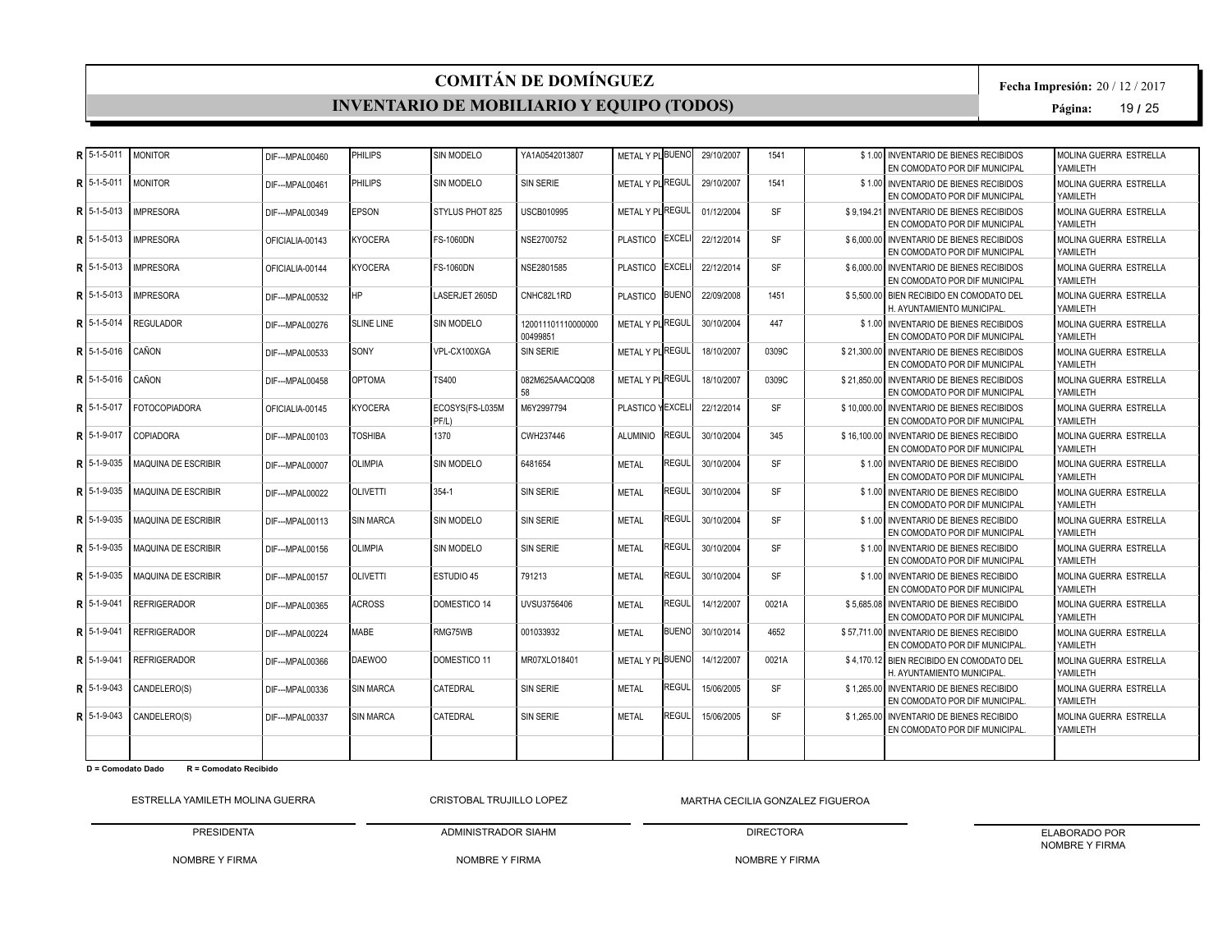#### **INVENTARIO DE MOBILIARIO Y EQUIPO (TODOS)**

**Fecha Impresión:** 20 / 12 / 2017

**Página:** 19 **/** 25

|   | $R$ 5-1-5-011       | <b>MONITOR</b>             | DIF--- MPAL00460 | PHILIPS           | SIN MODELO               | YA1A0542013807                 | METAL Y PLBUENO  |                | 29/10/2007 | 1541      | \$1.00 INVENTARIO DE BIENES RECIBIDOS<br>EN COMODATO POR DIF MUNICIPAL      | MOLINA GUERRA ESTRELLA<br>YAMILETH  |
|---|---------------------|----------------------------|------------------|-------------------|--------------------------|--------------------------------|------------------|----------------|------------|-----------|-----------------------------------------------------------------------------|-------------------------------------|
| R | 5-1-5-011           | <b>MONITOR</b>             | DIF--- MPAL00461 | PHILIPS           | <b>SIN MODELO</b>        | <b>SIN SERIE</b>               | METAL Y PLIREGUL |                | 29/10/2007 | 1541      | \$1.00 INVENTARIO DE BIENES RECIBIDOS<br>EN COMODATO POR DIF MUNICIPAL      | MOLINA GUERRA ESTRELLA<br>YAMILETH  |
| R | 5-1-5-013           | <b>IMPRESORA</b>           | DIF---MPAL00349  | <b>EPSON</b>      | STYLUS PHOT 825          | USCB010995                     | METAL Y PL REGUL |                | 01/12/2004 | <b>SF</b> | \$9.194.21 INVENTARIO DE BIENES RECIBIDOS<br>EN COMODATO POR DIF MUNICIPAL  | MOLINA GUERRA ESTRELLA<br>YAMII FTH |
| R | 5-1-5-013           | <b>IMPRESORA</b>           | OFICIALIA-00143  | <b>KYOCERA</b>    | <b>FS-1060DN</b>         | NSE2700752                     | <b>PLASTICO</b>  | <b>EXCELI</b>  | 22/12/2014 | <b>SF</b> | \$6,000,00 INVENTARIO DE BIENES RECIBIDOS<br>EN COMODATO POR DIF MUNICIPAL  | MOLINA GUERRA ESTRELLA<br>YAMILETH  |
|   | $R$ 15-1-5-013      | <b>IMPRESORA</b>           | OFICIALIA-00144  | <b>KYOCERA</b>    | <b>FS-1060DN</b>         | NSE2801585                     | <b>PLASTICO</b>  | <b>IEXCELI</b> | 22/12/2014 | <b>SF</b> | \$6,000.00 INVENTARIO DE BIENES RECIBIDOS<br>EN COMODATO POR DIF MUNICIPAL  | MOLINA GUERRA ESTRELLA<br>YAMII FTH |
| Þ | 5-1-5-013           | <b>IMPRESORA</b>           | DIF--- MPAL00532 | <b>HP</b>         | LASERJET 2605D           | CNHC82L1RD                     | PLASTICO BUENO   |                | 22/09/2008 | 1451      | \$5,500.00 BIEN RECIBIDO EN COMODATO DEL<br>H. AYUNTAMIENTO MUNICIPAL       | MOLINA GUERRA ESTRELLA<br>YAMILETH  |
|   | R 5-1-5-014         | <b>REGULADOR</b>           | DIF--- MPAL00276 | <b>SLINE LINE</b> | SIN MODELO               | 120011101110000000<br>00499851 | METAL Y PL REGUL |                | 30/10/2004 | 447       | \$1.00 INVENTARIO DE BIENES RECIBIDOS<br>EN COMODATO POR DIF MUNICIPAL      | MOLINA GUERRA ESTRELLA<br>YAMILETH  |
|   | $R$ 5-1-5-016       | CAÑON                      | DIF--- MPAL00533 | SONY              | VPL-CX100XGA             | SIN SERIE                      | METAL Y PL REGUL |                | 18/10/2007 | 0309C     | \$21,300,00 INVENTARIO DE BIENES RECIBIDOS<br>EN COMODATO POR DIF MUNICIPAL | MOLINA GUERRA ESTRELLA<br>YAMILETH  |
|   | 5-1-5-016           | CAÑON                      | DIF--- MPAL00458 | <b>OPTOMA</b>     | TS400                    | 082M625AAACQQ08<br>58          | METAL Y PLIREGUL |                | 18/10/2007 | 0309C     | \$21,850,00 INVENTARIO DE BIENES RECIBIDOS<br>EN COMODATO POR DIF MUNICIPAL | MOLINA GUERRA ESTRELLA<br>YAMILETH  |
|   | <b>RI</b> 5-1-5-017 | <b>FOTOCOPIADORA</b>       | OFICIALIA-00145  | KYOCERA           | ECOSYS(FS-L035M<br>PF/L) | M6Y2997794                     | PLASTICO YEXCEL  |                | 22/12/2014 | <b>SF</b> | \$10,000,00 INVENTARIO DE BIENES RECIBIDOS<br>EN COMODATO POR DIF MUNICIPAL | MOLINA GUERRA ESTRELLA<br>YAMILETH  |
| R | 5-1-9-017           | <b>COPIADORA</b>           | DIF--- MPAL00103 | <b>TOSHIBA</b>    | 1370                     | CWH237446                      | <b>ALUMINIO</b>  | REGUL          | 30/10/2004 | 345       | \$16,100.00 INVENTARIO DE BIENES RECIBIDO<br>EN COMODATO POR DIF MUNICIPAL  | MOLINA GUERRA ESTRELLA<br>YAMILETH  |
| R | 5-1-9-035           | <b>MAQUINA DE ESCRIBIR</b> | DIF--- MPAL00007 | <b>OLIMPIA</b>    | SIN MODELO               | 6481654                        | <b>METAL</b>     | REGUL          | 30/10/2004 | <b>SF</b> | \$1.00 INVENTARIO DE BIENES RECIBIDO<br>EN COMODATO POR DIF MUNICIPAL       | MOLINA GUERRA ESTRELLA<br>YAMII FTH |
| R | 5-1-9-035           | <b>MAQUINA DE ESCRIBIR</b> | DIF--- MPAL00022 | <b>OLIVETTI</b>   | $354-1$                  | <b>SIN SERIE</b>               | <b>METAL</b>     | REGUL          | 30/10/2004 | <b>SF</b> | \$1.00 INVENTARIO DE BIENES RECIBIDO<br>EN COMODATO POR DIF MUNICIPAL       | MOLINA GUERRA ESTRELLA<br>YAMILETH  |
|   | $R$ 15-1-9-035      | <b>MAQUINA DE ESCRIBIR</b> | DIF---MPAL00113  | <b>SIN MARCA</b>  | <b>SIN MODELO</b>        | <b>SIN SERIE</b>               | <b>METAL</b>     | <b>REGUL</b>   | 30/10/2004 | <b>SF</b> | \$1.00 INVENTARIO DE BIENES RECIBIDO<br>EN COMODATO POR DIF MUNICIPAL       | MOLINA GUERRA ESTRELLA<br>YAMII FTH |
| Þ | 5-1-9-035           | <b>MAQUINA DE ESCRIBIR</b> | DIF--- MPAL00156 | <b>OLIMPIA</b>    | <b>SIN MODELO</b>        | <b>SIN SERIE</b>               | <b>METAL</b>     | REGUL          | 30/10/2004 | <b>SF</b> | \$1.00 INVENTARIO DE BIENES RECIBIDO<br>EN COMODATO POR DIF MUNICIPAL       | MOLINA GUERRA ESTRELLA<br>YAMILETH  |
| R | 5-1-9-035           | <b>MAQUINA DE ESCRIBIR</b> | DIF--- MPAL00157 | <b>OLIVETTI</b>   | ESTUDIO 45               | 791213                         | <b>METAL</b>     | REGUL          | 30/10/2004 | <b>SF</b> | \$1.00 INVENTARIO DE BIENES RECIBIDO<br>EN COMODATO POR DIF MUNICIPAL       | MOLINA GUERRA ESTRELLA<br>YAMILETH  |
| Þ | 5-1-9-041           | <b>REFRIGERADOR</b>        | DIF--- MPAL00365 | <b>ACROSS</b>     | DOMESTICO 14             | UVSU3756406                    | <b>METAL</b>     | REGUL          | 14/12/2007 | 0021A     | \$5.685.08 INVENTARIO DE BIENES RECIBIDO<br>EN COMODATO POR DIF MUNICIPAL   | MOLINA GUERRA ESTRELLA<br>YAMILETH  |
| R | 5-1-9-041           | <b>REFRIGERADOR</b>        | DIF--- MPAL00224 | <b>MABE</b>       | RMG75WB                  | 001033932                      | <b>METAL</b>     | <b>BUENO</b>   | 30/10/2014 | 4652      | \$57.711.00 INVENTARIO DE BIENES RECIBIDO<br>EN COMODATO POR DIF MUNICIPAL. | MOLINA GUERRA ESTRELLA<br>YAMILETH  |
| R | 5-1-9-041           | <b>REFRIGERADOR</b>        | DIF---MPAL00366  | <b>DAEWOO</b>     | DOMESTICO 11             | MR07XLO18401                   | METAL Y PIBUENO  |                | 14/12/2007 | 0021A     | \$4.170.12 BIEN RECIBIDO EN COMODATO DEL<br>H. AYUNTAMIENTO MUNICIPAL.      | MOLINA GUERRA ESTRELLA<br>YAMILETH  |
| R | 5-1-9-043           | CANDELERO(S)               | DIF---MPAL00336  | <b>SIN MARCA</b>  | CATEDRAL                 | <b>SIN SERIE</b>               | <b>METAL</b>     | <b>REGUL</b>   | 15/06/2005 | <b>SF</b> | \$1,265.00 INVENTARIO DE BIENES RECIBIDO<br>EN COMODATO POR DIF MUNICIPAL.  | MOLINA GUERRA ESTRELLA<br>YAMILETH  |
|   | $R15-1-9-043$       | CANDELERO(S)               | DIF--- MPAL00337 | <b>SIN MARCA</b>  | CATEDRAL                 | SIN SERIE                      | <b>METAL</b>     | REGUL          | 15/06/2005 | <b>SF</b> | \$1.265.00 INVENTARIO DE BIENES RECIBIDO<br>EN COMODATO POR DIF MUNICIPAL.  | MOLINA GUERRA ESTRELLA<br>YAMILETH  |
|   |                     |                            |                  |                   |                          |                                |                  |                |            |           |                                                                             |                                     |

**D = Comodato Dado R = Comodato Recibido**

ESTRELLA YAMILETH MOLINA GUERRA

PRESIDENTA CRISTOBAL TRUJILLO LOPEZ

NOMBRE Y FIRMA MARTHA CECILIA GONZALEZ FIGUEROA

NOMBRE Y FIRMA

ADMINISTRADOR SIAHM

DIRECTORA NOMBRE Y FIRMA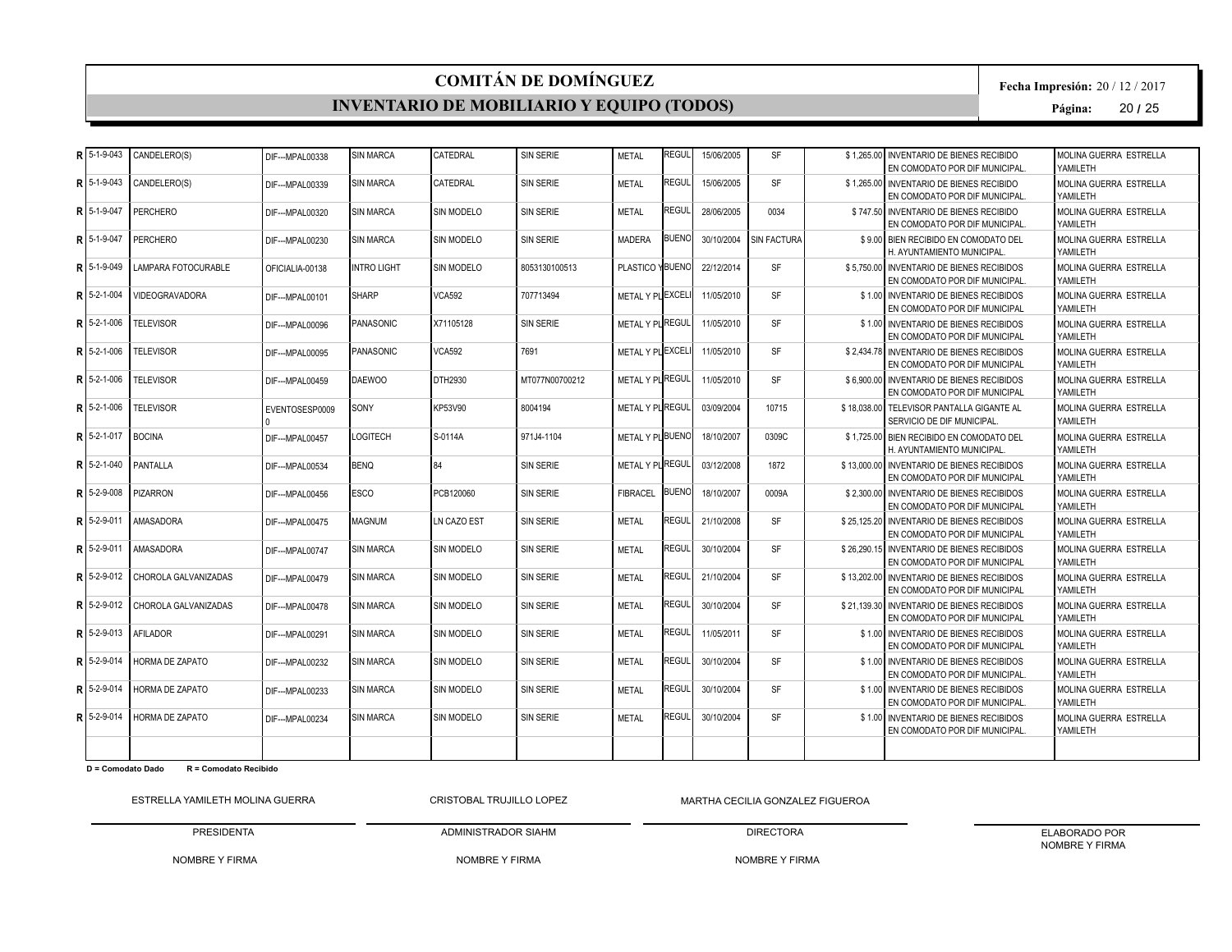#### **INVENTARIO DE MOBILIARIO Y EQUIPO (TODOS)**

**Fecha Impresión:** 20 / 12 / 2017

**Página:** 20 **/** 25

| R  | 5-1-9-043     | CANDELERO(S)           | DIF--- MPAL00338 | <b>SIN MARCA</b>   | CATEDRAL          | SIN SERIE        | <b>METAL</b>     | <b>REGUL</b> | 15/06/2005 | SF          | \$1.265.00 | <b>INVENTARIO DE BIENES RECIBIDO</b><br>EN COMODATO POR DIF MUNICIPAL.      | MOLINA GUERRA ESTRELLA<br>YAMILETH  |
|----|---------------|------------------------|------------------|--------------------|-------------------|------------------|------------------|--------------|------------|-------------|------------|-----------------------------------------------------------------------------|-------------------------------------|
| R  | 5-1-9-043     | CANDELERO(S)           | DIF--- MPAL00339 | <b>SIN MARCA</b>   | CATEDRAL          | <b>SIN SERIE</b> | <b>METAL</b>     | REGUL        | 15/06/2005 | <b>SF</b>   |            | \$1.265.00 INVENTARIO DE BIENES RECIBIDO<br>EN COMODATO POR DIF MUNICIPAL.  | MOLINA GUERRA ESTRELLA<br>YAMILETH  |
| R  | 5-1-9-047     | PERCHERO               | DIF--- MPAL00320 | <b>SIN MARCA</b>   | SIN MODELO        | <b>SIN SERIE</b> | <b>METAL</b>     | REGUL        | 28/06/2005 | 0034        |            | \$747.50 INVENTARIO DE BIENES RECIBIDO<br>EN COMODATO POR DIF MUNICIPAL.    | MOLINA GUERRA ESTRELLA<br>YAMII FTH |
| R  | 5-1-9-047     | <b>PERCHERO</b>        | DIF--- MPAL00230 | <b>SIN MARCA</b>   | <b>SIN MODELO</b> | SIN SERIE        | <b>MADERA</b>    | <b>BUENO</b> | 30/10/2004 | SIN FACTURA |            | \$9.00 BIEN RECIBIDO EN COMODATO DEL<br>H. AYUNTAMIENTO MUNICIPAL.          | MOLINA GUERRA ESTRELLA<br>YAMILETH  |
| R  | 5-1-9-049     | LAMPARA FOTOCURABLE    | OFICIALIA-00138  | <b>INTRO LIGHT</b> | <b>SIN MODELO</b> | 8053130100513    | PLASTICO YBUENO  |              | 22/12/2014 | <b>SF</b>   |            | \$5,750.00 INVENTARIO DE BIENES RECIBIDOS<br>EN COMODATO POR DIF MUNICIPAL. | MOLINA GUERRA ESTRELLA<br>YAMILETH  |
| R  | 5-2-1-004     | VIDEOGRAVADORA         | DIF---MPAL00101  | <b>SHARP</b>       | <b>VCA592</b>     | 707713494        | METAL Y PLEXCEL  |              | 11/05/2010 | <b>SF</b>   |            | \$1.00 INVENTARIO DE BIENES RECIBIDOS<br>EN COMODATO POR DIF MUNICIPAL      | MOLINA GUERRA ESTRELLA<br>YAMILETH  |
| R  | 5-2-1-006     | <b>TELEVISOR</b>       | DIF---MPAL00096  | PANASONIC          | X71105128         | <b>SIN SERIE</b> | METAL Y PL REGUL |              | 11/05/2010 | <b>SF</b>   |            | \$1.00 INVENTARIO DE BIENES RECIBIDOS<br>EN COMODATO POR DIF MUNICIPAL      | MOLINA GUERRA ESTRELLA<br>YAMILETH  |
| R  | 5-2-1-006     | <b>TELEVISOR</b>       | DIF--- MPAL00095 | PANASONIC          | <b>VCA592</b>     | 7691             | METAL Y PLEXCELI |              | 11/05/2010 | <b>SF</b>   |            | \$2.434.78 INVENTARIO DE BIENES RECIBIDOS<br>EN COMODATO POR DIF MUNICIPAL  | MOLINA GUERRA ESTRELLA<br>YAMILETH  |
| D  | 5-2-1-006     | <b>TELEVISOR</b>       | DIF--- MPAL00459 | <b>DAEWOO</b>      | DTH2930           | MT077N00700212   | METAL Y PLIREGUL |              | 11/05/2010 | <b>SF</b>   |            | \$6,900.00 INVENTARIO DE BIENES RECIBIDOS<br>EN COMODATO POR DIF MUNICIPAL  | MOLINA GUERRA ESTRELLA<br>YAMILETH  |
| R  | 5-2-1-006     | <b>TELEVISOR</b>       | EVENTOSESP0009   | SONY               | KP53V90           | 8004194          | METAL Y PLREGUL  |              | 03/09/2004 | 10715       |            | \$18.038.00 TELEVISOR PANTALLA GIGANTE AL<br>SERVICIO DE DIF MUNICIPAL      | MOLINA GUERRA ESTRELLA<br>YAMILETH  |
| R  | 5-2-1-017     | <b>BOCINA</b>          | DIF--- MPAL00457 | LOGITECH           | S-0114A           | 971J4-1104       | METAL Y PLBUENO  |              | 18/10/2007 | 0309C       |            | \$1.725.00 BIEN RECIBIDO EN COMODATO DEL<br>H. AYUNTAMIENTO MUNICIPAL.      | MOLINA GUERRA ESTRELLA<br>YAMILETH  |
|    | $R$ 5-2-1-040 | PANTALLA               | DIF--- MPAL00534 | <b>BENO</b>        | 84                | <b>SIN SERIE</b> | METAL Y PLIREGUL |              | 03/12/2008 | 1872        |            | \$13,000.00 INVENTARIO DE BIENES RECIBIDOS<br>EN COMODATO POR DIF MUNICIPAL | MOLINA GUERRA ESTRELLA<br>YAMII FTH |
| R  | 5-2-9-008     | <b>PIZARRON</b>        | DIF--- MPAL00456 | <b>ESCO</b>        | PCB120060         | <b>SIN SERIE</b> | <b>FIBRACEL</b>  | <b>BUENO</b> | 18/10/2007 | 0009A       |            | \$2,300,00 INVENTARIO DE BIENES RECIBIDOS<br>EN COMODATO POR DIF MUNICIPAL  | MOLINA GUERRA ESTRELLA<br>YAMILETH  |
| Þ. | 5-2-9-011     | <b>AMASADORA</b>       | DIF--- MPAL00475 | <b>MAGNUM</b>      | LN CAZO EST       | <b>SIN SERIE</b> | <b>METAL</b>     | REGUL        | 21/10/2008 | <b>SF</b>   |            | \$25,125.20 INVENTARIO DE BIENES RECIBIDOS<br>EN COMODATO POR DIF MUNICIPAL | MOLINA GUERRA ESTRELLA<br>YAMILETH  |
| R  | 5-2-9-011     | AMASADORA              | DIF--- MPAL00747 | <b>SIN MARCA</b>   | SIN MODELO        | SIN SERIE        | <b>METAL</b>     | REGUL        | 30/10/2004 | <b>SF</b>   |            | \$26,290.15 INVENTARIO DE BIENES RECIBIDOS<br>EN COMODATO POR DIF MUNICIPAL | MOLINA GUERRA ESTRELLA<br>YAMILETH  |
| R  | 5-2-9-012     | CHOROLA GALVANIZADAS   | DIF---MPAL00479  | <b>SIN MARCA</b>   | <b>SIN MODELO</b> | <b>SIN SERIE</b> | <b>METAL</b>     | <b>REGUL</b> | 21/10/2004 | <b>SF</b>   |            | \$13,202.00 INVENTARIO DE BIENES RECIBIDOS<br>EN COMODATO POR DIF MUNICIPAL | MOLINA GUERRA ESTRELLA<br>YAMILETH  |
| R  | 5-2-9-012     | CHOROLA GALVANIZADAS   | DIF---MPAL00478  | <b>SIN MARCA</b>   | SIN MODELO        | <b>SIN SERIE</b> | <b>METAL</b>     | REGUL        | 30/10/2004 | <b>SF</b>   |            | \$21.139.30 INVENTARIO DE BIENES RECIBIDOS<br>EN COMODATO POR DIF MUNICIPAL | MOLINA GUERRA ESTRELLA<br>YAMII FTH |
| R  | 5-2-9-013     | <b>AFILADOR</b>        | DIF---MPAL00291  | <b>SIN MARCA</b>   | SIN MODELO        | <b>SIN SERIE</b> | <b>METAL</b>     | REGUL        | 11/05/2011 | <b>SF</b>   |            | \$1.00 INVENTARIO DE BIENES RECIBIDOS<br>EN COMODATO POR DIF MUNICIPAL      | MOLINA GUERRA ESTRELLA<br>YAMILETH  |
| R  | 5-2-9-014     | HORMA DE ZAPATO        | DIF--- MPAL00232 | <b>SIN MARCA</b>   | <b>SIN MODELO</b> | <b>SIN SERIE</b> | <b>METAL</b>     | REGUL        | 30/10/2004 | <b>SF</b>   |            | \$1.00 INVENTARIO DE BIENES RECIBIDOS<br>EN COMODATO POR DIF MUNICIPAL.     | MOLINA GUERRA ESTRELLA<br>YAMILETH  |
| R  | 5-2-9-014     | HORMA DE ZAPATO        | DIF--- MPAL00233 | <b>SIN MARCA</b>   | SIN MODELO        | <b>SIN SERIE</b> | <b>METAL</b>     | REGUL        | 30/10/2004 | <b>SF</b>   |            | \$1.00 INVENTARIO DE BIENES RECIBIDOS<br>EN COMODATO POR DIF MUNICIPAL.     | MOLINA GUERRA ESTRELLA<br>YAMILETH  |
| R  | 5-2-9-014     | <b>HORMA DE ZAPATO</b> | DIF--- MPAL00234 | <b>SIN MARCA</b>   | <b>SIN MODELO</b> | SIN SERIE        | <b>METAL</b>     | REGUL        | 30/10/2004 | <b>SF</b>   |            | \$1.00 INVENTARIO DE BIENES RECIBIDOS<br>EN COMODATO POR DIF MUNICIPAL.     | MOLINA GUERRA ESTRELLA<br>YAMILETH  |
|    |               |                        |                  |                    |                   |                  |                  |              |            |             |            |                                                                             |                                     |

**D = Comodato Dado R = Comodato Recibido**

ESTRELLA YAMILETH MOLINA GUERRA PRESIDENTA CRISTOBAL TRUJILLO LOPEZ

NOMBRE Y FIRMA MARTHA CECILIA GONZALEZ FIGUEROA

NOMBRE Y FIRMA

ADMINISTRADOR SIAHM

DIRECTORA NOMBRE Y FIRMA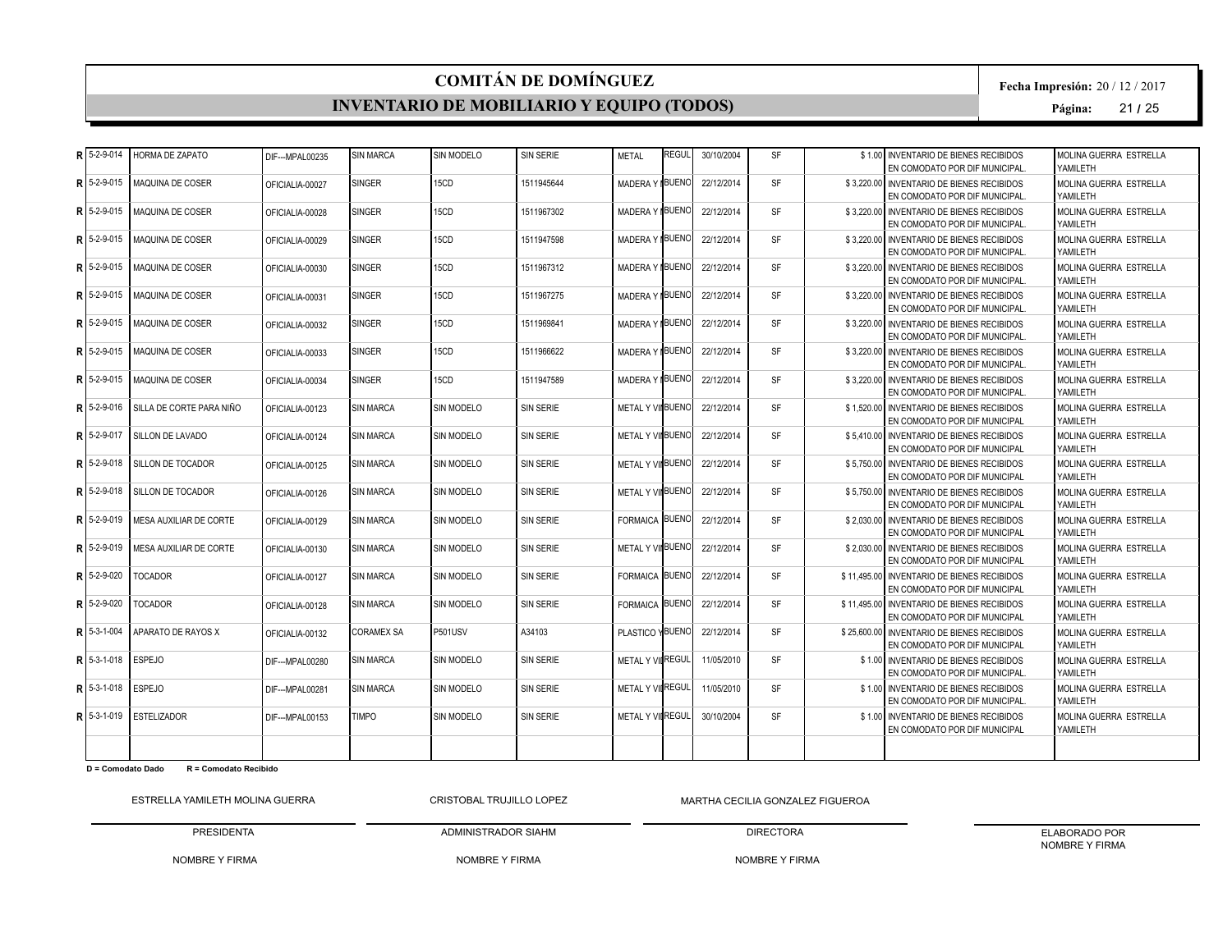#### **INVENTARIO DE MOBILIARIO Y EQUIPO (TODOS)**

**Fecha Impresión:** 20 / 12 / 2017

**Página:** 21 **/** 25

| R  | 5-2-9-014      | HORMA DE ZAPATO          | DIF--- MPAL00235 | <b>SIN MARCA</b>  | SIN MODELO        | <b>SIN SERIE</b> | <b>METAL</b>            | REGUL        | 30/10/2004 | <b>SF</b> | \$1.00 INVENTARIO DE BIENES RECIBIDOS<br>EN COMODATO POR DIF MUNICIPAL.     | MOLINA GUERRA ESTRELLA<br>YAMII FTH |
|----|----------------|--------------------------|------------------|-------------------|-------------------|------------------|-------------------------|--------------|------------|-----------|-----------------------------------------------------------------------------|-------------------------------------|
| R  | 5-2-9-015      | MAQUINA DE COSER         | OFICIALIA-00027  | <b>SINGER</b>     | 15CD              | 1511945644       | <b>MADERAY</b>          | <b>BUENO</b> | 22/12/2014 | <b>SF</b> | \$3.220.00 INVENTARIO DE BIENES RECIBIDOS<br>EN COMODATO POR DIF MUNICIPAL. | MOLINA GUERRA ESTRELLA<br>YAMILETH  |
| R  | 5-2-9-015      | <b>MAQUINA DE COSER</b>  | OFICIALIA-00028  | <b>SINGER</b>     | 15CD              | 1511967302       | MADERA Y BUENO          |              | 22/12/2014 | <b>SF</b> | \$3.220.00 INVENTARIO DE BIENES RECIBIDOS<br>EN COMODATO POR DIF MUNICIPAL. | MOLINA GUERRA ESTRELLA<br>YAMILETH  |
| R. | 5-2-9-015      | MAQUINA DE COSER         | OFICIALIA-00029  | <b>SINGER</b>     | 15CD              | 1511947598       | MADERA Y BUENO          |              | 22/12/2014 | <b>SF</b> | \$3.220.00 INVENTARIO DE BIENES RECIBIDOS<br>EN COMODATO POR DIF MUNICIPAL. | MOLINA GUERRA ESTRELLA<br>YAMILETH  |
| R  | 5-2-9-015      | MAQUINA DE COSER         | OFICIALIA-00030  | <b>SINGER</b>     | 15CD              | 1511967312       | MADERA Y BUENO          |              | 22/12/2014 | <b>SF</b> | \$3.220.00 INVENTARIO DE BIENES RECIBIDOS<br>EN COMODATO POR DIF MUNICIPAL. | MOLINA GUERRA ESTRELLA<br>YAMILETH  |
|    | 5-2-9-015      | <b>MAQUINA DE COSER</b>  | OFICIALIA-00031  | <b>SINGER</b>     | 15CD              | 1511967275       | MADERA Y BUENO          |              | 22/12/2014 | <b>SF</b> | \$3.220.00 INVENTARIO DE BIENES RECIBIDOS<br>EN COMODATO POR DIF MUNICIPAL. | MOLINA GUERRA ESTRELLA<br>YAMILETH  |
| Þ  | 5-2-9-015      | <b>MAQUINA DE COSER</b>  | OFICIALIA-00032  | <b>SINGER</b>     | 15CD              | 1511969841       | MADERA Y BUENO          |              | 22/12/2014 | SF        | \$3,220.00 INVENTARIO DE BIENES RECIBIDOS<br>EN COMODATO POR DIF MUNICIPAL. | MOLINA GUERRA ESTRELLA<br>YAMILETH  |
| R  | 5-2-9-015      | <b>MAQUINA DE COSER</b>  | OFICIALIA-00033  | SINGER            | 15CD              | 1511966622       | MADERA Y BUENO          |              | 22/12/2014 | <b>SF</b> | \$3,220.00 INVENTARIO DE BIENES RECIBIDOS<br>EN COMODATO POR DIF MUNICIPAL. | MOLINA GUERRA ESTRELLA<br>YAMILETH  |
| R  | 5-2-9-015      | <b>MAQUINA DE COSER</b>  | OFICIALIA-00034  | SINGER            | 15CD              | 1511947589       | MADERA Y BUENO          |              | 22/12/2014 | <b>SF</b> | \$3.220.00 INVENTARIO DE BIENES RECIBIDOS<br>EN COMODATO POR DIF MUNICIPAL. | MOLINA GUERRA ESTRELLA<br>YAMILETH  |
| R  | 5-2-9-016      | SILLA DE CORTE PARA NIÑO | OFICIALIA-00123  | <b>SIN MARCA</b>  | SIN MODELO        | <b>SIN SERIE</b> | METAL Y VIIBUENO        |              | 22/12/2014 | <b>SF</b> | \$1.520.00 INVENTARIO DE BIENES RECIBIDOS<br>EN COMODATO POR DIF MUNICIPAL  | MOLINA GUERRA ESTRELLA<br>YAMILETH  |
| R  | 5-2-9-017      | <b>SILLON DE LAVADO</b>  | OFICIALIA-00124  | <b>SIN MARCA</b>  | <b>SIN MODELO</b> | <b>SIN SERIE</b> | METAL Y VIIBUENO        |              | 22/12/2014 | <b>SF</b> | \$5.410.00 INVENTARIO DE BIENES RECIBIDOS<br>EN COMODATO POR DIF MUNICIPAL  | MOLINA GUERRA ESTRELLA<br>YAMII FTH |
| R  | 5-2-9-018      | SILLON DE TOCADOR        | OFICIALIA-00125  | <b>SIN MARCA</b>  | <b>SIN MODELO</b> | SIN SERIE        | <b>METAL Y VINBUENO</b> |              | 22/12/2014 | <b>SF</b> | \$5,750.00 INVENTARIO DE BIENES RECIBIDOS<br>EN COMODATO POR DIF MUNICIPAL  | MOLINA GUERRA ESTRELLA<br>YAMILETH  |
| R  | 5-2-9-018      | SILLON DE TOCADOR        | OFICIALIA-00126  | <b>SIN MARCA</b>  | <b>SIN MODELO</b> | SIN SERIE        | METAL Y VIIBUENO        |              | 22/12/2014 | <b>SF</b> | \$5.750.00 INVENTARIO DE BIENES RECIBIDOS<br>EN COMODATO POR DIF MUNICIPAL  | MOLINA GUERRA ESTRELLA<br>YAMILETH  |
| R  | 5-2-9-019      | MESA AUXILIAR DE CORTE   | OFICIALIA-00129  | <b>SIN MARCA</b>  | <b>SIN MODELO</b> | SIN SERIE        | <b>FORMAICA BUENO</b>   |              | 22/12/2014 | <b>SF</b> | \$2,030,00 INVENTARIO DE BIENES RECIBIDOS<br>EN COMODATO POR DIF MUNICIPAL  | MOLINA GUERRA ESTRELLA<br>YAMILETH  |
| R  | 5-2-9-019      | MESA AUXILIAR DE CORTE   | OFICIALIA-00130  | <b>SIN MARCA</b>  | SIN MODELO        | SIN SERIE        | METAL Y VIIBUENO        |              | 22/12/2014 | <b>SF</b> | \$2,030,00 INVENTARIO DE BIENES RECIBIDOS<br>EN COMODATO POR DIF MUNICIPAL  | MOLINA GUERRA ESTRELLA<br>YAMILETH  |
| R  | 5-2-9-020      | <b>TOCADOR</b>           | OFICIALIA-00127  | <b>SIN MARCA</b>  | <b>SIN MODELO</b> | SIN SERIE        | <b>FORMAICA BUENO</b>   |              | 22/12/2014 | <b>SF</b> | \$11,495.00 INVENTARIO DE BIENES RECIBIDOS<br>EN COMODATO POR DIF MUNICIPAL | MOLINA GUERRA ESTRELLA<br>YAMILETH  |
| R  | 5-2-9-020      | <b>TOCADOR</b>           | OFICIALIA-00128  | <b>SIN MARCA</b>  | SIN MODELO        | <b>SIN SERIE</b> | <b>FORMAICA BUENO</b>   |              | 22/12/2014 | <b>SF</b> | \$11,495,00 INVENTARIO DE BIENES RECIBIDOS<br>EN COMODATO POR DIF MUNICIPAL | MOLINA GUERRA ESTRELLA<br>YAMILETH  |
| R  | 5-3-1-004      | APARATO DE RAYOS X       | OFICIALIA-00132  | <b>CORAMEX SA</b> | <b>P501USV</b>    | A34103           | PLASTICO YBUENO         |              | 22/12/2014 | <b>SF</b> | \$25,600.00 INVENTARIO DE BIENES RECIBIDOS<br>EN COMODATO POR DIF MUNICIPAL | MOLINA GUERRA ESTRELLA<br>YAMILETH  |
| D  | 5-3-1-018      | <b>ESPEJO</b>            | DIF--- MPAL00280 | <b>SIN MARCA</b>  | <b>SIN MODELO</b> | <b>SIN SERIE</b> | METAL Y VILREGUL        |              | 11/05/2010 | <b>SF</b> | \$1.00 INVENTARIO DE BIENES RECIBIDOS<br>EN COMODATO POR DIF MUNICIPAL.     | MOLINA GUERRA ESTRELLA<br>YAMILETH  |
|    | $R$ 15-3-1-018 | <b>ESPEJO</b>            | DIF--- MPAL00281 | <b>SIN MARCA</b>  | SIN MODELO        | <b>SIN SERIE</b> | METAL Y VIIREGUL        |              | 11/05/2010 | <b>SF</b> | \$1.00 INVENTARIO DE BIENES RECIBIDOS<br>EN COMODATO POR DIF MUNICIPAL.     | MOLINA GUERRA ESTRELLA<br>YAMILETH  |
|    | $R$ 15-3-1-019 | <b>ESTELIZADOR</b>       | DIF--- MPAL00153 | <b>TIMPO</b>      | <b>SIN MODELO</b> | <b>SIN SERIE</b> | METAL Y VILREGUL        |              | 30/10/2004 | <b>SF</b> | \$1.00 INVENTARIO DE BIENES RECIBIDOS<br>EN COMODATO POR DIF MUNICIPAL      | MOLINA GUERRA ESTRELLA<br>YAMILETH  |
|    |                |                          |                  |                   |                   |                  |                         |              |            |           |                                                                             |                                     |

**D = Comodato Dado R = Comodato Recibido**

ESTRELLA YAMILETH MOLINA GUERRA

PRESIDENTA CRISTOBAL TRUJILLO LOPEZ

ADMINISTRADOR SIAHM

NOMBRE Y FIRMA MARTHA CECILIA GONZALEZ FIGUEROA

DIRECTORA

NOMBRE Y FIRMA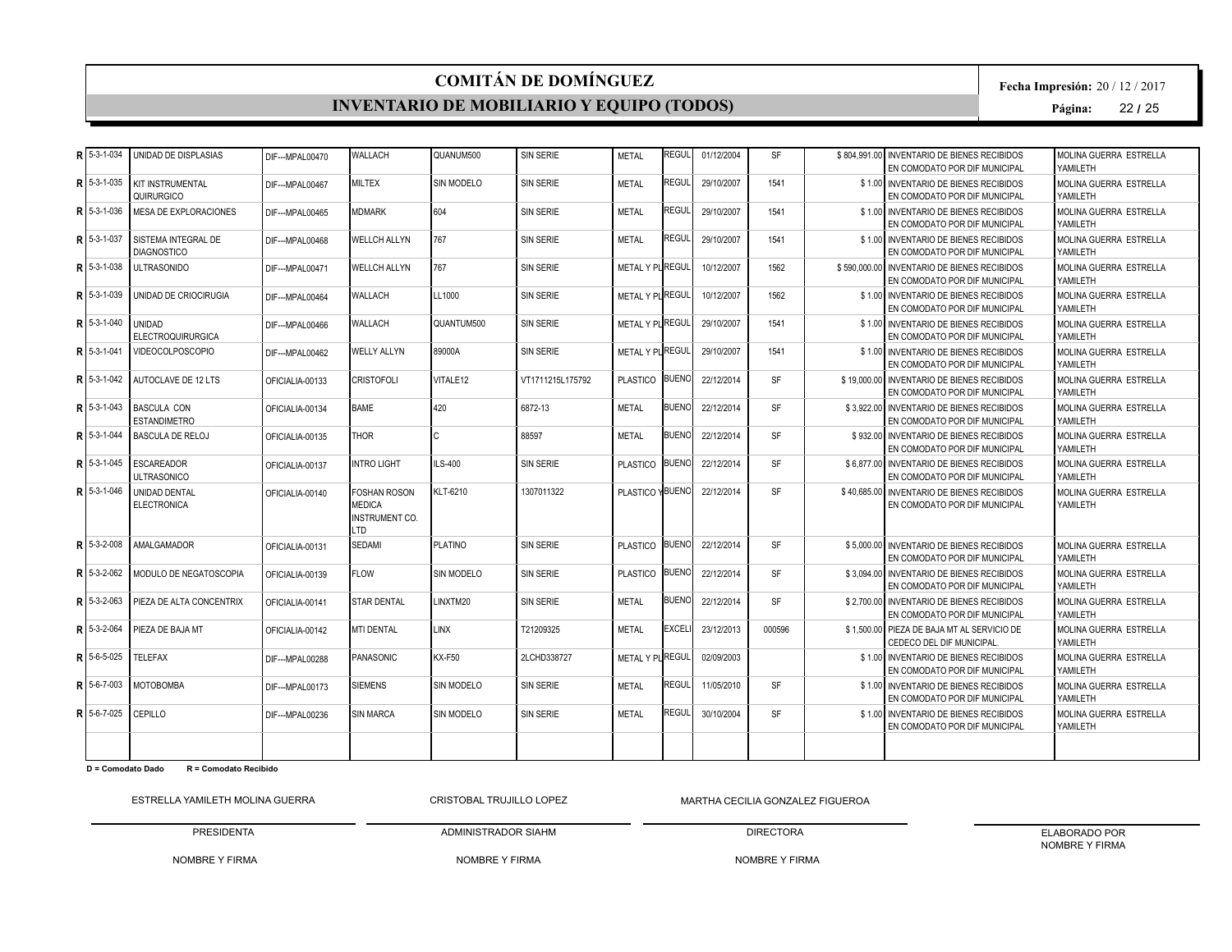#### **INVENTARIO DE MOBILIARIO Y EQUIPO (TODOS)**

**Fecha Impresión:** 20 / 12 / 2017

**Página:** 22 **/** 25

| Þ. | 5-3-1-034      | UNIDAD DE DISPLASIAS                       | DIF--- MPAL00470 | WALLACH                                                              | QUANUM500         | SIN SERIE        | <b>METAL</b>     | <b>REGUL</b> | 01/12/2004 | <b>SF</b> | \$804.991.00 INVENTARIO DE BIENES RECIBIDOS<br>EN COMODATO POR DIF MUNICIPAL | MOLINA GUERRA ESTRELLA<br>YAMILETH  |
|----|----------------|--------------------------------------------|------------------|----------------------------------------------------------------------|-------------------|------------------|------------------|--------------|------------|-----------|------------------------------------------------------------------------------|-------------------------------------|
| R  | 5-3-1-035      | <b>KIT INSTRUMENTAL</b><br>QUIRURGICO      | DIF---MPAL00467  | <b>MILTEX</b>                                                        | <b>SIN MODELO</b> | <b>SIN SERIE</b> | <b>METAL</b>     | REGUL        | 29/10/2007 | 1541      | \$1.00 INVENTARIO DE BIENES RECIBIDOS<br>EN COMODATO POR DIF MUNICIPAL       | MOLINA GUERRA ESTRELLA<br>YAMILETH  |
| R  | 5-3-1-036      | <b>MESA DE EXPLORACIONES</b>               | DIF--- MPAL00465 | <b>MDMARK</b>                                                        | 604               | <b>SIN SERIE</b> | <b>METAL</b>     | REGUL        | 29/10/2007 | 1541      | \$1.00 INVENTARIO DE BIENES RECIBIDOS<br>EN COMODATO POR DIF MUNICIPAL       | MOLINA GUERRA ESTRELLA<br>YAMII FTH |
| R  | 5-3-1-037      | SISTEMA INTEGRAL DE<br><b>DIAGNOSTICO</b>  | DIF---MPAL00468  | <b>WELLCH ALLYN</b>                                                  | 767               | <b>SIN SERIE</b> | <b>METAL</b>     | REGUL        | 29/10/2007 | 1541      | \$1.00 INVENTARIO DE BIENES RECIBIDOS<br>EN COMODATO POR DIF MUNICIPAL       | MOLINA GUERRA ESTRELLA<br>YAMILETH  |
| R  | 5-3-1-038      | <b>ULTRASONIDO</b>                         | DIF---MPAL00471  | <b>WELLCH ALLYN</b>                                                  | 767               | SIN SERIE        | METAL Y PLIREGUL |              | 10/12/2007 | 1562      | \$590,000.00 INVENTARIO DE BIENES RECIBIDOS<br>EN COMODATO POR DIF MUNICIPAL | MOLINA GUERRA ESTRELLA<br>YAMII FTH |
| D  | 5-3-1-039      | UNIDAD DE CRIOCIRUGIA                      | DIF--- MPAL00464 | <b>WALLACH</b>                                                       | LL1000            | <b>SIN SERIE</b> | METAL Y PL REGUL |              | 10/12/2007 | 1562      | \$1.00 INVENTARIO DE BIENES RECIBIDOS<br>EN COMODATO POR DIF MUNICIPAL       | MOLINA GUERRA ESTRELLA<br>YAMILETH  |
| R  | 5-3-1-040      | <b>UNIDAD</b><br><b>ELECTROQUIRURGICA</b>  | DIF--- MPAL00466 | WALLACH                                                              | QUANTUM500        | <b>SIN SERIE</b> | METAL Y PLIREGUL |              | 29/10/2007 | 1541      | \$1.00 INVENTARIO DE BIENES RECIBIDOS<br>EN COMODATO POR DIF MUNICIPAL       | MOLINA GUERRA ESTRELLA<br>YAMILETH  |
| R  | 5-3-1-041      | <b>VIDEOCOLPOSCOPIO</b>                    | DIF---MPAL00462  | <b>WELLY ALLYN</b>                                                   | 89000A            | SIN SERIE        | METAL Y PL REGUL |              | 29/10/2007 | 1541      | \$1.00 INVENTARIO DE BIENES RECIBIDOS<br>EN COMODATO POR DIF MUNICIPAL       | MOLINA GUERRA ESTRELLA<br>YAMILETH  |
|    | 5-3-1-042      | <b>AUTOCLAVE DE 12 LTS</b>                 | OFICIALIA-00133  | <b>CRISTOFOLI</b>                                                    | VITALE12          | VT1711215L175792 | PLASTICO BUENO   |              | 22/12/2014 | <b>SF</b> | \$19,000,00 INVENTARIO DE BIENES RECIBIDOS<br>EN COMODATO POR DIF MUNICIPAL  | MOLINA GUERRA ESTRELLA<br>YAMILETH  |
| R  | $5-3-1-043$    | <b>BASCULA CON</b><br><b>ESTANDIMETRO</b>  | OFICIALIA-00134  | <b>BAME</b>                                                          | 420               | 6872-13          | <b>METAL</b>     | <b>BUENO</b> | 22/12/2014 | <b>SF</b> | \$3.922.00 INVENTARIO DE BIENES RECIBIDOS<br>EN COMODATO POR DIF MUNICIPAL   | MOLINA GUERRA ESTRELLA<br>YAMILETH  |
| R  | 5-3-1-044      | <b>BASCULA DE RELOJ</b>                    | OFICIALIA-00135  | <b>THOR</b>                                                          |                   | 88597            | <b>METAL</b>     | <b>BUENO</b> | 22/12/2014 | <b>SF</b> | \$932.00 INVENTARIO DE BIENES RECIBIDOS<br>EN COMODATO POR DIF MUNICIPAL     | MOLINA GUERRA ESTRELLA<br>YAMILETH  |
| R  | 5-3-1-045      | <b>ESCAREADOR</b><br><b>ULTRASONICO</b>    | OFICIALIA-00137  | <b>INTRO LIGHT</b>                                                   | LS-400            | <b>SIN SERIE</b> | PLASTICO         | <b>BUENO</b> | 22/12/2014 | <b>SF</b> | \$6,877.00 INVENTARIO DE BIENES RECIBIDOS<br>EN COMODATO POR DIF MUNICIPAL   | MOLINA GUERRA ESTRELLA<br>YAMII FTH |
| R  | 5-3-1-046      | <b>UNIDAD DENTAL</b><br><b>ELECTRONICA</b> | OFICIALIA-00140  | <b>FOSHAN ROSON</b><br><b>MEDICA</b><br><b>INSTRUMENT CO.</b><br>LTD | KLT-6210          | 1307011322       | PLASTICO YBUENO  |              | 22/12/2014 | <b>SF</b> | \$40,685,00 INVENTARIO DE BIENES RECIBIDOS<br>EN COMODATO POR DIF MUNICIPAL  | MOLINA GUERRA ESTRELLA<br>YAMILETH  |
| R  | 5-3-2-008      | AMALGAMADOR                                | OFICIALIA-00131  | SEDAMI                                                               | <b>PLATINO</b>    | <b>SIN SERIE</b> | <b>PLASTICO</b>  | <b>BUENO</b> | 22/12/2014 | <b>SF</b> | \$5,000,00 INVENTARIO DE BIENES RECIBIDOS<br>EN COMODATO POR DIF MUNICIPAL   | MOLINA GUERRA ESTRELLA<br>YAMILETH  |
| R  | 5-3-2-062      | MODULO DE NEGATOSCOPIA                     | OFICIALIA-00139  | <b>FLOW</b>                                                          | SIN MODELO        | <b>SIN SERIE</b> | <b>PLASTICO</b>  | <b>BUENO</b> | 22/12/2014 | <b>SF</b> | \$3.094.00 INVENTARIO DE BIENES RECIBIDOS<br>EN COMODATO POR DIF MUNICIPAL   | MOLINA GUERRA ESTRELLA<br>YAMILETH  |
| R  | 5-3-2-063      | PIEZA DE ALTA CONCENTRIX                   | OFICIALIA-00141  | <b>STAR DENTAL</b>                                                   | LINXTM20          | <b>SIN SERIE</b> | <b>METAL</b>     | <b>BUENO</b> | 22/12/2014 | <b>SF</b> | \$2,700.00 INVENTARIO DE BIENES RECIBIDOS<br>EN COMODATO POR DIF MUNICIPAL   | MOLINA GUERRA ESTRELLA<br>YAMILETH  |
| R  | 5-3-2-064      | PIEZA DE BAJA MT                           | OFICIALIA-00142  | <b>MTI DENTAL</b>                                                    | <b>LINX</b>       | T21209325        | <b>METAL</b>     | EXCELI       | 23/12/2013 | 000596    | \$1,500.00 PIEZA DE BAJA MT AL SERVICIO DE<br>CEDECO DEL DIF MUNICIPAL       | MOLINA GUERRA ESTRELLA<br>YAMII FTH |
| R  | 5-6-5-025      | <b>TELEFAX</b>                             | DIF--- MPAL00288 | <b>PANASONIC</b>                                                     | KX-F50            | 2LCHD338727      | METAL Y PLIREGUL |              | 02/09/2003 |           | \$1.00 INVENTARIO DE BIENES RECIBIDOS<br>EN COMODATO POR DIF MUNICIPAL       | MOLINA GUERRA ESTRELLA<br>YAMILETH  |
|    | $R$ 5-6-7-003  | <b>MOTOBOMBA</b>                           | DIF---MPAL00173  | <b>SIEMENS</b>                                                       | SIN MODELO        | SIN SERIE        | <b>METAL</b>     | REGUL        | 11/05/2010 | <b>SF</b> | \$1.00 INVENTARIO DE BIENES RECIBIDOS<br>EN COMODATO POR DIF MUNICIPAL       | MOLINA GUERRA ESTRELLA<br>YAMILETH  |
|    | $R$ 15-6-7-025 | CEPILLO                                    | DIF--- MPAL00236 | <b>SIN MARCA</b>                                                     | <b>SIN MODELO</b> | <b>SIN SERIE</b> | <b>METAL</b>     | REGUL        | 30/10/2004 | <b>SF</b> | \$1.00 INVENTARIO DE BIENES RECIBIDOS<br>EN COMODATO POR DIF MUNICIPAL       | MOLINA GUERRA ESTRELLA<br>YAMILETH  |
|    |                |                                            |                  |                                                                      |                   |                  |                  |              |            |           |                                                                              |                                     |

**D = Comodato Dado R = Comodato Recibido**

ESTRELLA YAMILETH MOLINA GUERRA

PRESIDENTA CRISTOBAL TRUJILLO LOPEZ

ADMINISTRADOR SIAHM

NOMBRE Y FIRMA MARTHA CECILIA GONZALEZ FIGUEROA

DIRECTORA NOMBRE Y FIRMA ELABORADO POR NOMBRE Y FIRMA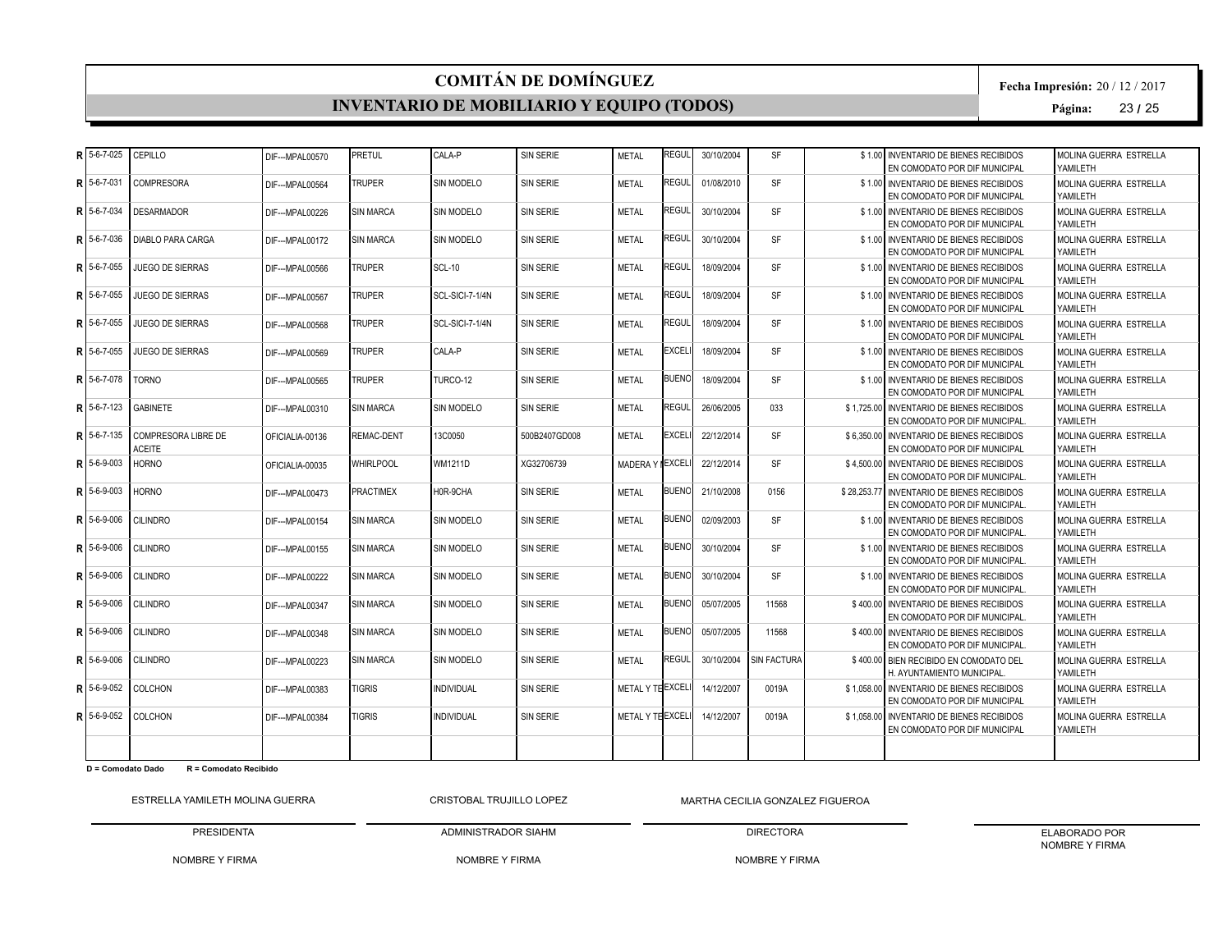#### **INVENTARIO DE MOBILIARIO Y EQUIPO (TODOS)**

**Fecha Impresión:** 20 / 12 / 2017

**Página:** 23 **/** 25

|    | 5-6-7-025 | CEPILLO                              | DIF--- MPAL00570 | PRETUL            | CALA-P            | SIN SERIE        | <b>METAL</b>      | <b>REGUL</b> | 30/10/2004 | <b>SF</b>   | \$1.00 INVENTARIO DE BIENES RECIBIDOS<br>EN COMODATO POR DIF MUNICIPAL       | MOLINA GUERRA ESTRELLA<br>YAMILETH  |
|----|-----------|--------------------------------------|------------------|-------------------|-------------------|------------------|-------------------|--------------|------------|-------------|------------------------------------------------------------------------------|-------------------------------------|
| R  | 5-6-7-031 | COMPRESORA                           | DIF--- MPAL00564 | <b>TRUPER</b>     | SIN MODELO        | SIN SERIE        | <b>METAL</b>      | <b>REGUL</b> | 01/08/2010 | <b>SF</b>   | \$1.00 INVENTARIO DE BIENES RECIBIDOS<br>EN COMODATO POR DIF MUNICIPAL       | MOLINA GUERRA ESTRELLA<br>YAMII FTH |
|    | 5-6-7-034 | <b>DESARMADOR</b>                    | DIF--- MPAL00226 | <b>SIN MARCA</b>  | SIN MODELO        | <b>SIN SERIE</b> | <b>METAL</b>      | <b>REGUL</b> | 30/10/2004 | <b>SF</b>   | \$1.00 INVENTARIO DE BIENES RECIBIDOS<br>EN COMODATO POR DIF MUNICIPAL       | MOLINA GUERRA ESTRELLA<br>YAMILETH  |
|    | 5-6-7-036 | <b>DIABLO PARA CARGA</b>             | DIF---MPAL00172  | <b>SIN MARCA</b>  | SIN MODELO        | SIN SERIE        | <b>METAL</b>      | REGUL        | 30/10/2004 | <b>SF</b>   | \$1.00 INVENTARIO DE BIENES RECIBIDOS<br>EN COMODATO POR DIF MUNICIPAL       | MOLINA GUERRA ESTRELLA<br>YAMILETH  |
|    | 5-6-7-055 | JUEGO DE SIERRAS                     | DIF--- MPAL00566 | <b>TRUPER</b>     | <b>SCL-10</b>     | SIN SERIE        | <b>METAL</b>      | <b>REGUL</b> | 18/09/2004 | <b>SF</b>   | \$1.00 INVENTARIO DE BIENES RECIBIDOS<br>EN COMODATO POR DIF MUNICIPAL       | MOLINA GUERRA ESTRELLA<br>YAMII FTH |
|    | 5-6-7-055 | JUEGO DE SIERRAS                     | DIF--- MPAL00567 | <b>TRUPER</b>     | SCL-SICI-7-1/4N   | SIN SERIE        | <b>METAL</b>      | <b>REGUL</b> | 18/09/2004 | <b>SF</b>   | \$1.00 INVENTARIO DE BIENES RECIBIDOS<br>EN COMODATO POR DIF MUNICIPAL       | MOLINA GUERRA ESTRELLA<br>YAMILETH  |
|    | 5-6-7-055 | <b>JUEGO DE SIERRAS</b>              | DIF--- MPAL00568 | <b>TRUPER</b>     | SCL-SICI-7-1/4N   | SIN SERIE        | <b>METAL</b>      | <b>REGUL</b> | 18/09/2004 | <b>SF</b>   | \$1.00 INVENTARIO DE BIENES RECIBIDOS<br>EN COMODATO POR DIF MUNICIPAL       | MOLINA GUERRA ESTRELLA<br>YAMILETH  |
|    | 5-6-7-055 | <b>JUEGO DE SIERRAS</b>              | DIF--- MPAL00569 | <b>TRUPER</b>     | CALA-P            | SIN SERIE        | <b>METAL</b>      | <b>EXCEL</b> | 18/09/2004 | <b>SF</b>   | \$1.00 INVENTARIO DE BIENES RECIBIDOS<br>EN COMODATO POR DIF MUNICIPAL       | MOLINA GUERRA ESTRELLA<br>YAMILETH  |
|    | 5-6-7-078 | TORNO                                | DIF---MPAL00565  | <b>TRUPER</b>     | TURCO-12          | SIN SERIE        | <b>METAL</b>      | <b>BUENO</b> | 18/09/2004 | <b>SF</b>   | \$1.00 INVENTARIO DE BIENES RECIBIDOS<br>EN COMODATO POR DIF MUNICIPAL       | MOLINA GUERRA ESTRELLA<br>YAMILETH  |
|    | 5-6-7-123 | <b>GABINETE</b>                      | DIF---MPAL00310  | <b>SIN MARCA</b>  | SIN MODELO        | SIN SERIE        | <b>METAL</b>      | <b>REGUL</b> | 26/06/2005 | 033         | \$1.725.00 INVENTARIO DE BIENES RECIBIDOS<br>EN COMODATO POR DIF MUNICIPAL   | MOLINA GUERRA ESTRELLA<br>YAMILETH  |
|    | 5-6-7-135 | COMPRESORA LIBRE DE<br><b>ACEITE</b> | OFICIALIA-00136  | <b>REMAC-DENT</b> | 13C0050           | 500B2407GD008    | <b>METAL</b>      | <b>EXCEL</b> | 22/12/2014 | <b>SF</b>   | \$6.350.00 INVENTARIO DE BIENES RECIBIDOS<br>EN COMODATO POR DIF MUNICIPAL   | MOLINA GUERRA ESTRELLA<br>YAMILETH  |
|    | 5-6-9-003 | <b>HORNO</b>                         | OFICIALIA-00035  | <b>WHIRLPOOL</b>  | <b>WM1211D</b>    | XG32706739       | MADERA Y EXCEL    |              | 22/12/2014 | <b>SF</b>   | \$4,500,00 INVENTARIO DE BIENES RECIBIDOS<br>EN COMODATO POR DIF MUNICIPAL.  | MOLINA GUERRA ESTRELLA<br>YAMILETH  |
| Q. | 5-6-9-003 | <b>HORNO</b>                         | DIF---MPAL00473  | <b>PRACTIMEX</b>  | H0R-9CHA          | SIN SERIE        | <b>METAL</b>      | <b>BUENO</b> | 21/10/2008 | 0156        | \$28,253.77 INVENTARIO DE BIENES RECIBIDOS<br>EN COMODATO POR DIF MUNICIPAL. | MOLINA GUERRA ESTRELLA<br>YAMILETH  |
|    | 5-6-9-006 | <b>CILINDRO</b>                      | DIF---MPAL00154  | <b>SIN MARCA</b>  | SIN MODELO        | SIN SERIE        | <b>METAL</b>      | <b>BUENO</b> | 02/09/2003 | <b>SF</b>   | \$1.00 INVENTARIO DE BIENES RECIBIDOS<br>EN COMODATO POR DIF MUNICIPAL       | MOLINA GUERRA ESTRELLA<br>YAMII FTH |
|    | 5-6-9-006 | <b>CILINDRO</b>                      | DIF--- MPAL00155 | <b>SIN MARCA</b>  | SIN MODELO        | SIN SERIE        | <b>METAL</b>      | <b>BUENO</b> | 30/10/2004 | <b>SF</b>   | \$1.00 INVENTARIO DE BIENES RECIBIDOS<br>EN COMODATO POR DIF MUNICIPAL.      | MOLINA GUERRA ESTRELLA<br>YAMILETH  |
|    | 5-6-9-006 | <b>CILINDRO</b>                      | DIF--- MPAL00222 | <b>SIN MARCA</b>  | <b>SIN MODELO</b> | SIN SERIE        | <b>METAL</b>      | <b>BUENO</b> | 30/10/2004 | <b>SF</b>   | \$1.00 INVENTARIO DE BIENES RECIBIDOS<br>EN COMODATO POR DIF MUNICIPAL.      | MOLINA GUERRA ESTRELLA<br>YAMILETH  |
|    | 5-6-9-006 | <b>CILINDRO</b>                      | DIF---MPAL00347  | <b>SIN MARCA</b>  | SIN MODELO        | SIN SERIE        | <b>METAL</b>      | <b>BUENO</b> | 05/07/2005 | 11568       | \$400.00 INVENTARIO DE BIENES RECIBIDOS<br>EN COMODATO POR DIF MUNICIPAL.    | MOLINA GUERRA ESTRELLA<br>YAMII FTH |
|    | 5-6-9-006 | <b>CILINDRO</b>                      | DIF---MPAL00348  | <b>SIN MARCA</b>  | SIN MODELO        | SIN SERIE        | <b>METAL</b>      | <b>BUENO</b> | 05/07/2005 | 11568       | \$400.00 INVENTARIO DE BIENES RECIBIDOS<br>EN COMODATO POR DIF MUNICIPAL.    | MOLINA GUERRA ESTRELLA<br>YAMILETH  |
|    | 5-6-9-006 | <b>CILINDRO</b>                      | DIF--- MPAL00223 | <b>SIN MARCA</b>  | SIN MODELO        | SIN SERIE        | <b>METAL</b>      | <b>REGUL</b> | 30/10/2004 | SIN FACTURA | \$400.00 BIEN RECIBIDO EN COMODATO DEL<br>H. AYUNTAMIENTO MUNICIPAL          | MOLINA GUERRA ESTRELLA<br>YAMILETH  |
|    | 5-6-9-052 | <b>COLCHON</b>                       | DIF---MPAL00383  | <b>TIGRIS</b>     | <b>INDIVIDUAL</b> | SIN SERIE        | METAL Y TE EXCELI |              | 14/12/2007 | 0019A       | \$1,058.00 INVENTARIO DE BIENES RECIBIDOS<br>EN COMODATO POR DIF MUNICIPAL   | MOLINA GUERRA ESTRELLA<br>YAMILETH  |
|    | 5-6-9-052 | COLCHON                              | DIF---MPAL00384  | <b>TIGRIS</b>     | <b>INDIVIDUAL</b> | SIN SERIE        | METAL Y TE EXCELI |              | 14/12/2007 | 0019A       | \$1.058.00 INVENTARIO DE BIENES RECIBIDOS<br>EN COMODATO POR DIF MUNICIPAL   | MOLINA GUERRA ESTRELLA<br>YAMILETH  |
|    |           |                                      |                  |                   |                   |                  |                   |              |            |             |                                                                              |                                     |

**D = Comodato Dado R = Comodato Recibido**

ESTRELLA YAMILETH MOLINA GUERRA

PRESIDENTA CRISTOBAL TRUJILLO LOPEZ

NOMBRE Y FIRMA MARTHA CECILIA GONZALEZ FIGUEROA

NOMBRE Y FIRMA

ADMINISTRADOR SIAHM

DIRECTORA NOMBRE Y FIRMA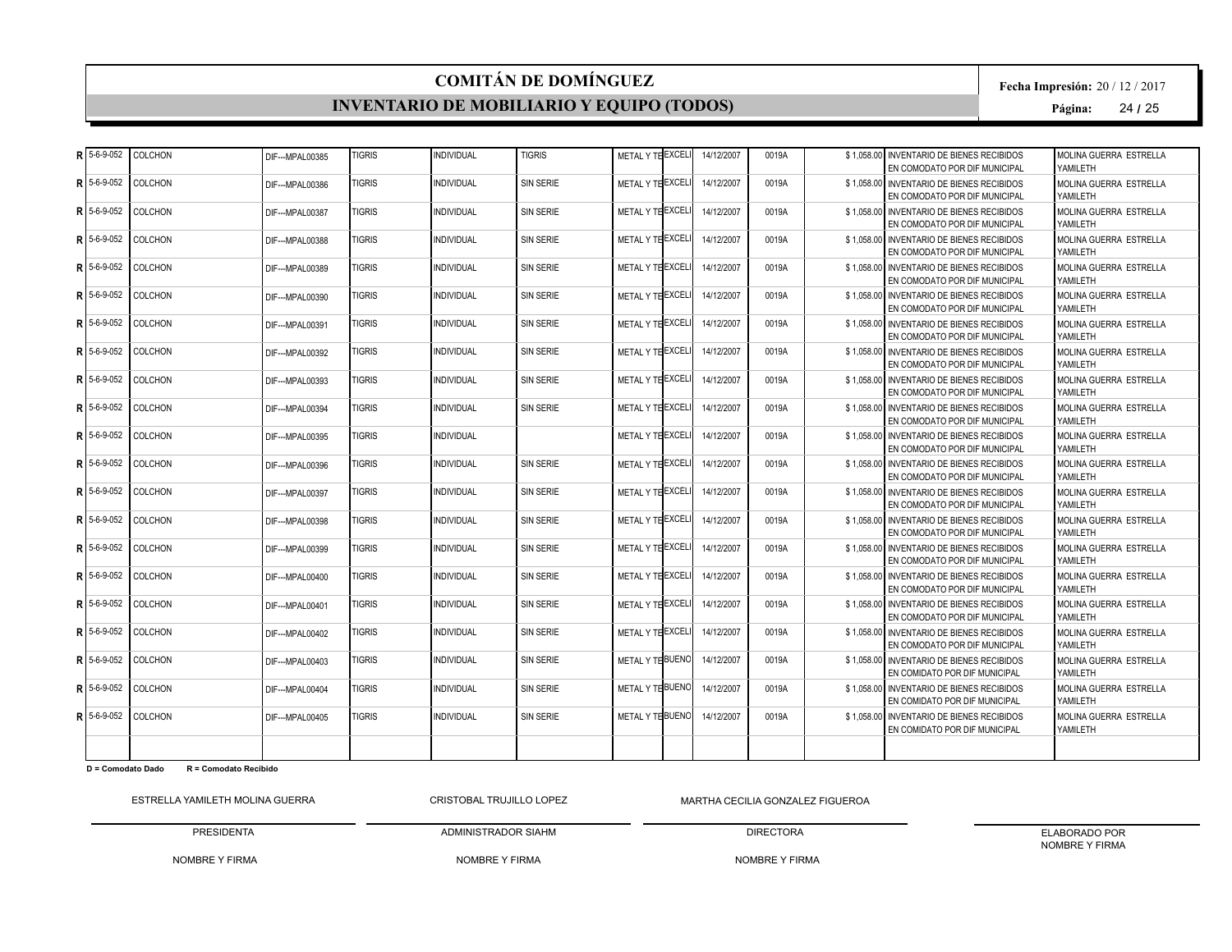#### **INVENTARIO DE MOBILIARIO Y EQUIPO (TODOS)**

**Fecha Impresión:** 20 / 12 / 2017

**Página:** 24 **/** 25

|   | $R$ 5-6-9-052 | COLCHON        | DIF---MPAL00385  | <b>TIGRIS</b> | <b>NDIVIDUAL</b>  | <b>TIGRIS</b>    | METAL Y TE EXCELI | 14/12/2007 | 0019A | \$1.058.00 INVENTARIO DE BIENES RECIBIDOS<br>EN COMODATO POR DIF MUNICIPAL | MOLINA GUERRA ESTRELLA<br>YAMILETH  |
|---|---------------|----------------|------------------|---------------|-------------------|------------------|-------------------|------------|-------|----------------------------------------------------------------------------|-------------------------------------|
| R | 5-6-9-052     | <b>COLCHON</b> | DIF---MPAL00386  | <b>TIGRIS</b> | <b>INDIVIDUAL</b> | SIN SERIE        | METAL Y THEXCELL  | 14/12/2007 | 0019A | \$1.058.00 INVENTARIO DE BIENES RECIBIDOS<br>EN COMODATO POR DIF MUNICIPAL | MOLINA GUERRA ESTRELLA<br>YAMII FTH |
| R | 5-6-9-052     | <b>COLCHON</b> | DIF--- MPAL00387 | <b>TIGRIS</b> | <b>INDIVIDUAL</b> | <b>SIN SERIE</b> | METAL Y TE EXCELI | 14/12/2007 | 0019A | \$1.058.00 INVENTARIO DE BIENES RECIBIDOS<br>EN COMODATO POR DIF MUNICIPAL | MOLINA GUERRA ESTRELLA<br>YAMILETH  |
| R | 5-6-9-052     | <b>COLCHON</b> | DIF---MPAL00388  | <b>TIGRIS</b> | <b>INDIVIDUAL</b> | <b>SIN SERIE</b> | METAL Y TE EXCELI | 14/12/2007 | 0019A | \$1.058.00 INVENTARIO DE BIENES RECIBIDOS<br>EN COMODATO POR DIF MUNICIPAL | MOLINA GUERRA ESTRELLA<br>YAMILETH  |
| R | 5-6-9-052     | <b>COLCHON</b> | DIF--- MPAL00389 | <b>TIGRIS</b> | <b>INDIVIDUAL</b> | SIN SERIE        | METAL Y TE EXCELI | 14/12/2007 | 0019A | \$1.058.00 INVENTARIO DE BIENES RECIBIDOS<br>EN COMODATO POR DIF MUNICIPAL | MOLINA GUERRA ESTRELLA<br>YAMILETH  |
| R | 5-6-9-052     | <b>COLCHON</b> | DIF--- MPAL00390 | <b>TIGRIS</b> | <b>INDIVIDUAL</b> | <b>SIN SERIE</b> | METAL Y TE EXCELI | 14/12/2007 | 0019A | \$1.058.00 INVENTARIO DE BIENES RECIBIDOS<br>EN COMODATO POR DIF MUNICIPAL | MOLINA GUERRA ESTRELLA<br>YAMILETH  |
| R | 5-6-9-052     | COLCHON        | DIF--- MPAL00391 | <b>TIGRIS</b> | <b>INDIVIDUAL</b> | SIN SERIE        | METAL Y THEXCEL   | 14/12/2007 | 0019A | \$1,058.00 INVENTARIO DE BIENES RECIBIDOS<br>EN COMODATO POR DIF MUNICIPAL | MOLINA GUERRA ESTRELLA<br>YAMILETH  |
| Þ | 5-6-9-052     | COLCHON        | DIF--- MPAL00392 | <b>TIGRIS</b> | <b>INDIVIDUAL</b> | <b>SIN SERIE</b> | METAL Y TE EXCELI | 14/12/2007 | 0019A | \$1.058.00 INVENTARIO DE BIENES RECIBIDOS<br>EN COMODATO POR DIF MUNICIPAL | MOLINA GUERRA ESTRELLA<br>YAMII FTH |
| R | 5-6-9-052     | <b>COLCHON</b> | DIF--- MPAL00393 | <b>TIGRIS</b> | <b>INDIVIDUAL</b> | <b>SIN SERIE</b> | METAL Y TE EXCELI | 14/12/2007 | 0019A | \$1.058.00 INVENTARIO DE BIENES RECIBIDOS<br>EN COMODATO POR DIF MUNICIPAL | MOLINA GUERRA ESTRELLA<br>YAMILETH  |
| R | 5-6-9-052     | <b>COLCHON</b> | DIF--- MPAL00394 | <b>TIGRIS</b> | <b>INDIVIDUAL</b> | SIN SERIE        | METAL Y THEXCELI  | 14/12/2007 | 0019A | \$1.058.00 INVENTARIO DE BIENES RECIBIDOS<br>EN COMODATO POR DIF MUNICIPAL | MOLINA GUERRA ESTRELLA<br>YAMILETH  |
| R | 5-6-9-052     | <b>COLCHON</b> | DIF--- MPAL00395 | <b>TIGRIS</b> | <b>INDIVIDUAL</b> |                  | METAL Y TE EXCELI | 14/12/2007 | 0019A | \$1.058.00 INVENTARIO DE BIENES RECIBIDOS<br>EN COMODATO POR DIF MUNICIPAL | MOLINA GUERRA ESTRELLA<br>YAMILETH  |
| R | 5-6-9-052     | <b>COLCHON</b> | DIF---MPAL00396  | <b>TIGRIS</b> | <b>INDIVIDUAL</b> | <b>SIN SERIE</b> | METAL Y TE EXCELI | 14/12/2007 | 0019A | \$1,058.00 INVENTARIO DE BIENES RECIBIDOS<br>EN COMODATO POR DIF MUNICIPAL | MOLINA GUERRA ESTRELLA<br>YAMILETH  |
| R | 5-6-9-052     | <b>COLCHON</b> | DIF--- MPAL00397 | <b>TIGRIS</b> | <b>INDIVIDUAL</b> | <b>SIN SERIE</b> | METAL Y THEXCELL  | 14/12/2007 | 0019A | \$1,058.00 INVENTARIO DE BIENES RECIBIDOS<br>EN COMODATO POR DIF MUNICIPAL | MOLINA GUERRA ESTRELLA<br>YAMILETH  |
| R | 5-6-9-052     | <b>COLCHON</b> | DIF--- MPAL00398 | <b>TIGRIS</b> | <b>INDIVIDUAL</b> | SIN SERIE        | METAL Y TE EXCELI | 14/12/2007 | 0019A | \$1,058.00 INVENTARIO DE BIENES RECIBIDOS<br>EN COMODATO POR DIF MUNICIPAL | MOLINA GUERRA ESTRELLA<br>YAMII FTH |
| R | 5-6-9-052     | <b>COLCHON</b> | DIF---MPAL00399  | <b>TIGRIS</b> | <b>INDIVIDUAL</b> | SIN SERIE        | METAL Y THEXCELI  | 14/12/2007 | 0019A | \$1.058.00 INVENTARIO DE BIENES RECIBIDOS<br>EN COMODATO POR DIF MUNICIPAL | MOLINA GUERRA ESTRELLA<br>YAMII FTH |
| D | 5-6-9-052     | <b>COLCHON</b> | DIF--- MPAL00400 | <b>TIGRIS</b> | <b>INDIVIDUAL</b> | SIN SERIE        | METAL Y THEXCELI  | 14/12/2007 | 0019A | \$1.058.00 INVENTARIO DE BIENES RECIBIDOS<br>EN COMODATO POR DIF MUNICIPAL | MOLINA GUERRA ESTRELLA<br>YAMII FTH |
| R | 5-6-9-052     | <b>COLCHON</b> | DIF--- MPAL00401 | <b>TIGRIS</b> | <b>NDIVIDUAL</b>  | <b>SIN SERIE</b> | METAL Y TE EXCEL  | 14/12/2007 | 0019A | \$1.058.00 INVENTARIO DE BIENES RECIBIDOS<br>EN COMODATO POR DIF MUNICIPAL | MOLINA GUERRA ESTRELLA<br>YAMILETH  |
| R | 5-6-9-052     | <b>COLCHON</b> | DIF--- MPAL00402 | <b>TIGRIS</b> | <b>INDIVIDUAL</b> | SIN SERIE        | METAL Y TE EXCELI | 14/12/2007 | 0019A | \$1.058.00 INVENTARIO DE BIENES RECIBIDOS<br>EN COMODATO POR DIF MUNICIPAL | MOLINA GUERRA ESTRELLA<br>YAMILETH  |
| R | 5-6-9-052     | <b>COLCHON</b> | DIF--- MPAL00403 | <b>TIGRIS</b> | <b>INDIVIDUAL</b> | <b>SIN SERIE</b> | METAL Y THBUENO   | 14/12/2007 | 0019A | \$1,058.00 INVENTARIO DE BIENES RECIBIDOS<br>EN COMIDATO POR DIF MUNICIPAL | MOLINA GUERRA ESTRELLA<br>YAMII FTH |
| R | 5-6-9-052     | <b>COLCHON</b> | DIF---MPAL00404  | <b>TIGRIS</b> | <b>INDIVIDUAL</b> | <b>SIN SERIE</b> | METAL Y THBUENO   | 14/12/2007 | 0019A | \$1,058.00 INVENTARIO DE BIENES RECIBIDOS<br>EN COMIDATO POR DIF MUNICIPAL | MOLINA GUERRA ESTRELLA<br>YAMILETH  |
|   | $R$ 5-6-9-052 | <b>COLCHON</b> | DIF--- MPAL00405 | <b>TIGRIS</b> | <b>INDIVIDUAL</b> | SIN SERIE        | METAL Y TE BUENO  | 14/12/2007 | 0019A | \$1,058.00 INVENTARIO DE BIENES RECIBIDOS<br>EN COMIDATO POR DIF MUNICIPAL | MOLINA GUERRA ESTRELLA<br>YAMILETH  |
|   |               |                |                  |               |                   |                  |                   |            |       |                                                                            |                                     |

**D = Comodato Dado R = Comodato Recibido**

ESTRELLA YAMILETH MOLINA GUERRA

PRESIDENTA CRISTOBAL TRUJILLO LOPEZ

ADMINISTRADOR SIAHM

NOMBRE Y FIRMA MARTHA CECILIA GONZALEZ FIGUEROA DIRECTORA